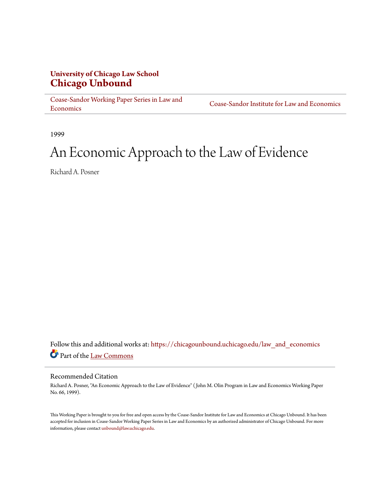## **University of Chicago Law School [Chicago Unbound](https://chicagounbound.uchicago.edu?utm_source=chicagounbound.uchicago.edu%2Flaw_and_economics%2F45&utm_medium=PDF&utm_campaign=PDFCoverPages)**

[Coase-Sandor Working Paper Series in Law and](https://chicagounbound.uchicago.edu/law_and_economics?utm_source=chicagounbound.uchicago.edu%2Flaw_and_economics%2F45&utm_medium=PDF&utm_campaign=PDFCoverPages) [Economics](https://chicagounbound.uchicago.edu/law_and_economics?utm_source=chicagounbound.uchicago.edu%2Flaw_and_economics%2F45&utm_medium=PDF&utm_campaign=PDFCoverPages)

[Coase-Sandor Institute for Law and Economics](https://chicagounbound.uchicago.edu/coase_sandor_institute?utm_source=chicagounbound.uchicago.edu%2Flaw_and_economics%2F45&utm_medium=PDF&utm_campaign=PDFCoverPages)

1999

# An Economic Approach to the Law of Evidence

Richard A. Posner

Follow this and additional works at: [https://chicagounbound.uchicago.edu/law\\_and\\_economics](https://chicagounbound.uchicago.edu/law_and_economics?utm_source=chicagounbound.uchicago.edu%2Flaw_and_economics%2F45&utm_medium=PDF&utm_campaign=PDFCoverPages) Part of the [Law Commons](http://network.bepress.com/hgg/discipline/578?utm_source=chicagounbound.uchicago.edu%2Flaw_and_economics%2F45&utm_medium=PDF&utm_campaign=PDFCoverPages)

#### Recommended Citation

Richard A. Posner, "An Economic Approach to the Law of Evidence" ( John M. Olin Program in Law and Economics Working Paper No. 66, 1999).

This Working Paper is brought to you for free and open access by the Coase-Sandor Institute for Law and Economics at Chicago Unbound. It has been accepted for inclusion in Coase-Sandor Working Paper Series in Law and Economics by an authorized administrator of Chicago Unbound. For more information, please contact [unbound@law.uchicago.edu.](mailto:unbound@law.uchicago.edu)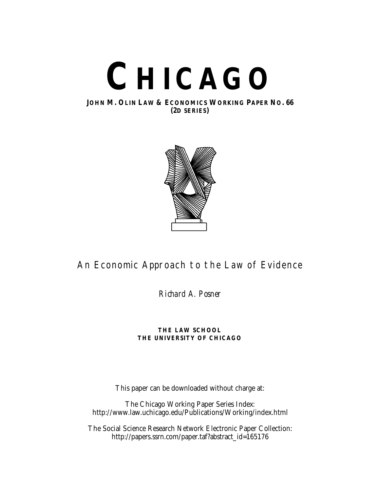

**JOHN M. OLIN LAW & ECONOMICS WORKING PAPER NO. 66 (2D SERIES)**



# An Economic Approach to the Law of Evidence

*Richard A. Posner*

**THE LAW SCHOOL THE UNIVERSITY OF CHICAGO**

This paper can be downloaded without charge at:

The Chicago Working Paper Series Index: http://www.law.uchicago.edu/Publications/Working/index.html

The Social Science Research Network Electronic Paper Collection: http://papers.ssrn.com/paper.taf?abstract\_id=165176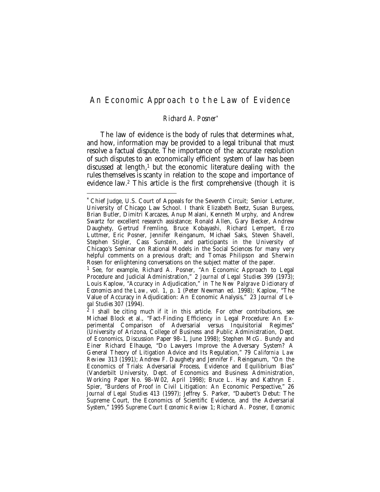### An Economic Approach to the Law of Evidence

#### *Richard A. Posner\**

The law of evidence is the body of rules that determines what, and how, information may be provided to a legal tribunal that must resolve a factual dispute. The importance of the accurate resolution of such disputes to an economically efficient system of law has been discussed at length,1 but the economic literature dealing with the rules themselves is scanty in relation to the scope and importance of evidence law.2 This article is the first comprehensive (though it is

<sup>\*</sup> Chief Judge, U.S. Court of Appeals for the Seventh Circuit; Senior Lecturer, University of Chicago Law School. I thank Elizabeth Beetz, Susan Burgess, Brian Butler, Dimitri Karcazes, Anup Malani, Kenneth Murphy, and Andrew Swartz for excellent research assistance; Ronald Allen, Gary Becker, Andrew Daughety, Gertrud Fremling, Bruce Kobayashi, Richard Lempert, Erzo Luttmer, Eric Posner, Jennifer Reinganum, Michael Saks, Steven Shavell, Stephen Stigler, Cass Sunstein, and participants in the University of Chicago's Seminar on Rational Models in the Social Sciences for many very helpful comments on a previous draft; and Tomas Philipson and Sherwin Rosen for enlightening conversations on the subject matter of the paper.

<sup>1</sup> See, for example, Richard A. Posner, "An Economic Approach to Legal Procedure and Judicial Administration," 2 *Journal of Legal Studies* 399 (1973); Louis Kaplow, "Accuracy in Adjudication," in *The New Palgrave Dictionary of Economics and the Law*, vol. 1, p. 1 (Peter Newman ed. 1998); Kaplow, "The Value of Accuracy in Adjudication: An Economic Analysis," 23 *Journal of Legal Studies* 307 (1994).

<sup>&</sup>lt;sup>2</sup> I shall be citing much if it in this article. For other contributions, see Michael Block et al., "Fact-Finding Efficiency in Legal Procedure: An Experimental Comparison of Adversarial versus Inquisitorial Regimes" (University of Arizona, College of Business and Public Administration, Dept. of Economics, Discussion Paper 98–1, June 1998); Stephen McG. Bundy and Einer Richard Elhauge, "Do Lawyers Improve the Adversary System? A General Theory of Litigation Advice and Its Regulation," 79 *California Law Review* 313 (1991); Andrew F. Daughety and Jennifer F. Reinganum, "On the Economics of Trials: Adversarial Process, Evidence and Equilibrium Bias" (Vanderbilt University, Dept. of Economics and Business Administration, Working Paper No. 98–W02, April 1998); Bruce L. Hay and Kathryn E. Spier, "Burdens of Proof in Civil Litigation: An Economic Perspective," 26 *Journal of Legal Studies* 413 (1997); Jeffrey S. Parker, "Daubert's Debut: The Supreme Court, the Economics of Scientific Evidence, and the Adversarial System," 1995 *Supreme Court Economic Review* 1; Richard A. Posner, *Economic*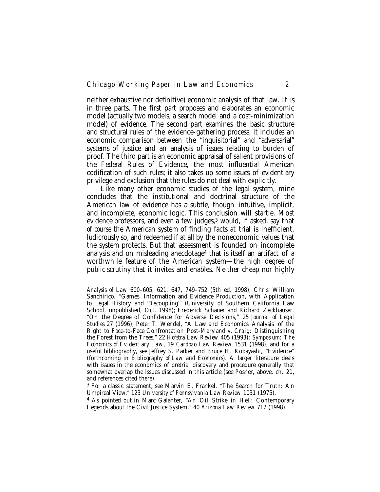neither exhaustive nor definitive) economic analysis of that law. It is in three parts. The first part proposes and elaborates an economic model (actually two models, a search model and a cost-minimization model) of evidence. The second part examines the basic structure and structural rules of the evidence-gathering process; it includes an economic comparison between the "inquisitorial" and "adversarial" systems of justice and an analysis of issues relating to burden of proof. The third part is an economic appraisal of salient provisions of the Federal Rules of Evidence, the most influential American codification of such rules; it also takes up some issues of evidentiary privilege and exclusion that the rules do not deal with explicitly.

Like many other economic studies of the legal system, mine concludes that the institutional and doctrinal structure of the American law of evidence has a subtle, though intuitive, implicit, and incomplete, economic logic. This conclusion will startle. Most evidence professors, and even a few judges,<sup>3</sup> would, if asked, say that *of course* the American system of finding facts at trial is inefficient, ludicrously so, and redeemed if at all by the noneconomic values that the system protects. But that assessment is founded on incomplete analysis and on misleading anecdotage4 that is itself an artifact of a worthwhile feature of the American system—the high degree of public scrutiny that it invites and enables. Neither cheap nor highly

*Analysis of Law* 600–605, 621, 647, 749–752 (5th ed. 1998); Chris William Sanchirico, "Games, Information and Evidence Production, with Application to Legal History and 'Decoupling'" (University of Southern California Law School, unpublished, Oct. 1998); Frederick Schauer and Richard Zeckhauser, "On the Degree of Confidence for Adverse Decisions," 25 *Journal of Legal Studies* 27 (1996); Peter T. Wendel, "A Law and Economics Analysis of the Right to Face-to-Face Confrontation Post-*Maryland v. Craig*: Distinguishing the Forest from the Trees," 22 *Hofstra Law Review* 405 (1993); *Symposium: The Economics of Evidentiary Law*, 19 *Cardozo Law Review* 1531 (1998); and for a useful bibliography, see Jeffrey S. Parker and Bruce H. Kobayashi, "Evidence" (forthcoming in *Bibliography of Law and Economics*). A larger literature deals with issues in the economics of pretrial discovery and procedure generally that somewhat overlap the issues discussed in this article (see Posner, above, ch. 21, and references cited there).

<sup>3</sup> For a classic statement, see Marvin E. Frankel, "The Search for Truth: An Umpireal View," 123 *University of Pennsylvania Law Review* 1031 (1975).

<sup>4</sup> As pointed out in Marc Galanter, "An Oil Strike in Hell: Contemporary Legends about the Civil Justice System," 40 *Arizona Law Review* 717 (1998).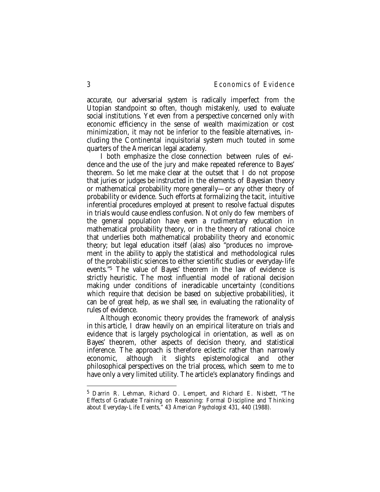accurate, our adversarial system is radically imperfect from the Utopian standpoint so often, though mistakenly, used to evaluate social institutions. Yet even from a perspective concerned only with economic efficiency in the sense of wealth maximization or cost minimization, it may not be inferior to the feasible alternatives, including the Continental inquisitorial system much touted in some quarters of the American legal academy.

I both emphasize the close connection between rules of evidence and the use of the jury and make repeated reference to Bayes' theorem. So let me make clear at the outset that I do *not* propose that juries or judges be instructed in the elements of Bayesian theory or mathematical probability more generally—or any other theory of probability or evidence. Such efforts at formalizing the tacit, intuitive inferential procedures employed at present to resolve factual disputes in trials would cause endless confusion. Not only do few members of the general population have even a rudimentary education in mathematical probability theory, or in the theory of rational choice that underlies both mathematical probability theory and economic theory; but legal education itself (alas) also "produces no improvement in the ability to apply the statistical and methodological rules of the probabilistic sciences to either scientific studies or everyday-life events."5 The value of Bayes' theorem in the law of evidence is strictly heuristic. The most influential model of rational decision making under conditions of ineradicable uncertainty (conditions which require that decision be based on subjective probabilities), it can be of great help, as we shall see, in evaluating the rationality of rules of evidence.

Although economic theory provides the framework of analysis in this article, I draw heavily on an empirical literature on trials and evidence that is largely psychological in orientation, as well as on Bayes' theorem, other aspects of decision theory, and statistical inference. The approach is therefore eclectic rather than narrowly economic, although it slights epistemological and other economic, although it slights epistemological and other philosophical perspectives on the trial process, which seem to me to have only a very limited utility. The article's explanatory findings and

÷,

<sup>5</sup> Darrin R. Lehman, Richard O. Lempert, and Richard E. Nisbett, "The Effects of Graduate Training on Reasoning: Formal Discipline and Thinking about Everyday-Life Events," 43 *American Psychologist* 431, 440 (1988).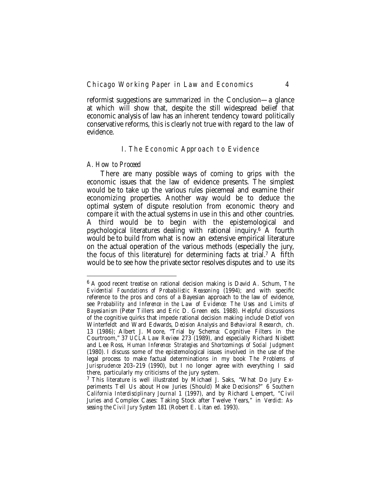reformist suggestions are summarized in the Conclusion—a glance at which will show that, despite the still widespread belief that economic analysis of law has an inherent tendency toward politically conservative reforms, this is clearly not true with regard to the law of evidence.

#### I. The Economic Approach to Evidence

#### *A. How to Proceed*

÷,

There are many possible ways of coming to grips with the economic issues that the law of evidence presents. The simplest would be to take up the various rules piecemeal and examine their economizing properties. Another way would be to deduce the optimal system of dispute resolution from economic theory and compare it with the actual systems in use in this and other countries. A third would be to begin with the epistemological and psychological literatures dealing with rational inquiry.6 A fourth would be to build from what is now an extensive empirical literature on the actual operation of the various methods (especially the jury, the focus of this literature) for determining facts at trial.7 A fifth would be to see how the private sector resolves disputes and to use its

<sup>6</sup> A good recent treatise on rational decision making is David A. Schum, *The Evidential Foundations of Probabilistic Reasoning* (1994); and with specific reference to the pros and cons of a Bayesian approach to the law of evidence, see *Probability and Inference in the Law of Evidence: The Uses and Limits of Bayesianism* (Peter Tillers and Eric D. Green eds. 1988). Helpful discussions of the cognitive quirks that impede rational decision making include Detlof von Winterfeldt and Ward Edwards, *Decision Analysis and Behavioral Research*, ch. 13 (1986); Albert J. Moore, "Trial by Schema: Cognitive Filters in the Courtroom," 37 *UCLA Law Review* 273 (1989), and especially Richard Nisbett and Lee Ross, *Human Inference: Strategies and Shortcomings of Social Judgment* (1980). I discuss some of the epistemological issues involved in the use of the legal process to make factual determinations in my book *The Problems of Jurisprudence* 203–219 (1990), but I no longer agree with everything I said there, particularly my criticisms of the jury system.

<sup>7</sup> This literature is well illustrated by Michael J. Saks, "What Do Jury Experiments Tell Us about How Juries (Should) Make Decisions?" 6 *Southern California Interdisciplinary Journal* 1 (1997), and by Richard Lempert, "Civil Juries and Complex Cases: Taking Stock after Twelve Years," in *Verdict: Assessing the Civil Jury System* 181 (Robert E. Litan ed. 1993).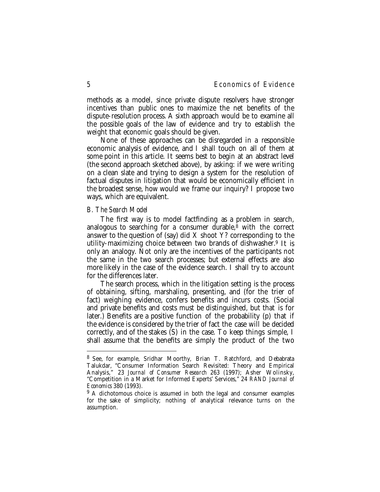methods as a model, since private dispute resolvers have stronger incentives than public ones to maximize the net benefits of the dispute-resolution process. A sixth approach would be to examine all the possible goals of the law of evidence and try to establish the weight that economic goals should be given.

None of these approaches can be disregarded in a responsible economic analysis of evidence, and I shall touch on all of them at some point in this article. It seems best to begin at an abstract level (the second approach sketched above), by asking: if we were writing on a clean slate and trying to design a system for the resolution of factual disputes in litigation that would be economically efficient in the broadest sense, how would we frame our inquiry? I propose two ways, which are equivalent.

#### *B. The Search Model*

The first way is to model factfinding as a problem in search, analogous to searching for a consumer durable, $\overline{8}$  with the correct answer to the question of (say) did X shoot Y? corresponding to the utility-maximizing choice between two brands of dishwasher.9 It is only an analogy. Not only are the incentives of the participants not the same in the two search processes; but external effects are also more likely in the case of the evidence search. I shall try to account for the differences later.

The search process, which in the litigation setting is the process of obtaining, sifting, marshaling, presenting, and (for the trier of fact) weighing evidence, confers benefits and incurs costs. (Social and private benefits and costs must be distinguished, but that is for later.) Benefits are a positive function of the probability (p) that if the evidence is considered by the trier of fact the case will be decided correctly, and of the stakes (S) in the case. To keep things simple, I shall assume that the benefits are simply the product of the two

<sup>8</sup> See, for example, Sridhar Moorthy, Brian T. Ratchford, and Debabrata Talukdar, "Consumer Information Search Revisited: Theory and Empirical Analysis," 23 *Journal of Consumer Research* 263 (1997); Asher Wolinsky, "Competition in a Market for Informed Experts' Services," 24 *RAND Journal of Economics* 380 (1993).

<sup>&</sup>lt;sup>9</sup> A dichotomous choice is assumed in both the legal and consumer examples for the sake of simplicity; nothing of analytical relevance turns on the assumption.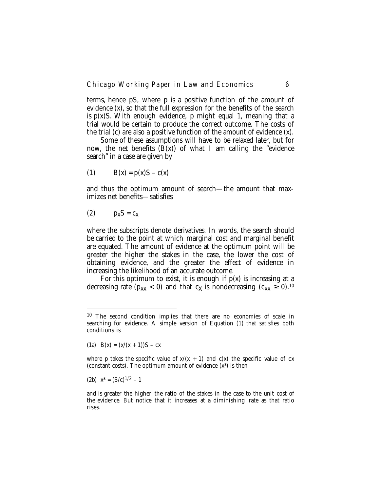terms, hence pS, where p is a positive function of the amount of evidence (x), so that the full expression for the benefits of the search is  $p(x)$ S. With enough evidence, p might equal 1, meaning that a trial would be certain to produce the correct outcome. The costs of the trial (c) are also a positive function of the amount of evidence (x).

Some of these assumptions will have to be relaxed later, but for now, the net benefits  $(B(x))$  of what I am calling the "evidence" search" in a case are given by

$$
(1) \qquad B(x) = p(x)S - c(x)
$$

and thus the optimum amount of search—the amount that maximizes net benefits—satisfies

(2)  $p_xS = c_x$ 

where the subscripts denote derivatives. In words, the search should be carried to the point at which marginal cost and marginal benefit are equated. The amount of evidence at the optimum point will be greater the higher the stakes in the case, the lower the cost of obtaining evidence, and the greater the effect of evidence in increasing the likelihood of an accurate outcome.

For this optimum to exist, it is enough if  $p(x)$  is increasing at a decreasing rate ( $p_{xx}$  < 0) and that  $c_x$  is nondecreasing ( $c_{xx} \ge 0$ ).<sup>10</sup>

(1a)  $B(x) = (x/(x + 1))S - cx$ 

(2b)  $x^* = (S/c)^{1/2} - 1$ 

<sup>&</sup>lt;sup>10</sup> The second condition implies that there are no economies of scale in searching for evidence. A simple version of Equation (1) that satisfies both conditions is

where p takes the specific value of  $x/(x + 1)$  and  $c(x)$  the specific value of cx (constant costs). The optimum amount of evidence  $(x^*)$  is then

and is greater the higher the ratio of the stakes in the case to the unit cost of the evidence. But notice that it increases at a diminishing rate as that ratio rises.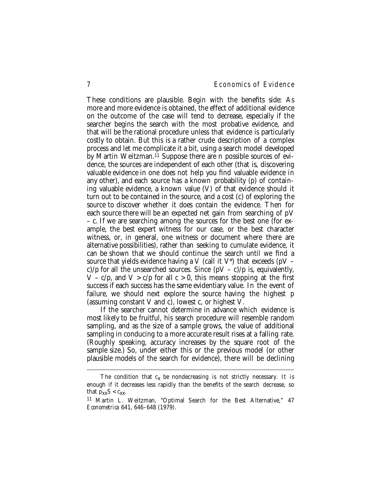These conditions are plausible. Begin with the benefits side: As more and more evidence is obtained, the effect of additional evidence on the outcome of the case will tend to decrease, especially if the searcher begins the search with the most probative evidence, and that will be the rational procedure unless that evidence is particularly costly to obtain. But this is a rather crude description of a complex process and let me complicate it a bit, using a search model developed by Martin Weitzman.11 Suppose there are n possible sources of evidence, the sources are independent of each other (that is, discovering valuable evidence in one does not help you find valuable evidence in any other), and each source has a known probability (p) of containing valuable evidence, a known value (V) of that evidence should it turn out to be contained in the source, and a cost (c) of exploring the source to discover whether it does contain the evidence. Then for each source there will be an expected net gain from searching of pV – c. If we are searching among the sources for the best one (for example, the best expert witness for our case, or the best character witness, or, in general, one witness or document where there are alternative possibilities), rather than seeking to cumulate evidence, it can be shown that we should continue the search until we find a source that yields evidence having a V (call it  $V^*$ ) that exceeds (pV – c)/p for all the unsearched sources. Since  $(pV - c)/p$  is, equivalently,  $V - c/p$ , and  $V > c/p$  for all  $c > 0$ , this means stopping at the first success if each success has the same evidentiary value. In the event of failure, we should next explore the source having the highest p (assuming constant V and c), lowest c, or highest V.

If the searcher cannot determine in advance which evidence is most likely to be fruitful, his search procedure will resemble random sampling, and as the size of a sample grows, the value of additional sampling in conducing to a more accurate result rises at a falling rate. (Roughly speaking, accuracy increases by the square root of the sample size.) So, under either this or the previous model (or other plausible models of the search for evidence), there will be declining

The condition that  $c_x$  be nondecreasing is not strictly necessary. It is enough if it decreases less rapidly than the benefits of the search decrease, so that  $p_{XX}S < c_{XX}$ .

<sup>11</sup> Martin L. Weitzman, "Optimal Search for the Best Alternative," 47 *Econometrica* 641, 646–648 (1979).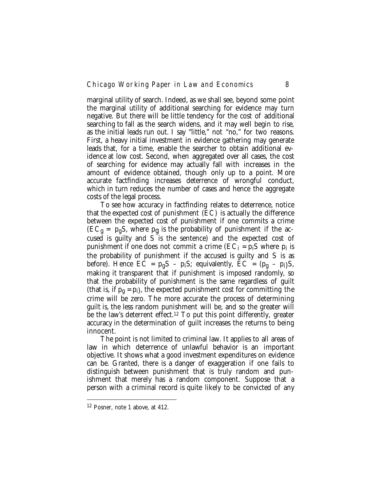marginal utility of search. Indeed, as we shall see, beyond some point the marginal utility of additional searching for evidence may turn negative. But there will be little tendency for the cost of additional searching to fall as the search widens, and it may well begin to rise, as the initial leads run out. I say "little," not "no," for two reasons. First, a heavy initial investment in evidence gathering may generate leads that, for a time, enable the searcher to obtain additional evidence at low cost. Second, when aggregated over all cases, the cost of searching for evidence may actually fall with increases in the amount of evidence obtained, though only up to a point. More accurate factfinding increases deterrence of wrongful conduct, which in turn reduces the number of cases and hence the aggregate costs of the legal process.

To see how accuracy in factfinding relates to deterrence, notice that the expected cost of punishment (EC) is actually the difference between the expected cost of punishment if one commits a crime  $(EC_g = p_gS,$  where  $p_g$  is the probability of punishment if the accused is guilty and S is the sentence) and the expected cost of punishment if one does not commit a crime  $(EC_i = p_iS)$  where  $p_i$  is the probability of punishment if the accused is guilty and S is as before). Hence  $\overrightarrow{EC} = p_gS - p_iS$ ; equivalently,  $\overrightarrow{EC} = (p_g - p_i)S$ , making it transparent that if punishment is imposed randomly, so that the probability of punishment is the same regardless of guilt (that is, if  $p_g = p_i$ ), the expected punishment cost for committing the crime will be zero. The more accurate the process of determining guilt is, the less random punishment will be, and so the greater will be the law's deterrent effect.12 To put this point differently, greater accuracy in the determination of guilt increases the returns to being innocent.

The point is not limited to criminal law. It applies to all areas of law in which deterrence of unlawful behavior is an important objective. It shows what a good investment expenditures on evidence can be. Granted, there is a danger of exaggeration if one fails to distinguish between punishment that is truly random and punishment that merely has a random component. Suppose that a person with a criminal record is quite likely to be convicted of any

<sup>12</sup> Posner, note 1 above, at 412.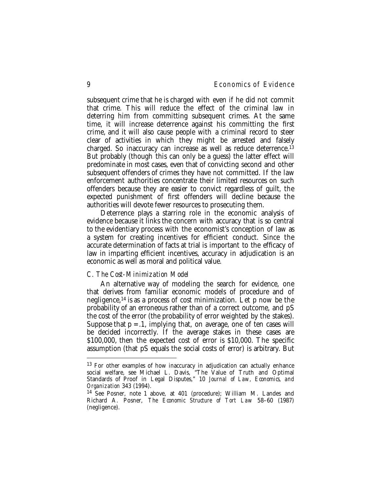subsequent crime that he is charged with even if he did not commit that crime. This will reduce the effect of the criminal law in deterring him from committing subsequent crimes. At the same time, it will increase deterrence against his committing the first crime, and it will also cause people with a criminal record to steer clear of activities in which they might be arrested and falsely charged. So inaccuracy can increase as well as reduce deterrence.13 But probably (though this can only be a guess) the latter effect will predominate in most cases, even that of convicting second and other subsequent offenders of crimes they have not committed. If the law enforcement authorities concentrate their limited resources on such offenders because they are easier to convict regardless of guilt, the expected punishment of first offenders will decline because the authorities will devote fewer resources to prosecuting them.

Deterrence plays a starring role in the economic analysis of evidence because it links the concern with accuracy that is so central to the evidentiary process with the economist's conception of law as a system for creating incentives for efficient conduct. Since the accurate determination of facts at trial is important to the efficacy of law in imparting efficient incentives, accuracy in adjudication is an economic as well as moral and political value.

#### *C. The Cost-Minimization Model*

An alternative way of modeling the search for evidence, one that derives from familiar economic models of procedure and of negligence,14 is as a process of cost minimization. Let p now be the probability of an erroneous rather than of a correct outcome, and pS the cost of the error (the probability of error weighted by the stakes). Suppose that  $p = 0.1$ , implying that, on average, one of ten cases will be decided incorrectly. If the average stakes in these cases are \$100,000, then the expected cost of error is \$10,000. The specific assumption (that pS equals the social costs of error) is arbitrary. But

÷,

<sup>&</sup>lt;sup>13</sup> For other examples of how inaccuracy in adjudication can actually enhance social welfare, see Michael L. Davis, "The Value of Truth and Optimal Standards of Proof in Legal Disputes," 10 *Journal of Law, Economics, and Organization* 343 (1994).

<sup>14</sup> See Posner, note 1 above, at 401 (procedure); William M. Landes and Richard A. Posner, *The Economic Structure of Tort Law* 58–60 (1987) (negligence).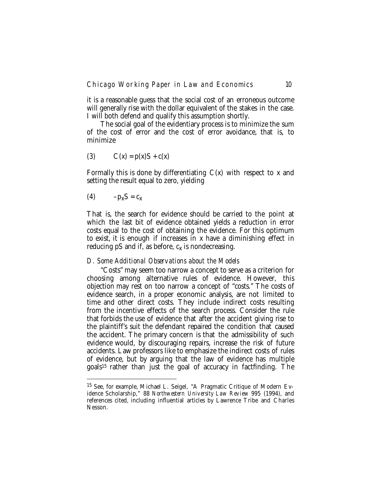it is a reasonable guess that the social cost of an erroneous outcome will generally rise with the dollar equivalent of the stakes in the case. I will both defend and qualify this assumption shortly.

The social goal of the evidentiary process is to minimize the sum of the cost of error and the cost of error avoidance, that is, to minimize

$$
(3) \qquad C(x) = p(x)S + c(x)
$$

Formally this is done by differentiating  $C(x)$  with respect to x and setting the result equal to zero, yielding

$$
(4) \qquad -p_X S = c_X
$$

L,

That is, the search for evidence should be carried to the point at which the last bit of evidence obtained yields a reduction in error costs equal to the cost of obtaining the evidence. For this optimum to exist, it is enough if increases in x have a diminishing effect in reducing  $pS$  and if, as before,  $c_x$  is nondecreasing.

#### *D. Some Additional Observations about the Models*

"Costs" may seem too narrow a concept to serve as a criterion for choosing among alternative rules of evidence. However, this objection may rest on too narrow a concept of "costs." The costs of evidence search, in a proper economic analysis, are not limited to time and other direct costs. They include indirect costs resulting from the incentive effects of the search process. Consider the rule that forbids the use of evidence that after the accident giving rise to the plaintiff's suit the defendant repaired the condition that caused the accident. The primary concern is that the admissibility of such evidence would, by discouraging repairs, increase the risk of future accidents. Law professors like to emphasize the indirect costs of rules of evidence, but by arguing that the law of evidence has multiple goals15 rather than just the goal of accuracy in factfinding. The

<sup>&</sup>lt;sup>15</sup> See, for example, Michael L. Seigel, "A Pragmatic Critique of Modern Evidence Scholarship," 88 *Northwestern University Law Review* 995 (1994), and references cited, including influential articles by Lawrence Tribe and Charles Nesson.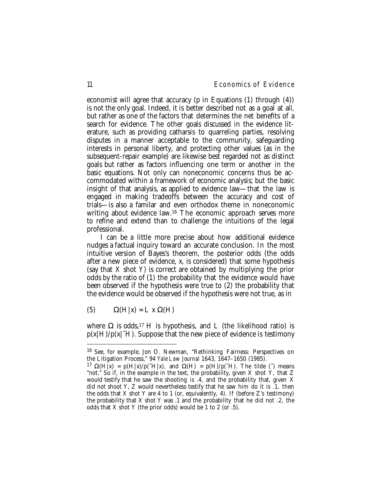economist will agree that accuracy (p in Equations (1) through (4)) is not the only goal. Indeed, it is better described not as a goal at all, but rather as one of the factors that determines the net benefits of a search for evidence. The other goals discussed in the evidence literature, such as providing catharsis to quarreling parties, resolving disputes in a manner acceptable to the community, safeguarding interests in personal liberty, and protecting other values (as in the subsequent-repair example) are likewise best regarded not as distinct goals but rather as factors influencing one term or another in the basic equations. Not only can noneconomic concerns thus be accommodated within a framework of economic analysis; but the basic insight of that analysis, as applied to evidence law—that the law is engaged in making tradeoffs between the accuracy and cost of trials—is also a familar and even orthodox theme in noneconomic writing about evidence law.16 The economic approach serves more to refine and extend than to challenge the intuitions of the legal professional.

I can be a little more precise about how additional evidence nudges a factual inquiry toward an accurate conclusion. In the most intuitive version of Bayes's theorem, the posterior odds (the odds after a new piece of evidence, x, is considered) that some hypothesis (say that X shot Y) is correct are obtained by multiplying the prior odds by the ratio of (1) the probability that the evidence would have been observed if the hypothesis were true to (2) the probability that the evidence would be observed if the hypothesis were not true, as in

(5)  $\Omega(H|x) = L x \Omega(H)$ 

-

where  $\Omega$  is odds,<sup>17</sup> H is hypothesis, and L (the likelihood ratio) is  $p(x|H)/p(x|\tilde{H})$ . Suppose that the new piece of evidence is testimony

<sup>16</sup> See, for example, Jon O. Newman, "Rethinking Fairness: Perspectives on the Litigation Process," 94 *Yale Law Journal* 1643, 1647–1650 (1985).

<sup>&</sup>lt;sup>17</sup>  $\Omega(H|x) = p(H|x)/p(H|x)$ , and  $\Omega(H) = p(H)/p(H)$ . The tilde ( $\tilde{f}$ ) means "not." So if, in the example in the text, the probability, given X shot Y, that Z would testify that he saw the shooting is .4, and the probability that, given X did not shoot Y, Z would nevertheless testify that he saw him do it is .1, then the odds that  $X$  shot  $Y$  are  $4$  to  $1$  (or, equivalently,  $4$ ). If (before  $Z$ 's testimony) the probability that X shot Y was .1 and the probability that he did not .2, the odds that X shot Y (the prior odds) would be 1 to 2 (or .5).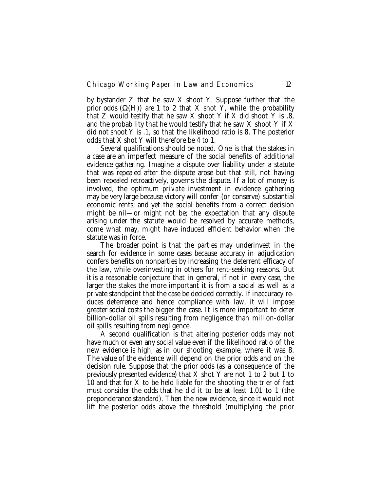by bystander Z that he saw X shoot Y. Suppose further that the prior odds  $(Q(H))$  are 1 to 2 that X shot Y, while the probability that  $Z$  would testify that he saw  $X$  shoot  $Y$  if  $X$  did shoot  $Y$  is  $\overline{0.8}$ , and the probability that he would testify that he saw X shoot Y if X did not shoot Y is .1, so that the likelihood ratio is 8. The posterior odds that X shot Y will therefore be 4 to 1.

Several qualifications should be noted. One is that the stakes in a case are an imperfect measure of the social benefits of additional evidence gathering. Imagine a dispute over liability under a statute that was repealed after the dispute arose but that still, not having been repealed retroactively, governs the dispute. If a lot of money is involved, the optimum *private* investment in evidence gathering may be very large because victory will confer (or conserve) substantial economic rents; and yet the social benefits from a correct decision might be nil—or might not be; the expectation that any dispute arising under the statute would be resolved by accurate methods, come what may, might have induced efficient behavior when the statute was in force.

The broader point is that the parties may underinvest in the search for evidence in some cases because accuracy in adjudication confers benefits on nonparties by increasing the deterrent efficacy of the law, while overinvesting in others for rent-seeking reasons. But it is a reasonable conjecture that in general, if not in every case, the larger the stakes the more important it is from a social as well as a private standpoint that the case be decided correctly. If inaccuracy reduces deterrence and hence compliance with law, it will impose greater social costs the bigger the case. It is more important to deter billion-dollar oil spills resulting from negligence than million-dollar oil spills resulting from negligence.

A second qualification is that altering posterior odds may not have much or even any social value even if the likelihood ratio of the new evidence is high, as in our shooting example, where it was 8. The value of the evidence will depend on the prior odds and on the decision rule. Suppose that the prior odds (as a consequence of the previously presented evidence) that X shot Y are not 1 to 2 but 1 to 10 and that for X to be held liable for the shooting the trier of fact must consider the odds that he did it to be at least 1.01 to 1 (the preponderance standard). Then the new evidence, since it would not lift the posterior odds above the threshold (multiplying the prior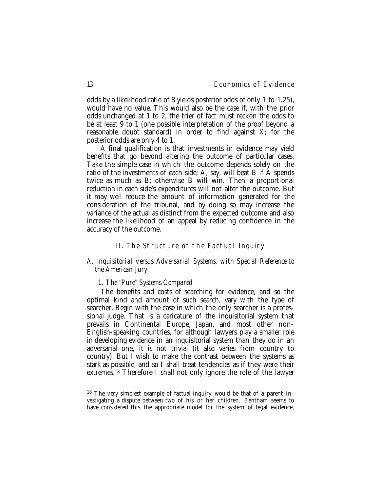odds by a likelihood ratio of 8 yields posterior odds of only 1 to 1.25), would have no value. This would also be the case if, with the prior odds unchanged at 1 to 2, the trier of fact must reckon the odds to be at least 9 to 1 (one possible interpretation of the proof beyond a reasonable doubt standard) in order to find against X; for the posterior odds are only 4 to 1.

A final qualification is that investments in evidence may yield benefits that go beyond altering the outcome of particular cases. Take the simple case in which the outcome depends solely on the ratio of the investments of each side; A, say, will beat B if A spends twice as much as B; otherwise B will win. Then a proportional reduction in each side's expenditures will not alter the outcome. But it may well reduce the amount of information generated for the consideration of the tribunal, and by doing so may increase the variance of the actual as distinct from the expected outcome and also increase the likelihood of an appeal by reducing confidence in the accuracy of the outcome.

#### II. The Structure of the Factual Inquiry

#### *A. Inquisitorial versus Adversarial Systems, with Special Reference to the American Jury*

#### *1. The "Pure" Systems Compared*

The benefits and costs of searching for evidence, and so the optimal kind and amount of such search, vary with the type of searcher. Begin with the case in which the only searcher is a professional judge. That is a caricature of the inquisitorial system that prevails in Continental Europe, Japan, and most other non-English-speaking countries, for although lawyers play a smaller role in developing evidence in an inquisitorial system than they do in an adversarial one, it is not trivial (it also varies from country to country). But I wish to make the contrast between the systems as stark as possible, and so I shall treat tendencies as if they were their extremes.18 Therefore I shall not only ignore the role of the lawyer

÷,

<sup>18</sup> The *very* simplest example of factual inquiry would be that of a parent investigating a dispute between two of his or her children. Bentham seems to have considered this the appropriate model for the system of legal evidence,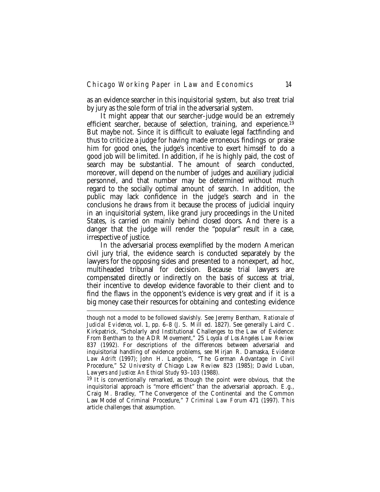as an evidence searcher in this inquisitorial system, but also treat trial by jury as the sole form of trial in the adversarial system.

It might appear that our searcher-judge would be an extremely efficient searcher, because of selection, training, and experience.19 But maybe not. Since it is difficult to evaluate legal factfinding and thus to criticize a judge for having made erroneous findings or praise him for good ones, the judge's incentive to exert himself to do a good job will be limited. In addition, if he is highly paid, the cost of search may be substantial. The amount of search conducted, moreover, will depend on the number of judges and auxiliary judicial personnel, and that number may be determined without much regard to the socially optimal amount of search. In addition, the public may lack confidence in the judge's search and in the conclusions he draws from it because the process of judicial inquiry in an inquisitorial system, like grand jury proceedings in the United States, is carried on mainly behind closed doors. And there is a danger that the judge will render the "popular" result in a case, irrespective of justice.

In the adversarial process exemplified by the modern American civil jury trial, the evidence search is conducted separately by the lawyers for the opposing sides and presented to a nonexpert, ad hoc, multiheaded tribunal for decision. Because trial lawyers are compensated directly or indirectly on the basis of success at trial, their incentive to develop evidence favorable to their client and to find the flaws in the opponent's evidence is very great and if it is a big money case their resources for obtaining and contesting evidence

-

 $19$  It is conventionally remarked, as though the point were obvious, that the inquisitorial approach is "more efficient" than the adversarial approach. E.g., Craig M. Bradley, "The Convergence of the Continental and the Common Law Model of Criminal Procedure," 7 *Criminal Law Forum* 471 (1997). This article challenges that assumption.

though not a model to be followed slavishly. See Jeremy Bentham, *Rationale of Judicial Evidence*, vol. 1, pp. 6–8 (J. S. Mill ed. 1827). See generally Laird C. Kirkpatrick, "Scholarly and Institutional Challenges to the Law of Evidence: From Bentham to the ADR Movement," 25 *Loyola of Los Angeles Law Review* 837 (1992). For descriptions of the differences between adversarial and inquisitorial handling of evidence problems, see Mirjan R. Damaska, *Evidence Law Adrift* (1997); John H. Langbein, "The German Advantage in Civil Procedure," 52 *University of Chicago Law Review* 823 (1985); David Luban, *Lawyers and Justice: An Ethical Study* 93–103 (1988).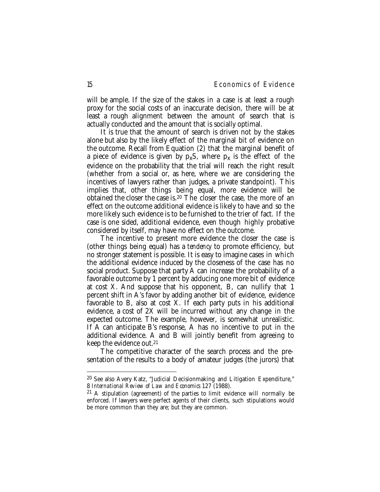will be ample. If the size of the stakes in a case is at least a rough proxy for the social costs of an inaccurate decision, there will be at least a rough alignment between the amount of search that is actually conducted and the amount that is socially optimal.

It is true that the amount of search is driven not by the stakes alone but also by the likely effect of the marginal bit of evidence on the outcome. Recall from Equation (2) that the marginal benefit of a piece of evidence is given by  $p_xS$ , where  $p_x$  is the effect of the evidence on the probability that the trial will reach the right result (whether from a social or, as here, where we are considering the incentives of lawyers rather than judges, a private standpoint). This implies that, other things being equal, more evidence will be obtained the closer the case is.20 The closer the case, the more of an effect on the outcome additional evidence is likely to have and so the more likely such evidence is to be furnished to the trier of fact. If the case is one sided, additional evidence, even though highly probative considered by itself, may have no effect on the outcome.

The incentive to present more evidence the closer the case is (other things being equal) has a *tendency* to promote efficiency, but no stronger statement is possible. It is easy to imagine cases in which the additional evidence induced by the closeness of the case has no social product. Suppose that party A can increase the probability of a favorable outcome by 1 percent by adducing one more bit of evidence at cost X. And suppose that his opponent, B, can nullify that 1 percent shift in A's favor by adding another bit of evidence, evidence favorable to B, also at cost X. If each party puts in his additional evidence, a cost of 2X will be incurred without any change in the expected outcome. The example, however, is somewhat unrealistic. If A can anticipate B's response, A has no incentive to put in the additional evidence. A and B will jointly benefit from agreeing to keep the evidence out.21

The competitive character of the search process and the presentation of the results to a body of amateur judges (the jurors) that

<sup>20</sup> See also Avery Katz, "Judicial Decisionmaking and Litigation Expenditure," 8 *International Review of Law and Economics* 127 (1988).

 $21$  A stipulation (agreement) of the parties to limit evidence will normally be enforced. If lawyers were perfect agents of their clients, such stipulations would be more common than they are; but they are common.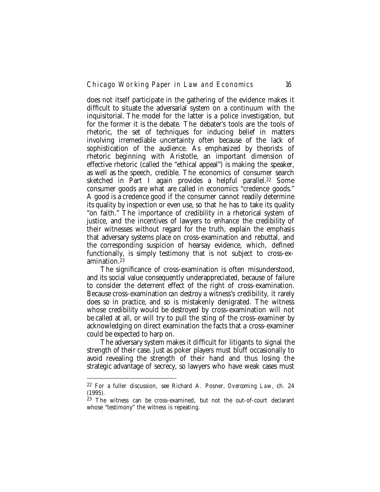does not itself participate in the gathering of the evidence makes it difficult to situate the adversarial system on a continuum with the inquisitorial. The model for the latter is a police investigation, but for the former it is the debate. The debater's tools are the tools of rhetoric, the set of techniques for inducing belief in matters involving irremediable uncertainty often because of the lack of sophistication of the audience. As emphasized by theorists of rhetoric beginning with Aristotle, an important dimension of effective rhetoric (called the "ethical appeal") is making the speaker, as well as the speech, credible. The economics of consumer search sketched in Part I again provides a helpful parallel.<sup>22</sup> Some consumer goods are what are called in economics "credence goods." A good is a credence good if the consumer cannot readily determine its quality by inspection or even use, so that he has to take its quality "on faith." The importance of credibility in a rhetorical system of justice, and the incentives of lawyers to enhance the credibility of their witnesses without regard for the truth, explain the emphasis that adversary systems place on cross-examination and rebuttal, and the corresponding suspicion of hearsay evidence, which, defined functionally, is simply testimony that is not subject to cross-examination.23

The significance of cross-examination is often misunderstood, and its social value consequently underappreciated, because of failure to consider the deterrent effect of the right of cross-examination. Because cross-examination *can* destroy a witness's credibility, it rarely does so in practice, and so is mistakenly denigrated. The witness whose credibility would be destroyed by cross-examination will not be called at all, or will try to pull the sting of the cross-examiner by acknowledging on direct examination the facts that a cross-examiner could be expected to harp on.

The adversary system makes it difficult for litigants to signal the strength of their case. Just as poker players must bluff occasionally to avoid revealing the strength of their hand and thus losing the strategic advantage of secrecy, so lawyers who have weak cases must

÷,

<sup>22</sup> For a fuller discussion, see Richard A. Posner, *Overcoming Law*, ch. 24 (1995).

<sup>23</sup> The witness can be cross-examined, but not the out-of-court declarant whose "testimony" the witness is repeating.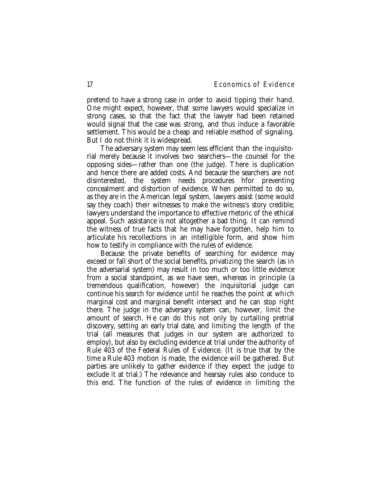pretend to have a strong case in order to avoid tipping their hand. One might expect, however, that some lawyers would specialize in strong cases, so that the fact that the lawyer had been retained would signal that the case was strong, and thus induce a favorable settlement. This would be a cheap and reliable method of signaling. But I do not think it is widespread.

The adversary system may seem less efficient than the inquisitorial merely because it involves two searchers—the counsel for the opposing sides—rather than one (the judge). There is duplication and hence there are added costs. And because the searchers are not disinterested, the system needs procedures hfor preventing concealment and distortion of evidence. When permitted to do so, as they are in the American legal system, lawyers assist (some would say they coach) their witnesses to make the witness's story credible; lawyers understand the importance to effective rhetoric of the ethical appeal. Such assistance is not altogether a bad thing. It can remind the witness of true facts that he may have forgotten, help him to articulate his recollections in an intelligible form, and show him how to testify in compliance with the rules of evidence.

Because the private benefits of searching for evidence may exceed or fall short of the social benefits, privatizing the search (as in the adversarial system) may result in too much or too little evidence from a social standpoint, as we have seen, whereas in principle (a tremendous qualification, however) the inquisitorial judge can continue his search for evidence until he reaches the point at which marginal cost and marginal benefit intersect and he can stop right there. The judge in the adversary system can, however, limit the amount of search. He can do this not only by curtailing pretrial discovery, setting an early trial date, and limiting the length of the trial (all measures that judges in our system are authorized to employ), but also by excluding evidence at trial under the authority of Rule 403 of the Federal Rules of Evidence. (It is true that by the time a Rule 403 motion is made, the evidence will be gathered. But parties are unlikely to gather evidence if they expect the judge to exclude it at trial.) The relevance and hearsay rules also conduce to this end. The function of the rules of evidence in limiting the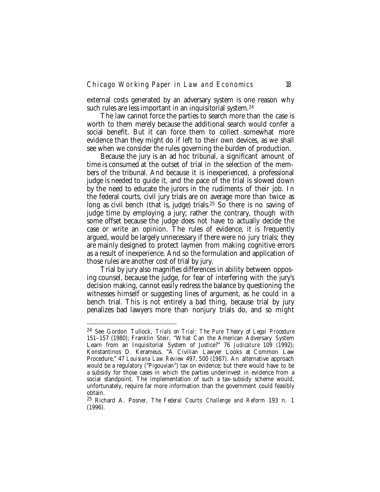external costs generated by an adversary system is one reason why such rules are less important in an inquisitorial system.<sup>24</sup>

The law cannot force the parties to search more than the case is worth to them merely because the additional search would confer a social benefit. But it can force them to collect somewhat more evidence than they might do if left to their own devices, as we shall see when we consider the rules governing the burden of production.

Because the jury is an ad hoc tribunal, a significant amount of time is consumed at the outset of trial in the selection of the members of the tribunal. And because it is inexperienced, a professional judge is needed to guide it, and the pace of the trial is slowed down by the need to educate the jurors in the rudiments of their job. In the federal courts, civil jury trials are on average more than twice as long as civil bench (that is, judge) trials.<sup>25</sup> So there is no saving of judge time by employing a jury; rather the contrary, though with some offset because the judge does not have to actually decide the case or write an opinion. The rules of evidence, it is frequently argued, would be largely unnecessary if there were no jury trials; they are mainly designed to protect laymen from making cognitive errors as a result of inexperience. And so the formulation and application of those rules are another cost of trial by jury.

Trial by jury also magnifies differences in ability between opposing counsel, because the judge, for fear of interfering with the jury's decision making, cannot easily redress the balance by questioning the witnesses himself or suggesting lines of argument, as he could in a bench trial. This is not entirely a bad thing, because trial by jury penalizes bad lawyers more than nonjury trials do, and so might

<sup>24</sup> See Gordon Tullock, *Trials on Trial: The Pure Theory of Legal Procedure* 151–157 (1980); Franklin Steir, "What Can the American Adversary System Learn from an Inquisitorial System of Justice?" 76 *Judicature* 109 (1992); Konstantinos D. Kerameus, "A Civilian Lawyer Looks at Common Law Procedure," 47 *Louisiana Law Review* 497, 500 (1987). An alternative approach would be a regulatory ("Pigouvian") tax on evidence; but there would have to be a subsidy for those cases in which the parties underinvest in evidence from a social standpoint. The implementation of such a tax-subsidy scheme would, unfortunately, require far more information than the government could feasibly obtain.

<sup>25</sup> Richard A. Posner, *The Federal Courts: Challenge and Reform* 193 n. 1 (1996).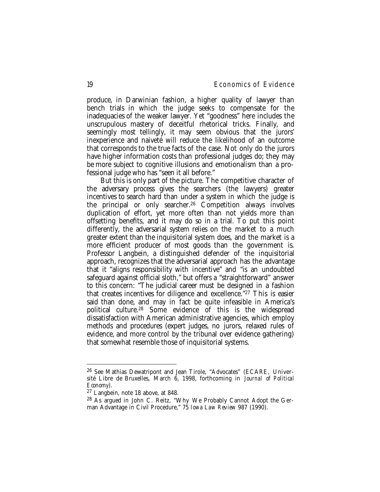produce, in Darwinian fashion, a higher quality of lawyer than bench trials in which the judge seeks to compensate for the inadequacies of the weaker lawyer. Yet "goodness" here includes the unscrupulous mastery of deceitful rhetorical tricks. Finally, and seemingly most tellingly, it may seem obvious that the jurors' inexperience and naiveté will reduce the likelihood of an outcome that corresponds to the true facts of the case. Not only do the jurors have higher information costs than professional judges do; they may be more subject to cognitive illusions and emotionalism than a professional judge who has "seen it all before."

But this is only part of the picture. The competitive character of the adversary process gives the searchers (the lawyers) greater incentives to search hard than under a system in which the judge is the principal or only searcher.26 Competition always involves duplication of effort, yet more often than not yields more than offsetting benefits, and it may do so in a trial. To put this point differently, the adversarial system relies on the market to a much greater extent than the inquisitorial system does, and the market is a more efficient producer of most goods than the government is. Professor Langbein, a distinguished defender of the inquisitorial approach, recognizes that the adversarial approach has the advantage that it "aligns responsibility with incentive" and "is an undoubted safeguard against official sloth," but offers a "straightforward" answer to this concern: "The judicial career must be designed in a fashion that creates incentives for diligence and excellence."27 This is easier said than done, and may in fact be quite infeasible in America's political culture.28 Some evidence of this is the widespread dissatisfaction with American administrative agencies, which employ methods and procedures (expert judges, no jurors, relaxed rules of evidence, and more control by the tribunal over evidence gathering) that somewhat resemble those of inquisitorial systems.

<sup>26</sup> See Mathias Dewatripont and Jean Tirole, "Advocates" (ECARE, Université Libre de Bruxelles, March 6, 1998, forthcoming in *Journal of Political Economy*).

<sup>27</sup> Langbein, note 18 above, at 848.

<sup>28</sup> As argued in John C. Reitz, "Why We Probably Cannot Adopt the German Advantage in Civil Procedure," 75 *Iowa Law Review* 987 (1990).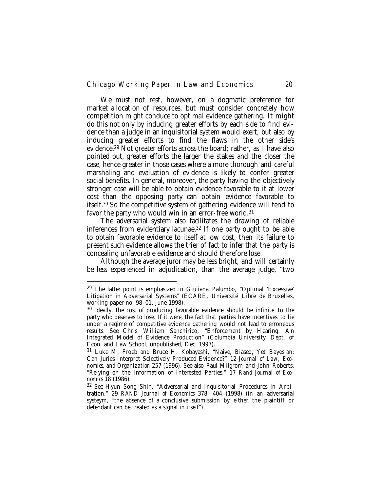We must not rest, however, on a dogmatic preference for market allocation of resources, but must consider concretely how competition might conduce to optimal evidence gathering. It might do this not only by inducing greater efforts by each side to find evidence than a judge in an inquisitorial system would exert, but also by inducing greater efforts to find the flaws in the other side's evidence.29 Not greater efforts across the board; rather, as I have also pointed out, greater efforts the larger the stakes and the closer the case, hence greater in those cases where a more thorough and careful marshaling and evaluation of evidence is likely to confer greater social benefits. In general, moreover, the party having the objectively stronger case will be able to obtain evidence favorable to it at lower cost than the opposing party can obtain evidence favorable to itself.30 So the competitive system of gathering evidence will tend to favor the party who would win in an error-free world.<sup>31</sup>

The adversarial system also facilitates the drawing of reliable inferences from evidentiary lacunae.32 If one party ought to be able to obtain favorable evidence to itself at low cost, then its failure to present such evidence allows the trier of fact to infer that the party is concealing unfavorable evidence and should therefore lose.

Although the average juror may be less bright, and will certainly be less experienced in adjudication, than the average judge, "two

÷,

<sup>29</sup> The latter point is emphasized in Giuliana Palumbo, "Optimal 'Excessive' Litigation in Adversarial Systems" (ECARE, Université Libre de Bruxelles, working paper no. 98–01, June 1998).

<sup>&</sup>lt;sup>30</sup> Ideally, the cost of producing favorable evidence should be infinite to the party who deserves to lose. If it were, the fact that parties have incentives to lie under a regime of competitive evidence gathering would not lead to erroneous results. See Chris William Sanchirico, "Enforcement by Hearing: An Integrated Model of Evidence Production" (Columbia University Dept. of Econ. and Law School, unpublished, Dec. 1997).

<sup>31</sup> Luke M. Froeb and Bruce H. Kobayashi, "Naive, Biased, Yet Bayesian: Can Juries Interpret Selectively Produced Evidence?" 12 *Journal of Law, Economics, and Organization* 257 (1996). See also Paul Milgrom and John Roberts, "Relying on the Information of Interested Parties," 17 *Rand Journal of Economics* 18 (1986).

<sup>32</sup> See Hyun Song Shin, "Adversarial and Inquisitorial Procedures in Arbitration," 29 *RAND Journal of Economics* 378, 404 (1998) (in an adversarial systeym, "the absence of a conclusive submission by either the plaintiff or defendant can be treated as a signal in itself").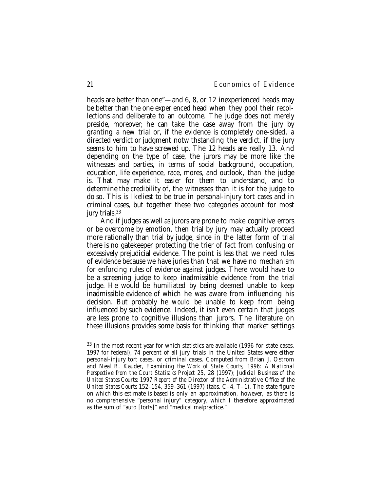heads are better than one"—and 6, 8, or 12 inexperienced heads may be better than the one experienced head when they pool their recollections and deliberate to an outcome. The judge does not merely preside, moreover; he can take the case away from the jury by granting a new trial or, if the evidence is completely one-sided, a directed verdict or judgment notwithstanding the verdict, if the jury seems to him to have screwed up. The 12 heads are really 13. And depending on the type of case, the jurors may be more like the witnesses and parties, in terms of social background, occupation, education, life experience, race, mores, and outlook, than the judge is. That may make it easier for them to understand, and to determine the credibility of, the witnesses than it is for the judge to do so. This is likeliest to be true in personal-injury tort cases and in criminal cases, but together these two categories account for most jury trials.33

And if judges as well as jurors are prone to make cognitive errors or be overcome by emotion, then trial by jury may actually proceed more rationally than trial by judge, since in the latter form of trial there is no gatekeeper protecting the trier of fact from confusing or excessively prejudicial evidence. The point is less that we need rules of evidence because we have juries than that we have no mechanism for enforcing rules of evidence against judges. There would have to be a screening judge to keep inadmissible evidence from the trial judge. He would be humiliated by being deemed unable to keep inadmissible evidence of which he was aware from influencing his decision. But probably he *would* be unable to keep from being influenced by such evidence. Indeed, it isn't even certain that judges are less prone to cognitive illusions than jurors. The literature on these illusions provides some basis for thinking that market settings

<sup>33</sup> In the most recent year for which statistics are available (1996 for state cases, 1997 for federal), 74 percent of all jury trials in the United States were either personal-injury tort cases, or criminal cases. Computed from Brian J. Ostrom and Neal B. Kauder, *Examining the Work of State Courts, 1996: A National Perspective from the Court Statistics Project* 25, 28 (1997); *Judicial Business of the United States Courts: 1997 Report of the Director of the Administrative Office of the United States Courts* 152–154, 359–361 (1997) (tabs. C–4, T–1). The state figure on which this estimate is based is only an approximation, however, as there is no comprehensive "personal injury" category, which I therefore approximated as the sum of "auto [torts]" and "medical malpractice."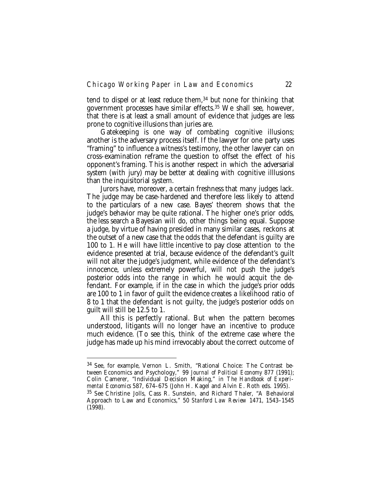tend to dispel or at least reduce them,<sup>34</sup> but none for thinking that government processes have similar effects.35 We shall see, however, that there is at least a small amount of evidence that judges are less prone to cognitive illusions than juries are.

Gatekeeping is one way of combating cognitive illusions; another is the adversary process itself. If the lawyer for one party uses "framing" to influence a witness's testimony, the other lawyer can on cross-examination reframe the question to offset the effect of his opponent's framing. This is another respect in which the adversarial system (with jury) may be better at dealing with cognitive illlusions than the inquisitorial system.

Jurors have, moreover, a certain freshness that many judges lack. The judge may be case-hardened and therefore less likely to attend to the particulars of a new case. Bayes' theorem shows that the judge's behavior may be quite rational. The higher one's prior odds, the less search a Bayesian will do, other things being equal. Suppose a judge, by virtue of having presided in many similar cases, reckons at the outset of a new case that the odds that the defendant is guilty are 100 to 1. He will have little incentive to pay close attention to the evidence presented at trial, because evidence of the defendant's guilt will not alter the judge's judgment, while evidence of the defendant's innocence, unless extremely powerful, will not push the judge's posterior odds into the range in which he would acquit the defendant. For example, if in the case in which the judge's prior odds are 100 to 1 in favor of guilt the evidence creates a likelihood ratio of 8 to 1 that the defendant is not guilty, the judge's posterior odds on guilt will still be 12.5 to 1.

All this is perfectly rational. But when the pattern becomes understood, litigants will no longer have an incentive to produce much evidence. (To see this, think of the extreme case where the judge has made up his mind irrevocably about the correct outcome of

÷,

(1998).

<sup>34</sup> See, for example, Vernon L. Smith, "Rational Choice: The Contrast between Economics and Psychology," 99 *Journal of Political Economy* 877 (1991); Colin Camerer, "Individual Decision Making," in *The Handbook of Experimental Economics* 587, 674–675 (John H. Kagel and Alvin E. Roth eds. 1995). 35 See Christine Jolls, Cass R. Sunstein, and Richard Thaler, "A Behavioral Approach to Law and Economics," 50 *Stanford Law Review* 1471, 1543–1545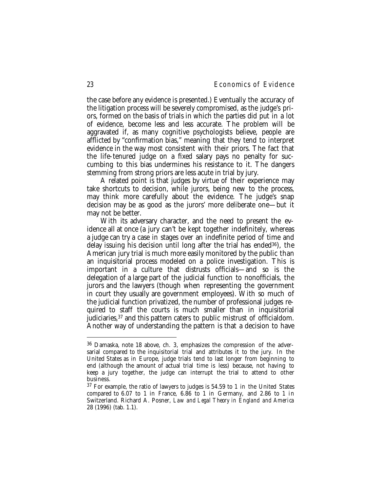the case before any evidence is presented.) Eventually the accuracy of the litigation process will be severely compromised, as the judge's priors, formed on the basis of trials in which the parties did put in a lot of evidence, become less and less accurate. The problem will be aggravated if, as many cognitive psychologists believe, people are afflicted by "confirmation bias," meaning that they tend to interpret evidence in the way most consistent with their priors. The fact that the life-tenured judge on a fixed salary pays no penalty for succumbing to this bias undermines his resistance to it. The dangers stemming from strong priors are less acute in trial by jury.

A related point is that judges by virtue of their experience may take shortcuts to decision, while jurors, being new to the process, may think more carefully about the evidence. The judge's snap decision may be as good as the jurors' more deliberate one—but it may not be better.

With its adversary character, and the need to present the evidence all at once (a jury can't be kept together indefinitely, whereas a judge can try a case in stages over an indefinite period of time and delay issuing his decision until long after the trial has ended36), the American jury trial is much more easily monitored by the public than an inquisitorial process modeled on a police investigation. This is important in a culture that distrusts officials—and so is the delegation of a large part of the judicial function to nonofficials, the jurors and the lawyers (though when representing the government in court they usually are government employees). With so much of the judicial function privatized, the number of professional judges required to staff the courts is much smaller than in inquisitorial judiciaries,37 and this pattern caters to public mistrust of officialdom. Another way of understanding the pattern is that a decision to have

÷,

<sup>36</sup> Damaska, note 18 above, ch. 3, emphasizes the compression of the adversarial compared to the inquisitorial trial and attributes it to the jury. In the United States as in Europe, judge trials tend to last longer from beginning to end (although the amount of actual trial time is less) because, not having to keep a jury together, the judge can interrupt the trial to attend to other business.

<sup>37</sup> For example, the ratio of lawyers to judges is 54.59 to 1 in the United States compared to 6.07 to 1 in France, 6.86 to 1 in Germany, and 2.86 to 1 in Switzerland. Richard A. Posner, *Law and Legal Theory in England and America* 28 (1996) (tab. 1.1).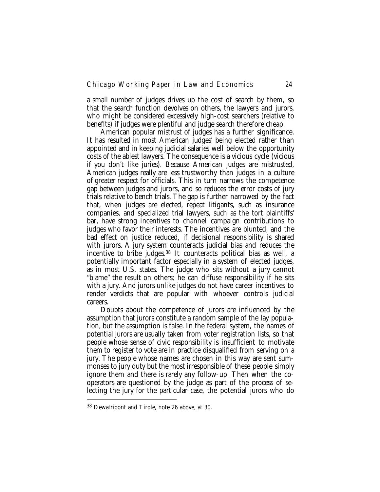a small number of judges drives up the cost of search by them, so that the search function devolves on others, the lawyers and jurors, who might be considered excessively high-cost searchers (relative to benefits) if judges were plentiful and judge search therefore cheap.

American popular mistrust of judges has a further significance. It has resulted in most American judges' being elected rather than appointed and in keeping judicial salaries well below the opportunity costs of the ablest lawyers. The consequence is a vicious cycle (vicious if you don't like juries). Because American judges are mistrusted, American judges really are less trustworthy than judges in a culture of greater respect for officials. This in turn narrows the competence gap between judges and jurors, and so reduces the error costs of jury trials relative to bench trials. The gap is further narrowed by the fact that, when judges are elected, repeat litigants, such as insurance companies, and specialized trial lawyers, such as the tort plaintiffs' bar, have strong incentives to channel campaign contributions to judges who favor their interests. The incentives are blunted, and the bad effect on justice reduced, if decisional responsibility is shared with jurors. A jury system counteracts judicial bias and reduces the incentive to bribe judges.38 It counteracts political bias as well, a potentially important factor especially in a system of elected judges, as in most U.S. states. The judge who sits without a jury cannot "blame" the result on others; he can diffuse responsibility if he sits with a jury. And jurors unlike judges do not have career incentives to render verdicts that are popular with whoever controls judicial careers.

Doubts about the competence of jurors are influenced by the assumption that jurors constitute a random sample of the lay population, but the assumption is false. In the federal system, the names of potential jurors are usually taken from voter registration lists, so that people whose sense of civic responsibility is insufficient to motivate them to register to vote are in practice disqualified from serving on a jury. The people whose names are chosen in this way are sent summonses to jury duty but the most irresponsible of these people simply ignore them and there is rarely any follow-up. Then when the cooperators are questioned by the judge as part of the process of selecting the jury for the particular case, the potential jurors who do

<sup>38</sup> Dewatripont and Tirole, note 26 above, at 30.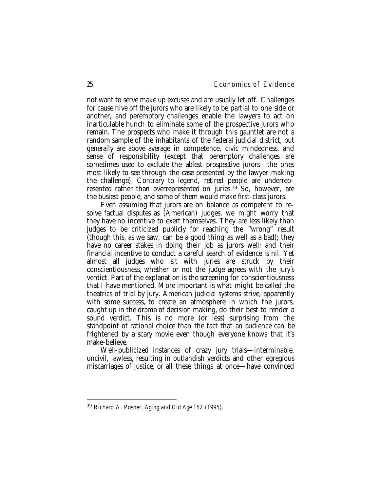not want to serve make up excuses and are usually let off. Challenges for cause hive off the jurors who are likely to be partial to one side or another, and peremptory challenges enable the lawyers to act on inarticulable hunch to eliminate some of the prospective jurors who remain. The prospects who make it through this gauntlet are not a random sample of the inhabitants of the federal judicial district, but generally are above average in competence, civic mindedness, and sense of responsibility (except that peremptory challenges are sometimes used to exclude the ablest prospective jurors—the ones most likely to see through the case presented by the lawyer making the challenge). Contrary to legend, retired people are underrepresented rather than overrepresented on juries.<sup>39</sup> So, however, are the busiest people, and some of them would make first-class jurors.

Even assuming that jurors are on balance as competent to resolve factual disputes as (American) judges, we might worry that they have no incentive to exert themselves. They are less likely than judges to be criticized publicly for reaching the "wrong" result (though this, as we saw, can be a good thing as well as a bad); they have no career stakes in doing their job as jurors well; and their financial incentive to conduct a careful search of evidence is nil. Yet almost all judges who sit with juries are struck by their conscientiousness, whether or not the judge agrees with the jury's verdict. Part of the explanation is the screening for conscientiousness that I have mentioned. More important is what might be called the theatrics of trial by jury. American judicial systems strive, apparently with some success, to create an atmosphere in which the jurors, caught up in the drama of decision making, do their best to render a sound verdict. This is no more (or less) surprising from the standpoint of rational choice than the fact that an audience can be frightened by a scary movie even though everyone knows that it's make-believe.

Well-publicized instances of crazy jury trials—interminable, uncivil, lawless, resulting in outlandish verdicts and other egregious miscarriages of justice, or all these things at once—have convinced

<sup>39</sup> Richard A. Posner, *Aging and Old Age* 152 (1995).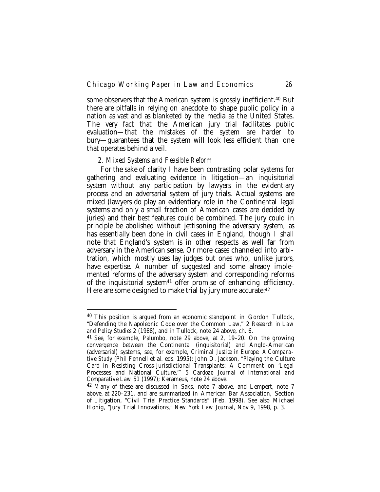some observers that the American system is grossly inefficient.40 But there are pitfalls in relying on anecdote to shape public policy in a nation as vast and as blanketed by the media as the United States. The very fact that the American jury trial facilitates public evaluation—that the mistakes of the system are harder to bury—guarantees that the system will look less efficient than one that operates behind a veil.

#### *2. Mixed Systems and Feasible Reform*

÷,

For the sake of clarity I have been contrasting polar systems for gathering and evaluating evidence in litigation—an inquisitorial system without any participation by lawyers in the evidentiary process and an adversarial system of jury trials. Actual systems are mixed (lawyers do play an evidentiary role in the Continental legal systems and only a small fraction of American cases are decided by juries) and their best features could be combined. The jury could in principle be abolished without jettisoning the adversary system, as has essentially been done in civil cases in England, though I shall note that England's system is in other respects as well far from adversary in the American sense. Or more cases channeled into arbitration, which mostly uses lay judges but ones who, unlike jurors, have expertise. A number of suggested and some already implemented reforms of the adversary system and corresponding reforms of the inquisitorial system<sup>41</sup> offer promise of enhancing efficiency. Here are some designed to make trial by jury more accurate: 42

<sup>40</sup> This position is argued from an economic standpoint in Gordon Tullock, "Defending the Napoleonic Code over the Common Law," 2 *Research in Law and Policy Studies* 2 (1988), and in Tullock, note 24 above, ch. 6.

<sup>41</sup> See, for example, Palumbo, note 29 above, at 2, 19–20. On the growing convergence between the Continental (inquisitorial) and Anglo-American (adversarial) systems, see, for example, *Criminal Justice in Europe: A Comparative Study* (Phil Fennell et al. eds. 1995); John D. Jackson, "Playing the Culture Card in Resisting Cross-Jurisdictional Transplants: A Comment on 'Legal Processes and National Culture,'" 5 *Cardozo Journal of International and Comparative Law* 51 (1997); Kerameus, note 24 above.

<sup>42</sup> Many of these are discussed in Saks, note 7 above, and Lempert, note 7 above, at 220–231, and are summarized in American Bar Association, Section of Litigation, "Civil Trial Practice Standards" (Feb. 1998). See also Michael Honig, "Jury Trial Innovations," *New York Law Journal*, Nov 9, 1998, p. 3.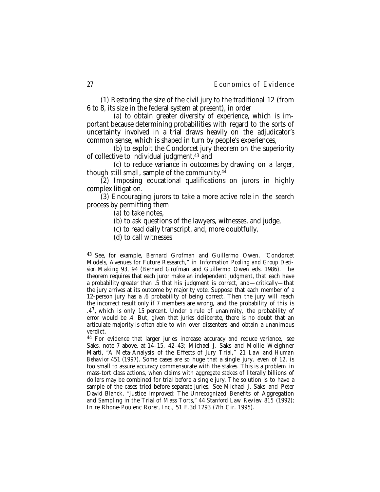(1) Restoring the size of the civil jury to the traditional 12 (from 6 to 8, its size in the federal system at present), in order

(a) to obtain greater diversity of experience, which is important because determining probabilities with regard to the sorts of uncertainty involved in a trial draws heavily on the adjudicator's common sense, which is shaped in turn by people's experiences,

(b) to exploit the Condorcet jury theorem on the superiority of collective to individual judgment,43 and

(c) to reduce variance in outcomes by drawing on a larger, though still small, sample of the community.44

(2) Imposing educational qualifications on jurors in highly complex litigation.

(3) Encouraging jurors to take a more active role in the search process by permitting them

(a) to take notes,

(b) to ask questions of the lawyers, witnesses, and judge,

(c) to read daily transcript, and, more doubtfully,

(d) to call witnesses

÷,

<sup>43</sup> See, for example, Bernard Grofman and Guillermo Owen, "Condorcet Models, Avenues for Future Research," in *Information Pooling and Group Decision Making* 93, 94 (Bernard Grofman and Guillermo Owen eds. 1986). The theorem requires that each juror make an independent judgment, that each have a probability greater than .5 that his judgment is correct, and—critically—that the jury arrives at its outcome by majority vote. Suppose that each member of a 12-person jury has a .6 probability of being correct. Then the jury will reach the incorrect result only if 7 members are wrong, and the probability of this is .47, which is only 15 percent. Under a rule of unanimity, the probability of error would be .4. But, given that juries deliberate, there is no doubt that an articulate majority is often able to win over dissenters and obtain a unanimous verdict.

<sup>44</sup> For evidence that larger juries increase accuracy and reduce variance, see Saks, note 7 above, at 14–15, 42–43; Michael J. Saks and Mollie Weighner Marti, "A Meta-Analysis of the Effects of Jury Trial," 21 *Law and Human Behavior* 451 (1997). Some cases are so huge that a single jury, even of 12, is too small to assure accuracy commensurate with the stakes. This is a problem in mass-tort class actions, when claims with aggregate stakes of literally billions of dollars may be combined for trial before a single jury. The solution is to have a sample of the cases tried before separate juries. See Michael J. Saks and Peter David Blanck, "Justice Improved: The Unrecognized Benefits of Aggregation and Sampling in the Trial of Mass Torts," 44 *Stanford Law Review* 815 (1992); In re Rhone-Poulenc Rorer, Inc., 51 F.3d 1293 (7th Cir. 1995).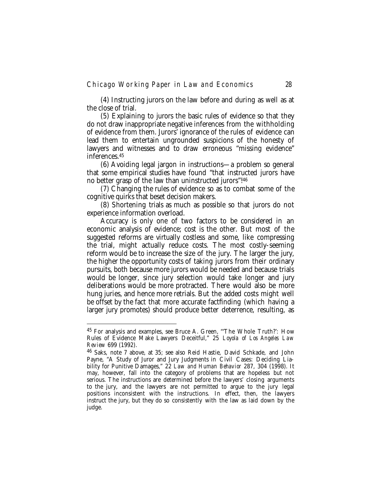(4) Instructing jurors on the law before and during as well as at the close of trial.

(5) Explaining to jurors the basic rules of evidence so that they do not draw inappropriate negative inferences from the withholding of evidence from them. Jurors' ignorance of the rules of evidence can lead them to entertain ungrounded suspicions of the honesty of lawyers and witnesses and to draw erroneous "missing evidence" inferences.45

(6) Avoiding legal jargon in instructions—a problem so general that some empirical studies have found "that instructed jurors have no better grasp of the law than uninstructed jurors"!46

(7) Changing the rules of evidence so as to combat some of the cognitive quirks that beset decision makers.

(8) Shortening trials as much as possible so that jurors do not experience information overload.

Accuracy is only one of two factors to be considered in an economic analysis of evidence; cost is the other. But most of the suggested reforms are virtually costless and some, like compressing the trial, might actually reduce costs. The most costly-seeming reform would be to increase the size of the jury. The larger the jury, the higher the opportunity costs of taking jurors from their ordinary pursuits, both because more jurors would be needed and because trials would be longer, since jury selection would take longer and jury deliberations would be more protracted. There would also be more hung juries, and hence more retrials. But the added costs might well be offset by the fact that more accurate factfinding (which having a larger jury promotes) should produce better deterrence, resulting, as

<sup>45</sup> For analysis and examples, see Bruce A. Green, "'The Whole Truth?': How Rules of Evidence Make Lawyers Deceitful," 25 *Loyola of Los Angeles Law Review* 699 (1992).

<sup>46</sup> Saks, note 7 above, at 35; see also Reid Hastie, David Schkade, and John Payne, "A Study of Juror and Jury Judgments in Civil Cases: Deciding Liability for Punitive Damages," 22 *Law and Human Behavior* 287, 304 (1998). It may, however, fall into the category of problems that are hopeless but not serious. The instructions are determined before the lawyers' closing arguments to the jury, and the lawyers are not permitted to argue to the jury legal positions inconsistent with the instructions. In effect, then, the lawyers instruct the jury, but they do so consistently with the law as laid down by the judge.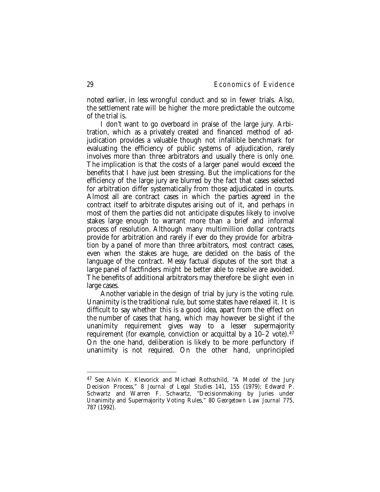noted earlier, in less wrongful conduct and so in fewer trials. Also, the settlement rate will be higher the more predictable the outcome of the trial is.

I don't want to go overboard in praise of the large jury. Arbitration, which as a privately created and financed method of adjudication provides a valuable though not infallible benchmark for evaluating the efficiency of public systems of adjudication, rarely involves more than three arbitrators and usually there is only one. The implication is that the costs of a larger panel would exceed the benefits that I have just been stressing. But the implications for the efficiency of the large jury are blurred by the fact that cases selected for arbitration differ systematically from those adjudicated in courts. Almost all are contract cases in which the parties agreed in the contract itself to arbitrate disputes arising out of it, and perhaps in most of them the parties did not anticipate disputes likely to involve stakes large enough to warrant more than a brief and informal process of resolution. Although many multimillion dollar contracts provide for arbitration and rarely if ever do they provide for arbitration by a panel of more than three arbitrators, most contract cases, even when the stakes are huge, are decided on the basis of the language of the contract. Messy factual disputes of the sort that a large panel of factfinders might be better able to resolve are avoided. The benefits of additional arbitrators may therefore be slight even in large cases.

Another variable in the design of trial by jury is the voting rule. Unanimity is the traditional rule, but some states have relaxed it. It is difficult to say whether this is a good idea, apart from the effect on the number of cases that hang, which may however be slight if the unanimity requirement gives way to a lesser supermajority requirement (for example, conviction or acquittal by a 10–2 vote).47 On the one hand, deliberation is likely to be more perfunctory if unanimity is not required. On the other hand, unprincipled

<sup>47</sup> See Alvin K. Klevorick and Michael Rothschild, "A Model of the Jury Decision Process," 8 *Journal of Legal Studies* 141, 155 (1979); Edward P. Schwartz and Warren F. Schwartz, "Decisionmaking by Juries under Unanimity and Supermajority Voting Rules," 80 *Georgetown Law Journal* 775, 787 (1992).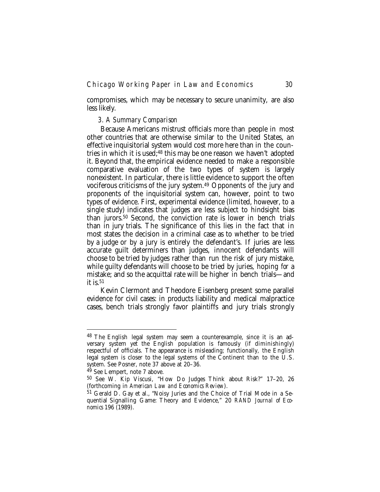compromises, which may be necessary to secure unanimity, are also less likely.

#### *3. A Summary Comparison*

Because Americans mistrust officials more than people in most other countries that are otherwise similar to the United States, an effective inquisitorial system would cost more here than in the countries in which it is used;48 this may be one reason we haven't adopted it. Beyond that, the empirical evidence needed to make a responsible comparative evaluation of the two types of system is largely nonexistent. In particular, there is little evidence to support the often vociferous criticisms of the jury system.49 Opponents of the jury and proponents of the inquisitorial system can, however, point to two types of evidence. First, experimental evidence (limited, however, to a single study) indicates that judges are less subject to hindsight bias than jurors.50 Second, the conviction rate is lower in bench trials than in jury trials. The significance of this lies in the fact that in most states the decision in a criminal case as to whether to be tried by a judge or by a jury is entirely the defendant's. If juries are less accurate guilt determiners than judges, innocent defendants will choose to be tried by judges rather than run the risk of jury mistake, while guilty defendants will choose to be tried by juries, hoping *for* a mistake; and so the acquittal rate will be higher in bench trials—and it is  $51$ 

Kevin Clermont and Theodore Eisenberg present some parallel evidence for civil cases: in products liability and medical malpractice cases, bench trials strongly favor plaintiffs and jury trials strongly

<sup>48</sup> The English legal system may seem a counterexample, since it is an adversary system yet the English population is famously (if diminishingly) respectful of officials. The appearance is misleading; functionally, the English legal system is closer to the legal systems of the Continent than to the U.S. system. See Posner, note 37 above at 20–36.

<sup>49</sup> See Lempert, note 7 above.

<sup>50</sup> See W. Kip Viscusi, "How Do Judges Think about Risk?" 17–20, 26 (forthcoming in *American Law and Economics Review*).

<sup>51</sup> Gerald D. Gay et al., "Noisy Juries and the Choice of Trial Mode in a Sequential Signalling Game: Theory and Evidence," 20 *RAND Journal of Economics* 196 (1989).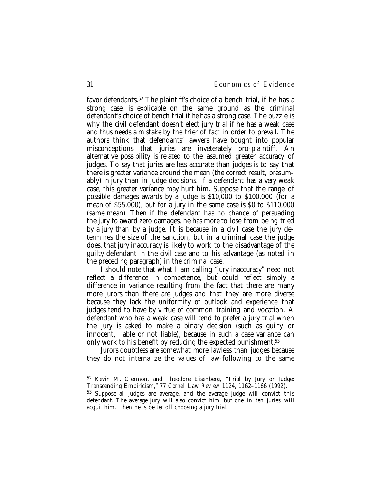favor defendants.52 The plaintiff's choice of a bench trial, if he has a strong case, is explicable on the same ground as the criminal defendant's choice of bench trial if *he* has a strong case. The puzzle is why the civil defendant doesn't elect jury trial if he has a weak case and thus needs a mistake by the trier of fact in order to prevail. The authors think that defendants' lawyers have bought into popular misconceptions that juries are inveterately pro-plaintiff. An alternative possibility is related to the assumed greater accuracy of judges. To say that juries are less accurate than judges is to say that there is greater variance around the mean (the correct result, presumably) in jury than in judge decisions. If a defendant has a very weak case, this greater variance may hurt him. Suppose that the range of possible damages awards by a judge is \$10,000 to \$100,000 (for a mean of \$55,000), but for a jury in the same case is \$0 to \$110,000 (same mean). Then if the defendant has no chance of persuading the jury to award zero damages, he has more to lose from being tried by a jury than by a judge. It is because in a civil case the jury determines the size of the sanction, but in a criminal case the judge does, that jury inaccuracy is likely to work to the disadvantage of the guilty defendant in the civil case and to his advantage (as noted in the preceding paragraph) in the criminal case.

I should note that what I am calling "jury inaccuracy" need not reflect a difference in competence, but could reflect simply a difference in variance resulting from the fact that there are many more jurors than there are judges and that they are more diverse because they lack the uniformity of outlook and experience that judges tend to have by virtue of common training and vocation. A defendant who has a weak case will tend to prefer a jury trial when the jury is asked to make a binary decision (such as guilty or innocent, liable or not liable), because in such a case variance can only work to his benefit by reducing the expected punishment.53

Jurors doubtless are somewhat more lawless than judges because they do not internalize the values of law-following to the same

<sup>52</sup> Kevin M. Clermont and Theodore Eisenberg, "Trial by Jury or Judge: Transcending Empiricism," 77 *Cornell Law Review* 1124, 1162–1166 (1992).

<sup>53</sup> Suppose all judges are average, and the average judge will convict this defendant. The average jury will also convict him, but one in ten juries will acquit him. Then he is better off choosing a jury trial.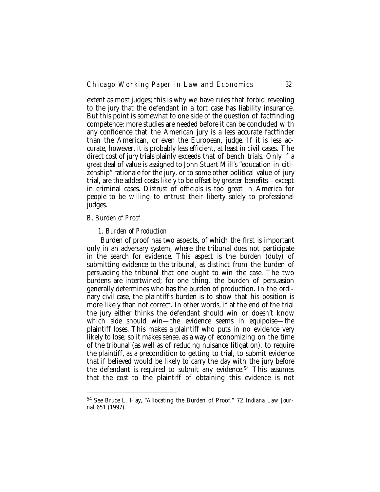extent as most judges; this is why we have rules that forbid revealing to the jury that the defendant in a tort case has liability insurance. But this point is somewhat to one side of the question of factfinding competence; more studies are needed before it can be concluded with any confidence that the American jury is a less accurate factfinder than the American, or even the European, judge. If it is less accurate, however, it is probably less efficient, at least in civil cases. The direct cost of jury trials plainly exceeds that of bench trials. Only if a great deal of value is assigned to John Stuart Mill's "education in citizenship" rationale for the jury, or to some other political value of jury trial, are the added costs likely to be offset by greater benefits—except in criminal cases. Distrust of officials is too great in America for people to be willing to entrust their liberty solely to professional judges.

#### *B. Burden of Proof*

-

#### *1. Burden of Production*

Burden of proof has two aspects, of which the first is important only in an adversary system, where the tribunal does not participate in the search for evidence. This aspect is the burden (duty) of submitting evidence to the tribunal, as distinct from the burden of persuading the tribunal that one ought to win the case. The two burdens are intertwined; for one thing, the burden of persuasion generally determines who has the burden of production. In the ordinary civil case, the plaintiff's burden is to show that his position is more likely than not correct. In other words, if at the end of the trial the jury either thinks the defendant should win or doesn't know which side should win—the evidence seems in equipoise—the plaintiff loses. This makes a plaintiff who puts in no evidence very likely to lose; so it makes sense, as a way of economizing on the time of the tribunal (as well as of reducing nuisance litigation), to require the plaintiff, as a precondition to getting to trial, to submit evidence that if believed would be likely to carry the day with the jury before the defendant is required to submit any evidence.54 This assumes that the cost to the plaintiff of obtaining this evidence is not

<sup>54</sup> See Bruce L. Hay, "Allocating the Burden of Proof," 72 *Indiana Law Journal* 651 (1997).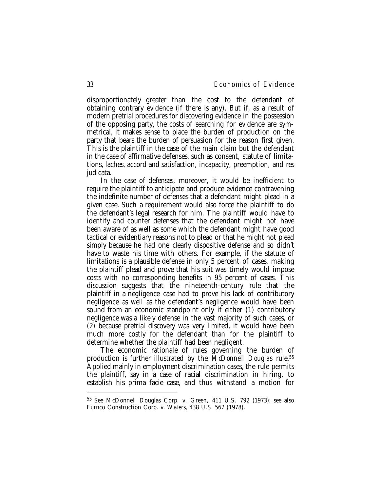disproportionately greater than the cost to the defendant of obtaining contrary evidence (if there is any). But if, as a result of modern pretrial procedures for discovering evidence in the possession of the opposing party, the costs of searching for evidence are symmetrical, it makes sense to place the burden of production on the party that bears the burden of persuasion for the reason first given. This is the plaintiff in the case of the main claim but the defendant in the case of affirmative defenses, such as consent, statute of limitations, laches, accord and satisfaction, incapacity, preemption, and res judicata.

In the case of defenses, moreover, it would be inefficient to require the plaintiff to anticipate and produce evidence contravening the indefinite number of defenses that a defendant might plead in a given case. Such a requirement would also force the plaintiff to do the defendant's legal research for him. The plaintiff would have to identify and counter defenses that the defendant might not have been aware of as well as some which the defendant might have good tactical or evidentiary reasons not to plead or that he might not plead simply because he had one clearly dispositive defense and so didn't have to waste his time with others. For example, if the statute of limitations is a plausible defense in only 5 percent of cases, making the plaintiff plead and prove that his suit was timely would impose costs with no corresponding benefits in 95 percent of cases. This discussion suggests that the nineteenth-century rule that the plaintiff in a negligence case had to prove his lack of contributory negligence as well as the defendant's negligence would have been sound from an economic standpoint only if either (1) contributory negligence was a likely defense in the vast majority of such cases, or (2) because pretrial discovery was very limited, it would have been much more costly for the defendant than for the plaintiff to determine whether the plaintiff had been negligent.

The economic rationale of rules governing the burden of production is further illustrated by the *McDonnell Douglas* rule.55 Applied mainly in employment discrimination cases, the rule permits the plaintiff, say in a case of racial discrimination in hiring, to establish his prima facie case, and thus withstand a motion for

<sup>55</sup> See McDonnell Douglas Corp. v. Green, 411 U.S. 792 (1973); see also Furnco Construction Corp. v. Waters, 438 U.S. 567 (1978).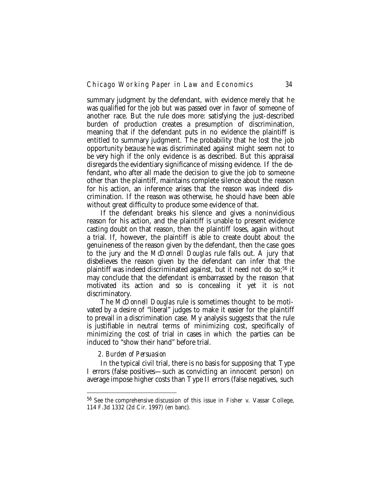summary judgment by the defendant, with evidence merely that he was qualified for the job but was passed over in favor of someone of another race. But the rule does more: satisfying the just-described burden of production creates a presumption of discrimination, meaning that if the defendant puts in no evidence the plaintiff is entitled to summary judgment. The probability that he lost the job opportunity *because* he was discriminated against might seem not to be very high if the only evidence is as described. But this appraisal disregards the evidentiary significance of missing evidence. If the defendant, who after all made the decision to give the job to someone other than the plaintiff, maintains complete silence about the reason for his action, an inference arises that the reason was indeed discrimination. If the reason was otherwise, he should have been able without great difficulty to produce some evidence of that.

If the defendant breaks his silence and gives a noninvidious reason for his action, and the plaintiff is unable to present evidence casting doubt on that reason, then the plaintiff loses, again without a trial. If, however, the plaintiff is able to create doubt about the genuineness of the reason given by the defendant, then the case goes to the jury and the *McDonnell Douglas* rule falls out. A jury that disbelieves the reason given by the defendant can infer that the plaintiff was indeed discriminated against, but it need not do so;<sup>56</sup> it may conclude that the defendant is embarrassed by the reason that motivated its action and so is concealing it yet it is not discriminatory.

The *McDonnell Douglas* rule is sometimes thought to be motivated by a desire of "liberal" judges to make it easier for the plaintiff to prevail in a discrimination case. My analysis suggests that the rule is justifiable in neutral terms of minimizing cost, specifically of minimizing the cost of trial in cases in which the parties can be induced to "show their hand" before trial.

#### *2. Burden of Persuasion*

-

In the typical civil trial, there is no basis for supposing that Type I errors (false positives—such as convicting an innocent person) on average impose higher costs than Type II errors (false negatives, such

<sup>56</sup> See the comprehensive discussion of this issue in Fisher v. Vassar College, 114 F.3d 1332 (2d Cir. 1997) (en banc).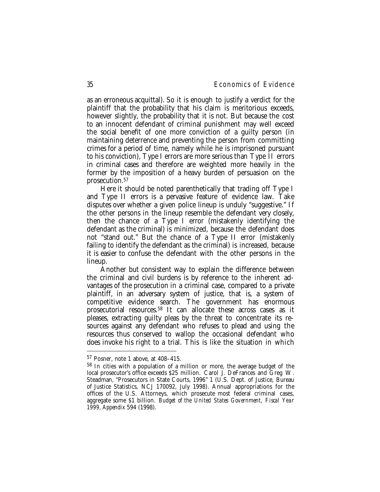as an erroneous acquittal). So it is enough to justify a verdict for the plaintiff that the probability that his claim is meritorious exceeds, however slightly, the probability that it is not. But because the cost to an innocent defendant of criminal punishment may well exceed the social benefit of one more conviction of a guilty person (in maintaining deterrence and preventing the person from committing crimes for a period of time, namely while he is imprisoned pursuant to his conviction), Type I errors are more serious than Type II errors in criminal cases and therefore are weighted more heavily in the former by the imposition of a heavy burden of persuasion on the prosecution.57

Here it should be noted parenthetically that trading off Type I and Type II errors is a pervasive feature of evidence law. Take disputes over whether a given police lineup is unduly "suggestive." If the other persons in the lineup resemble the defendant very closely, then the chance of a Type I error (mistakenly identifying the defendant as the criminal) is minimized, because the defendant does not "stand out." But the chance of a Type II error (mistakenly failing to identify the defendant as the criminal) is increased, because it is easier to confuse the defendant with the other persons in the lineup.

Another but consistent way to explain the difference between the criminal and civil burdens is by reference to the inherent advantages of the prosecution in a criminal case, compared to a private plaintiff, in an adversary system of justice, that is, a system of competitive evidence search. The government has enormous prosecutorial resources.58 It can allocate these across cases as it pleases, extracting guilty pleas by the threat to concentrate its resources against any defendant who refuses to plead and using the resources thus conserved to wallop the occasional defendant who does invoke his right to a trial. This is like the situation in which

L,

<sup>57</sup> Posner, note 1 above, at 408–415.

<sup>58</sup> In cities with a population of a million or more, the average budget of the local prosecutor's office exceeds \$25 million. Carol J. DeFrances and Greg W. Steadman, "Prosecutors in State Courts, 1996" 1 (U.S. Dept. of Justice, Bureau of Justice Statistics, NCJ 170092, July 1998). Annual appropriations for the offices of the U.S. Attorneys, which prosecute most federal criminal cases, aggregate some \$1 billion. *Budget of the United States Government, Fiscal Year 1999, Appendix* 594 (1998).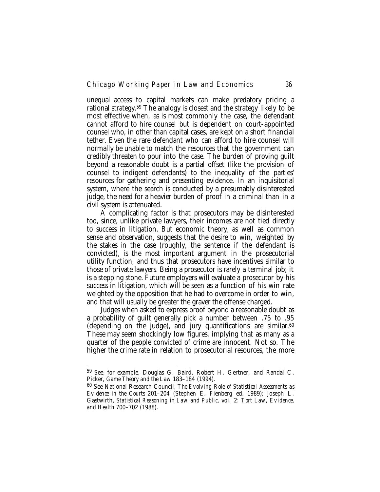unequal access to capital markets can make predatory pricing a rational strategy.59 The analogy is closest and the strategy likely to be most effective when, as is most commonly the case, the defendant cannot afford to hire counsel but is dependent on court-appointed counsel who, in other than capital cases, are kept on a short financial tether. Even the rare defendant who can afford to hire counsel will normally be unable to match the resources that the government can credibly threaten to pour into the case. The burden of proving guilt beyond a reasonable doubt is a partial offset (like the provision of counsel to indigent defendants) to the inequality of the parties' resources for gathering and presenting evidence. In an inquisitorial system, where the search is conducted by a presumably disinterested judge, the need for a heavier burden of proof in a criminal than in a civil system is attenuated.

A complicating factor is that prosecutors may be disinterested too, since, unlike private lawyers, their incomes are not tied directly to success in litigation. But economic theory, as well as common sense and observation, suggests that the desire to win, weighted by the stakes in the case (roughly, the sentence if the defendant is convicted), is the most important argument in the prosecutorial utility function, and thus that prosecutors have incentives similar to those of private lawyers. Being a prosecutor is rarely a terminal job; it is a stepping stone. Future employers will evaluate a prosecutor by his success in litigation, which will be seen as a function of his win rate weighted by the opposition that he had to overcome in order to win, and that will usually be greater the graver the offense charged.

Judges when asked to express proof beyond a reasonable doubt as a probability of guilt generally pick a number between .75 to .95 (depending on the judge), and jury quantifications are similar.60 These may seem shockingly low figures, implying that as many as a quarter of the people convicted of crime are innocent. Not so. The higher the crime rate in relation to prosecutorial resources, the more

<sup>59</sup> See, for example, Douglas G. Baird, Robert H. Gertner, and Randal C. Picker, *Game Theory and the Law* 183–184 (1994).

<sup>60</sup> See National Research Council, *The Evolving Role of Statistical Assessments as Evidence in the Courts* 201–204 (Stephen E. Fienberg ed. 1989); Joseph L. Gastwirth, *Statistical Reasoning in Law and Public*, vol. 2: *Tort Law, Evidence, and Health* 700–702 (1988).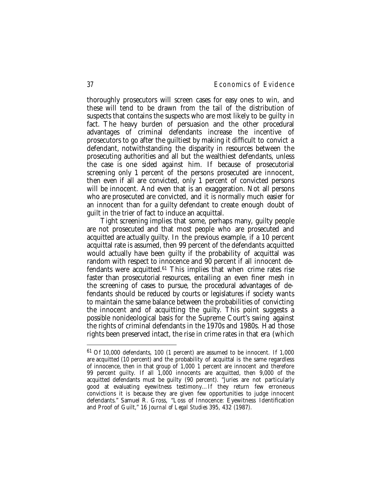thoroughly prosecutors will screen cases for easy ones to win, and these will tend to be drawn from the tail of the distribution of suspects that contains the suspects who are most likely to be guilty in fact. The heavy burden of persuasion and the other procedural advantages of criminal defendants increase the incentive of prosecutors to go after the guiltiest by making it difficult to convict a defendant, notwithstanding the disparity in resources between the prosecuting authorities and all but the wealthiest defendants, unless the case is one sided against him. If because of prosecutorial screening only 1 percent of the persons prosecuted are innocent, then even if all are convicted, only 1 percent of convicted persons will be innocent. And even that is an exaggeration. Not all persons who are prosecuted are convicted, and it is normally much easier for an innocent than for a guilty defendant to create enough doubt of guilt in the trier of fact to induce an acquittal.

Tight screening implies that some, perhaps many, guilty people are not prosecuted and that most people who are prosecuted and acquitted are actually guilty. In the previous example, if a 10 percent acquittal rate is assumed, then 99 percent of the defendants acquitted would actually have been guilty if the probability of acquittal was random with respect to innocence and 90 percent if all innocent defendants were acquitted.61 This implies that when crime rates rise faster than prosecutorial resources, entailing an even finer mesh in the screening of cases to pursue, the procedural advantages of defendants should be reduced by courts or legislatures if society wants to maintain the same balance between the probabilities of convicting the innocent and of acquitting the guilty. This point suggests a possible nonideological basis for the Supreme Court's swing against the rights of criminal defendants in the 1970s and 1980s. Had those rights been preserved intact, the rise in crime rates in that era (which

<sup>61</sup> Of 10,000 defendants, 100 (1 percent) are assumed to be innocent. If 1,000 are acquitted (10 percent) and the probability of acquittal is the same regardless of innocence, then in that group of 1,000 1 percent are innocent and therefore 99 percent guilty. If all 1,000 innocents are acquitted, then 9,000 of the acquitted defendants must be guilty (90 percent). "Juries are not particularly good at evaluating eyewitness testimony…If they return few erroneous convictions it is because they are given few opportunities to judge innocent defendants." Samuel R. Gross, "Loss of Innocence: Eyewitness Identification and Proof of Guilt," 16 *Journal of Legal Studies* 395, 432 (1987).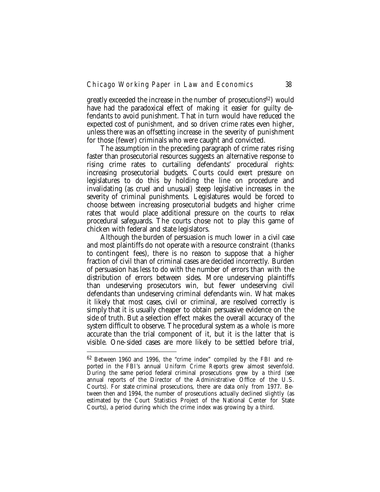greatly exceeded the increase in the number of prosecutions62) would have had the paradoxical effect of making it easier for guilty defendants to avoid punishment. That in turn would have reduced the expected cost of punishment, and so driven crime rates even higher, unless there was an offsetting increase in the severity of punishment for those (fewer) criminals who were caught and convicted.

The assumption in the preceding paragraph of crime rates rising faster than prosecutorial resources suggests an alternative response to rising crime rates to curtailing defendants' procedural rights: increasing prosecutorial budgets. Courts could exert pressure on legislatures to do this by holding the line on procedure and invalidating (as cruel and unusual) steep legislative increases in the severity of criminal punishments. Legislatures would be forced to choose between increasing prosecutorial budgets and higher crime rates that would place additional pressure on the courts to relax procedural safeguards. The courts chose not to play this game of chicken with federal and state legislators.

Although the burden of persuasion is much lower in a civil case and most plaintiffs do not operate with a resource constraint (thanks to contingent fees), there is no reason to suppose that a higher fraction of civil than of criminal cases are decided incorrectly. Burden of persuasion has less to do with the number of errors than with the distribution of errors between sides. More undeserving plaintiffs than undeserving prosecutors win, but fewer undeserving civil defendants than undeserving criminal defendants win. What makes it likely that most cases, civil or criminal, are resolved correctly is simply that it is usually cheaper to obtain persuasive evidence on the side of truth. But a selection effect makes the overall accuracy of the system difficult to observe. The procedural system as a whole is more accurate than the trial component of it, but it is the latter that is visible. One-sided cases are more likely to be settled before trial,

<sup>62</sup> Between 1960 and 1996, the "crime index" compiled by the FBI and reported in the FBI's annual *Uniform Crime Reports* grew almost sevenfold. During the same period federal criminal prosecutions grew by a third (see annual reports of the Director of the Administrative Office of the U.S. Courts). For state criminal prosecutions, there are data only from 1977. Between then and 1994, the number of prosecutions actually declined slightly (as estimated by the Court Statistics Project of the National Center for State Courts), a period during which the crime index was growing by a third.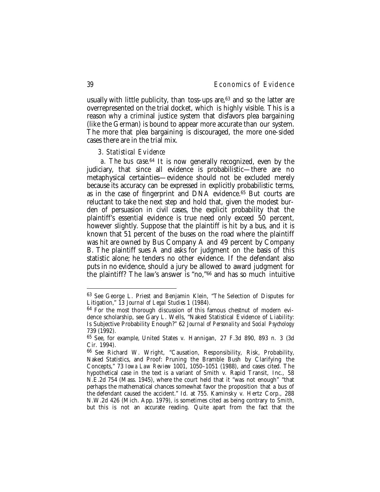usually with little publicity, than toss-ups are,<sup>63</sup> and so the latter are overrepresented on the trial docket, which is highly visible. This is a reason why a criminal justice system that disfavors plea bargaining (like the German) is bound to appear more accurate than our system. The more that plea bargaining is discouraged, the more one-sided cases there are in the trial mix.

### *3. Statistical Evidence*

*a. The bus case*.64 It is now generally recognized, even by the judiciary, that since all evidence is probabilistic—there are no metaphysical certainties—evidence should not be excluded merely because its accuracy can be expressed in explicitly probabilistic terms, as in the case of fingerprint and DNA evidence.65 But courts are reluctant to take the next step and hold that, given the modest burden of persuasion in civil cases, the explicit probability that the plaintiff's essential evidence is true need only exceed 50 percent, however slightly. Suppose that the plaintiff is hit by a bus, and it is known that 51 percent of the buses on the road where the plaintiff was hit are owned by Bus Company A and 49 percent by Company B. The plaintiff sues A and asks for judgment on the basis of this statistic alone; he tenders no other evidence. If the defendant also puts in no evidence, should a jury be allowed to award judgment for the plaintiff? The law's answer is "no,"66 and has so much intuitive

<sup>63</sup> See George L. Priest and Benjamin Klein, "The Selection of Disputes for Litigation," 13 *Journal of Legal Studies* 1 (1984).

 $64$  For the most thorough discussion of this famous chestnut of modern evidence scholarship, see Gary L. Wells, "Naked Statistical Evidence of Liability: Is Subjective Probability Enough?" 62 *Journal of Personality and Social Psychology* 739 (1992).

<sup>65</sup> See, for example, United States v. Hannigan, 27 F.3d 890, 893 n. 3 (3d Cir. 1994).

<sup>66</sup> See Richard W. Wright, "Causation, Responsibility, Risk, Probability, Naked Statistics, and Proof: Pruning the Bramble Bush by Clarifying the Concepts," 73 *Iowa Law Review* 1001, 1050–1051 (1988), and cases cited. The hypothetical case in the text is a variant of Smith v. Rapid Transit, Inc., 58 N.E.2d 754 (Mass. 1945), where the court held that it "was not enough" "that perhaps the mathematical chances somewhat favor the proposition that a bus of the defendant caused the accident." Id. at 755. Kaminsky v. Hertz Corp., 288 N.W.2d 426 (Mich. App. 1979), is sometimes cited as being contrary to *Smith*, but this is not an accurate reading. Quite apart from the fact that the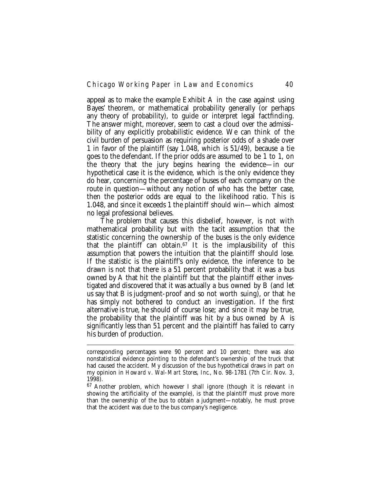appeal as to make the example Exhibit A in the case against using Bayes' theorem, or mathematical probability generally (or perhaps any theory of probability), to guide or interpret legal factfinding. The answer might, moreover, seem to cast a cloud over the admissibility of any explicitly probabilistic evidence. We can think of the civil burden of persuasion as requiring posterior odds of a shade over 1 in favor of the plaintiff (say 1.048, which is 51/49), because a tie goes to the defendant. If the prior odds are assumed to be 1 to 1, on the theory that the jury begins hearing the evidence—in our hypothetical case it is the evidence, which is the only evidence they do hear, concerning the percentage of buses of each company on the route in question—without any notion of who has the better case, then the posterior odds are equal to the likelihood ratio. This is 1.048, and since it exceeds 1 the plaintiff should win—which almost no legal professional believes.

The problem that causes this disbelief, however, is not with mathematical probability but with the tacit assumption that the statistic concerning the ownership of the buses is the only evidence that the plaintiff can obtain. $67$  It is the implausibility of this assumption that powers the intuition that the plaintiff should lose. If the statistic is the plaintiff's only evidence, the inference to be drawn is not that there is a 51 percent probability that it was a bus owned by A that hit the plaintiff but that the plaintiff either investigated and discovered that it was actually a bus owned by B (and let us say that B is judgment-proof and so not worth suing), or that he has simply not bothered to conduct an investigation. If the first alternative is true, he should of course lose; and since it may be true, the probability that the plaintiff was hit by a bus owned by A is significantly less than 51 percent and the plaintiff has failed to carry his burden of production.

corresponding percentages were 90 percent and 10 percent; there was also nonstatistical evidence pointing to the defendant's ownership of the truck that had caused the accident. My discussion of the bus hypothetical draws in part on my opinion in *Howard v. Wal-Mart Stores, Inc.*, No. 98-1781 (7th Cir. Nov. 3, 1998).

<sup>67</sup> Another problem, which however I shall ignore (though it is relevant in showing the artificiality of the example), is that the plaintiff must prove more than the ownership of the bus to obtain a judgment—notably, he must prove that the accident was due to the bus company's negligence.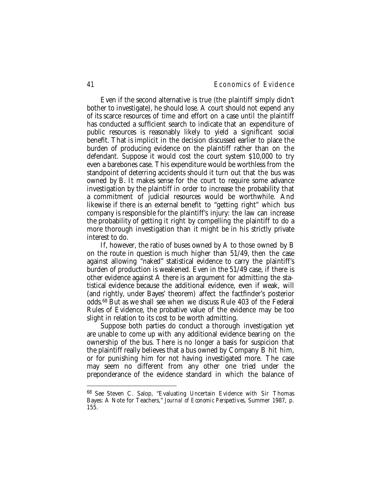Even if the second alternative is true (the plaintiff simply didn't bother to investigate), he should lose. A court should not expend any of its scarce resources of time and effort on a case until the plaintiff has conducted a sufficient search to indicate that an expenditure of public resources is reasonably likely to yield a significant social benefit. That is implicit in the decision discussed earlier to place the burden of producing evidence on the plaintiff rather than on the defendant. Suppose it would cost the court system \$10,000 to try even a barebones case. This expenditure would be worthless from the standpoint of deterring accidents should it turn out that the bus was owned by B. It makes sense for the court to require some advance investigation by the plaintiff in order to increase the probability that a commitment of judicial resources would be worthwhile. And likewise if there is an external benefit to "getting right" which bus company is responsible for the plaintiff's injury: the law can increase the probability of getting it right by compelling the plaintiff to do a more thorough investigation than it might be in his strictly private interest to do.

If, however, the ratio of buses owned by A to those owned by B on the route in question is much higher than 51/49, then the case against allowing "naked" statistical evidence to carry the plaintiff's burden of production is weakened. Even in the 51/49 case, if there is other evidence against A there is an argument for admitting the statistical evidence because the additional evidence, even if weak, will (and rightly, under Bayes' theorem) affect the factfinder's posterior odds.68 But as we shall see when we discuss Rule 403 of the Federal Rules of Evidence, the probative value of the evidence may be too slight in relation to its cost to be worth admitting.

Suppose both parties do conduct a thorough investigation yet are unable to come up with any additional evidence bearing on the ownership of the bus. There is no longer a basis for suspicion that the plaintiff really believes that a bus owned by Company B hit him, or for punishing him for not having investigated more. The case may seem no different from any other one tried under the preponderance of the evidence standard in which the balance of

<sup>68</sup> See Steven C. Salop, "Evaluating Uncertain Evidence with Sir Thomas Bayes: A Note for Teachers," *Journal of Economic Perspectives*, Summer 1987, p. 155.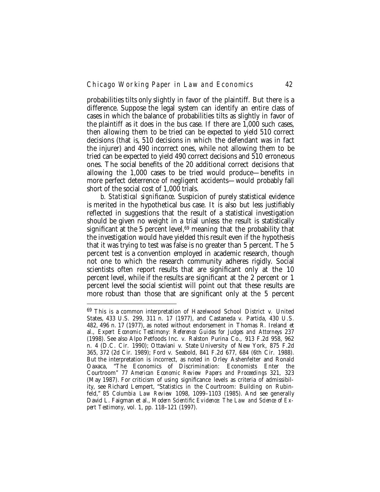probabilities tilts only slightly in favor of the plaintiff. But there is a difference. Suppose the legal system can identify an entire class of cases in which the balance of probabilities tilts as slightly in favor of the plaintiff as it does in the bus case. If there are 1,000 such cases, then allowing them to be tried can be expected to yield 510 correct decisions (that is, 510 decisions in which the defendant was in fact the injurer) and 490 incorrect ones, while not allowing them to be tried can be expected to yield 490 correct decisions and 510 erroneous ones. The social benefits of the 20 additional correct decisions that allowing the 1,000 cases to be tried would produce—benefits in more perfect deterrence of negligent accidents—would probably fall short of the social cost of 1,000 trials.

*b. Statistical significance*. Suspicion of purely statistical evidence is merited in the hypothetical bus case. It is also but less justifiably reflected in suggestions that the result of a statistical investigation should be given no weight in a trial unless the result is statistically significant at the 5 percent level,<sup>69</sup> meaning that the probability that the investigation would have yielded this result even if the hypothesis that it was trying to test was false is no greater than 5 percent. The 5 percent test is a convention employed in academic research, though not one to which the research community adheres rigidly. Social scientists often report results that are significant only at the 10 percent level, while if the results are significant at the 2 percent or 1 percent level the social scientist will point out that these results are more robust than those that are significant only at the 5 percent

<sup>69</sup> This is a common interpretation of Hazelwood School District v. United States, 433 U.S. 299, 311 n. 17 (1977), and Castaneda v. Partida, 430 U.S. 482, 496 n. 17 (1977), as noted without endorsement in Thomas R. Ireland et al., *Expert Economic Testimony: Reference Guides for Judges and Attorneys* 237 (1998). See also Alpo Petfoods Inc. v. Ralston Purina Co., 913 F.2d 958, 962 n. 4 (D.C. Cir. 1990); Ottaviani v. State University of New York, 875 F.2d 365, 372 (2d Cir. 1989); Ford v. Seabold, 841 F.2d 677, 684 (6th Cir. 1988). But the interpretation is incorrect, as noted in Orley Ashenfelter and Ronald Oaxaca, "The Economics of Discrimination: Economists Enter the Courtroom" 77 *American Economic Review Papers and Proceedings* 321, 323 (May 1987). For criticism of using significance levels as criteria of admissibility, see Richard Lempert, "Statistics in the Courtroom: Building on Rubinfeld," 85 *Columbia Law Review* 1098, 1099–1103 (1985). And see generally David L. Faigman et al., *Modern Scientific Evidence: The Law and Science of Expert Testimony*, vol. 1, pp. 118–121 (1997).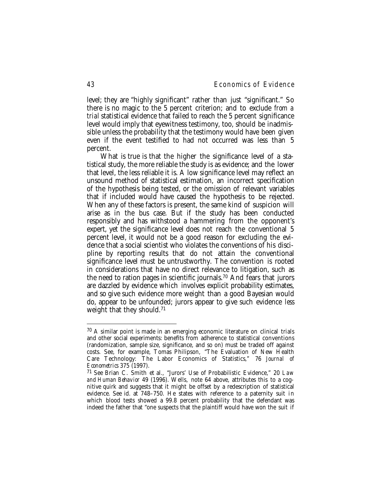level; they are "highly significant" rather than just "significant." So there is no magic to the 5 percent criterion; and to exclude *from a trial* statistical evidence that failed to reach the 5 percent significance level would imply that eyewitness testimony, too, should be inadmissible unless the probability that the testimony would have been given even if the event testified to had not occurred was less than 5 percent.

What is true is that the higher the significance level of a statistical study, the more reliable the study is as evidence; and the lower that level, the less reliable it is. A low significance level may reflect an unsound method of statistical estimation, an incorrect specification of the hypothesis being tested, or the omission of relevant variables that if included would have caused the hypothesis to be rejected. When any of these factors is present, the same kind of suspicion will arise as in the bus case. But if the study has been conducted responsibly and has withstood a hammering from the opponent's expert, yet the significance level does not reach the conventional 5 percent level, it would not be a good reason for excluding the evidence that a social scientist who violates the conventions of his discipline by reporting results that do not attain the conventional significance level must be untrustworthy. The convention is rooted in considerations that have no direct relevance to litigation, such as the need to ration pages in scientific journals.70 And fears that jurors are dazzled by evidence which involves explicit probability estimates, and so give such evidence more weight than a good Bayesian would do, appear to be unfounded; jurors appear to give such evidence *less* weight that they should.71

<sup>70</sup> A similar point is made in an emerging economic literature on clinical trials and other social experiments: benefits from adherence to statistical conventions (randomization, sample size, significance, and so on) must be traded off against costs. See, for example, Tomas Philipson, "The Evaluation of New Health Care Technology: The Labor Economics of Statistics," 76 *Journal of Econometrics* 375 (1997).

<sup>71</sup> See Brian C. Smith et al., "Jurors' Use of Probabilistic Evidence," 20 *Law and Human Behavior* 49 (1996). Wells, note 64 above, attributes this to a cognitive quirk and suggests that it might be offset by a redescription of statistical evidence. See id. at 748–750. He states with reference to a paternity suit in which blood tests showed a 99.8 percent probability that the defendant was indeed the father that "one suspects that the plaintiff would have won the suit if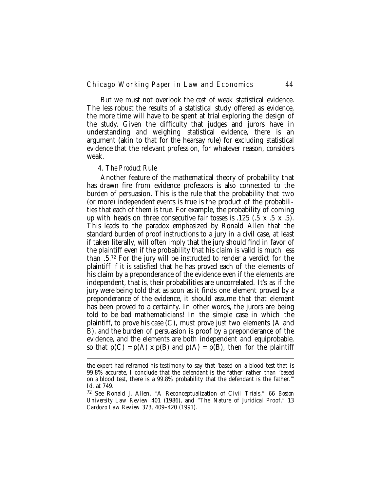But we must not overlook the *cost* of weak statistical evidence. The less robust the results of a statistical study offered as evidence, the more time will have to be spent at trial exploring the design of the study. Given the difficulty that judges and jurors have in understanding and weighing statistical evidence, there is an argument (akin to that for the hearsay rule) for excluding statistical evidence that the relevant profession, for whatever reason, considers weak.

#### *4. The Product Rule*

L,

Another feature of the mathematical theory of probability that has drawn fire from evidence professors is also connected to the burden of persuasion. This is the rule that the probability that two (or more) independent events is true is the product of the probabilities that each of them is true. For example, the probability of coming up with heads on three consecutive fair tosses is  $.125$  ( $.5 \times .5 \times .5$ ). This leads to the paradox emphasized by Ronald Allen that the standard burden of proof instructions to a jury in a civil case, at least if taken literally, will often imply that the jury should find in favor of the plaintiff even if the probability that his claim is valid is much less than .5.72 For the jury will be instructed to render a verdict for the plaintiff if it is satisfied that he has proved each of the elements of his claim by a preponderance of the evidence even if the elements are independent, that is, their probabilities are uncorrelated. It's as if the jury were being told that as soon as it finds one element proved by a preponderance of the evidence, it should assume that that element has been proved to a certainty. In other words, the jurors are being told to be bad mathematicians! In the simple case in which the plaintiff, to prove his case (C), must prove just two elements (A and B), and the burden of persuasion is proof by a preponderance of the evidence, and the elements are both independent and equiprobable, so that  $p(C) = p(A)$  x  $p(B)$  and  $p(A) = p(B)$ , then for the plaintiff

the expert had reframed his testimony to say that 'based on a blood test that is 99.8% accurate, I conclude that the defendant is the father' rather than 'based on a blood test, there is a 99.8% probability that the defendant is the father.'" Id. at 749.

<sup>72</sup> See Ronald J. Allen, "A Reconceptualization of Civil Trials," 66 *Boston University Law Review* 401 (1986), and "The Nature of Juridical Proof," 13 *Cardozo Law Review* 373, 409–420 (1991).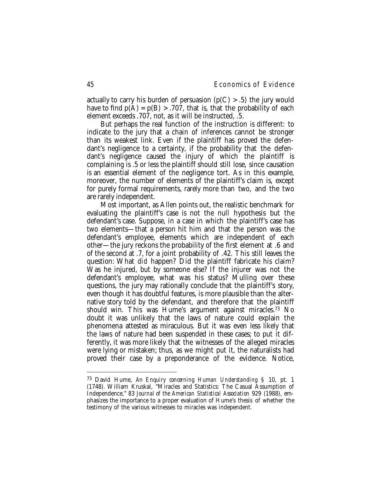actually to carry his burden of persuasion  $(p(C) > .5)$  the jury would have to find  $p(A) = p(B) > .707$ , that is, that the probability of each element exceeds .707, not, as it will be instructed, .5.

But perhaps the real function of the instruction is different: to indicate to the jury that a chain of inferences cannot be stronger than its weakest link. Even if the plaintiff has proved the defendant's negligence to a certainty, if the probability that the defendant's negligence caused the injury of which the plaintiff is complaining is .5 or less the plaintiff should still lose, since causation is an essential element of the negligence tort. As in this example, moreover, the number of elements of the plaintiff's claim is, except for purely formal requirements, rarely more than two, and the two are rarely independent.

Most important, as Allen points out, the realistic benchmark for evaluating the plaintiff's case is not the null hypothesis but the defendant's case. Suppose, in a case in which the plaintiff's case has two elements—that a person hit him and that the person was the defendant's employee, elements which are independent of each other—the jury reckons the probability of the first element at .6 and of the second at .7, for a joint probability of .42. This still leaves the question: What *did* happen? Did the plaintiff fabricate his claim? Was he injured, but by someone else? If the injurer was not the defendant's employee, what was his status? Mulling over these questions, the jury may rationally conclude that the plaintiff's story, even though it has doubtful features, is more plausible than the alternative story told by the defendant, and therefore that the plaintiff should win. This was Hume's argument against miracles.73 No doubt it was unlikely that the laws of nature could explain the phenomena attested as miraculous. But it was even less likely that the laws of nature had been suspended in these cases; to put it differently, it was more likely that the witnesses of the alleged miracles were lying or mistaken; thus, as we might put it, the naturalists had proved their case by a preponderance of the evidence. Notice,

<sup>73</sup> David Hume, *An Enquiry concerning Human Understanding* § 10, pt. 1 (1748). William Kruskal, "Miracles and Statistics: The Casual Assumption of Independence," 83 *Journal of the American Statistical Association* 929 (1988), emphasizes the importance to a proper evaluation of Hume's thesis of whether the testimony of the various witnesses to miracles was independent.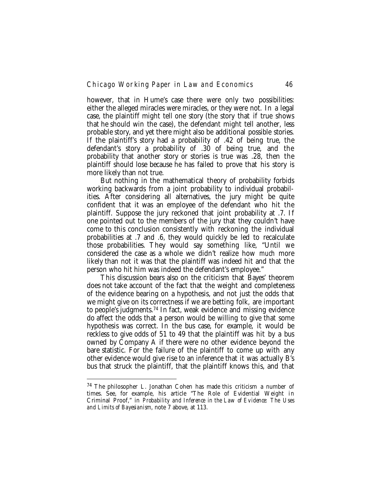however, that in Hume's case there were only two possibilities: either the alleged miracles were miracles, or they were not. In a legal case, the plaintiff might tell one story (the story that if true shows that he should win the case), the defendant might tell another, less probable story, and yet there might also be additional possible stories. If the plaintiff's story had a probability of .42 of being true, the defendant's story a probability of .30 of being true, and the probability that another story or stories is true was .28, then the plaintiff should lose because he has failed to prove that his story is more likely than not true.

But nothing in the mathematical theory of probability forbids working backwards from a joint probability to individual probabilities. After considering all alternatives, the jury might be quite confident that it was an employee of the defendant who hit the plaintiff. Suppose the jury reckoned that joint probability at .7. If one pointed out to the members of the jury that they couldn't have come to this conclusion consistently with reckoning the individual probabilities at .7 and .6, they would quickly be led to recalculate those probabilities. They would say something like, "Until we considered the case as a whole we didn't realize how *much* more likely than not it was that the plaintiff was indeed hit and that the person who hit him was indeed the defendant's employee."

This discussion bears also on the criticism that Bayes' theorem does not take account of the fact that the weight and completeness of the evidence bearing on a hypothesis, and not just the odds that we might give on its correctness if we are betting folk, are important to people's judgments.74 In fact, weak evidence and missing evidence do affect the odds that a person would be willing to give that some hypothesis was correct. In the bus case, for example, it would be reckless to give odds of 51 to 49 that the plaintiff was hit by a bus owned by Company A if there were no other evidence beyond the bare statistic. For the failure of the plaintiff to come up with any other evidence would give rise to an inference that it was actually B's bus that struck the plaintiff, that the plaintiff knows this, and that

L,

<sup>74</sup> The philosopher L. Jonathan Cohen has made this criticism a number of times. See, for example, his article "The Role of Evidential Weight in Criminal Proof," in *Probability and Inference in the Law of Evidence: The Uses and Limits of Bayesianism*, note 7 above, at 113.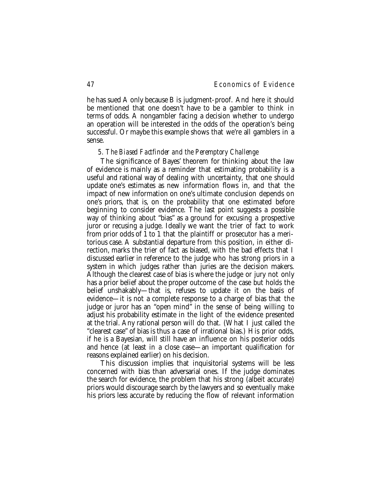he has sued A only because B is judgment-proof. And here it should be mentioned that one doesn't have to be a gambler to think in terms of odds. A nongambler facing a decision whether to undergo an operation will be interested in the odds of the operation's being successful. Or maybe this example shows that we're all gamblers in a sense.

#### *5. The Biased Factfinder and the Peremptory Challenge*

The significance of Bayes' theorem for thinking about the law of evidence is mainly as a reminder that estimating probability is a useful and rational way of dealing with uncertainty, that one should update one's estimates as new information flows in, and that the impact of new information on one's ultimate conclusion depends on one's priors, that is, on the probability that one estimated before beginning to consider evidence. The last point suggests a possible way of thinking about "bias" as a ground for excusing a prospective juror or recusing a judge. Ideally we want the trier of fact to work from prior odds of 1 to 1 that the plaintiff or prosecutor has a meritorious case. A substantial departure from this position, in either direction, marks the trier of fact as biased, with the bad effects that I discussed earlier in reference to the judge who has strong priors in a system in which judges rather than juries are the decision makers. Although the clearest case of bias is where the judge or jury not only has a prior belief about the proper outcome of the case but holds the belief unshakably—that is, refuses to update it on the basis of evidence—it is not a complete response to a charge of bias that the judge or juror has an "open mind" in the sense of being willing to adjust his probability estimate in the light of the evidence presented at the trial. Any rational person will do that. (What I just called the "clearest case" of bias is thus a case of irrational bias.) His prior odds, if he is a Bayesian, will still have an influence on his posterior odds and hence (at least in a close case—an important qualification for reasons explained earlier) on his decision.

This discussion implies that inquisitorial systems will be less concerned with bias than adversarial ones. If the judge dominates the search for evidence, the problem that his strong (albeit accurate) priors would discourage search by the lawyers and so eventually make his priors less accurate by reducing the flow of relevant information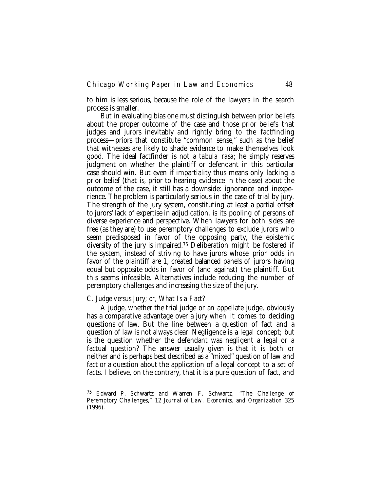to him is less serious, because the role of the lawyers in the search process is smaller.

But in evaluating bias one must distinguish between prior beliefs about the proper outcome of the case and those prior beliefs that judges and jurors inevitably and rightly bring to the factfinding process—priors that constitute "common sense," such as the belief that witnesses are likely to shade evidence to make themselves look good. The ideal factfinder is not a *tabula rasa*; he simply reserves judgment on whether the plaintiff or defendant in this particular case should win. But even if impartiality thus means only lacking a prior belief (that is, prior to hearing evidence in the case) about the outcome of the case, it still has a downside: ignorance and inexperience. The problem is particularly serious in the case of trial by jury. The strength of the jury system, constituting at least a partial offset to jurors' lack of expertise in adjudication, is its pooling of persons of diverse experience and perspective. When lawyers for both sides are free (as they are) to use peremptory challenges to exclude jurors who seem predisposed in favor of the opposing party, the epistemic diversity of the jury is impaired.75 Deliberation might be fostered if the system, instead of striving to have jurors whose prior odds in favor of the plaintiff are 1, created balanced panels of jurors having equal but opposite odds in favor of (and against) the plaintiff. But this seems infeasible. Alternatives include reducing the number of peremptory challenges and increasing the size of the jury.

#### *C. Judge versus Jury; or, What Is a Fact?*

÷,

A judge, whether the trial judge or an appellate judge, obviously has a comparative advantage over a jury when it comes to deciding questions of law. But the line between a question of fact and a question of law is not always clear. Negligence is a legal concept; but is the question whether the defendant was negligent a legal or a factual question? The answer usually given is that it is both or neither and is perhaps best described as a "mixed" question of law and fact or a question about the application of a legal concept to a set of facts. I believe, on the contrary, that it is a pure question of fact, and

<sup>75</sup> Edward P. Schwartz and Warren F. Schwartz, "The Challenge of Peremptory Challenges," 12 *Journal of Law, Economics, and Organization* 325  $(1996).$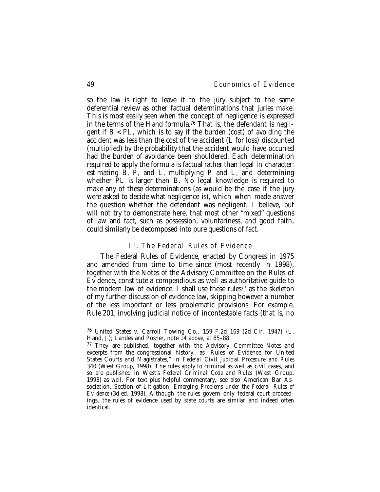so the law is right to leave it to the jury subject to the same deferential review as other factual determinations that juries make. This is most easily seen when the concept of negligence is expressed in the terms of the Hand formula.76 That is, the defendant is negligent if  $B < PL$ , which is to say if the burden (cost) of avoiding the accident was less than the cost of the accident (L for loss) discounted (multiplied) by the probability that the accident would have occurred had the burden of avoidance been shouldered. Each determination required to apply the formula is factual rather than legal in character: estimating B, P, and L, multiplying P and L, and determining whether PL is larger than B. No legal knowledge is required to make any of these determinations (as would be the case if the jury were asked to decide what negligence is), which when made answer the question whether the defendant was negligent. I believe, but will not try to demonstrate here, that most other "mixed" questions of law and fact, such as possession, voluntariness, and good faith, could similarly be decomposed into pure questions of fact.

## III. The Federal Rules of Evidence

The Federal Rules of Evidence, enacted by Congress in 1975 and amended from time to time since (most recently in 1998), together with the Notes of the Advisory Committee on the Rules of Evidence, constitute a compendious as well as authoritative guide to the modern law of evidence. I shall use these rules<sup>77</sup> as the skeleton of my further discussion of evidence law, skipping however a number of the less important or less problematic provisions. For example, Rule 201, involving judicial notice of incontestable facts (that is, no

<sup>76</sup> United States v. Carroll Towing Co., 159 F.2d 169 (2d Cir. 1947) (L. Hand, J.); Landes and Posner, note 14 above, at 85–88.

<sup>77</sup> They are published, together with the Advisory Committee Notes and excerpts from the congressional history, as "Rules of Evidence for United States Courts and Magistrates," in *Federal Civil Judicial Procedure and Rules* 340 (West Group, 1998). The rules apply to criminal as well as civil cases, and so are published in West's *Federal Criminal Code and Rules* (West Group, 1998) as well. For text plus helpful commentary, see also American Bar Association, Section of Litigation, *Emerging Problems under the Federal Rules of Evidence* (3d ed. 1998). Although the rules govern only federal court proceedings, the rules of evidence used by state courts are similar and indeed often identical.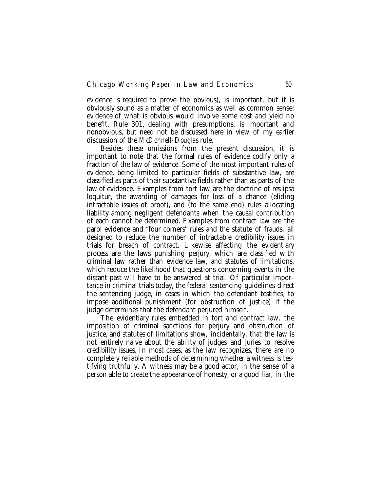evidence is required to prove the obvious), is important, but it is obviously sound as a matter of economics as well as common sense: evidence of what is obvious would involve some cost and yield no benefit. Rule 301, dealing with presumptions, is important and nonobvious, but need not be discussed here in view of my earlier discussion of the *McDonnell-Douglas* rule.

Besides these omissions from the present discussion, it is important to note that the formal rules of evidence codify only a fraction of the law of evidence. Some of the most important rules of evidence, being limited to particular fields of substantive law, are classified as parts of their substantive fields rather than as parts of the law of evidence. Examples from tort law are the doctrine of res ipsa loquitur, the awarding of damages for loss of a chance (eliding intractable issues of proof), and (to the same end) rules allocating liability among negligent defendants when the causal contribution of each cannot be determined. Examples from contract law are the parol evidence and "four corners" rules and the statute of frauds, all designed to reduce the number of intractable credibility issues in trials for breach of contract. Likewise affecting the evidentiary process are the laws punishing perjury, which are classified with criminal law rather than evidence law, and statutes of limitations, which reduce the likelihood that questions concerning events in the distant past will have to be answered at trial. Of particular importance in criminal trials today, the federal sentencing guidelines direct the sentencing judge, in cases in which the defendant testifies, to impose additional punishment (for obstruction of justice) if the judge determines that the defendant perjured himself.

The evidentiary rules embedded in tort and contract law, the imposition of criminal sanctions for perjury and obstruction of justice, and statutes of limitations show, incidentally, that the law is not entirely naive about the ability of judges and juries to resolve credibility issues. In most cases, as the law recognizes, there are no completely reliable methods of determining whether a witness is testifying truthfully. A witness may be a good actor, in the sense of a person able to create the appearance of honesty, or a good liar, in the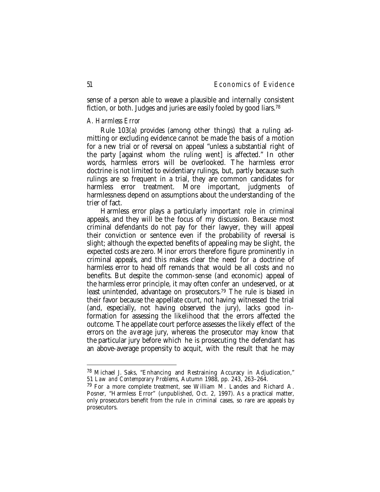sense of a person able to weave a plausible and internally consistent fiction, or both. Judges and juries are easily fooled by good liars.78

## *A. Harmless Error*

Rule 103(a) provides (among other things) that a ruling admitting or excluding evidence cannot be made the basis of a motion for a new trial or of reversal on appeal "unless a substantial right of the party [against whom the ruling went] is affected." In other words, harmless errors will be overlooked. The harmless error doctrine is not limited to evidentiary rulings, but, partly because such rulings are so frequent in a trial, they are common candidates for harmless error treatment. More important, judgments of harmlessness depend on assumptions about the understanding of the trier of fact.

Harmless error plays a particularly important role in criminal appeals, and they will be the focus of my discussion. Because most criminal defendants do not pay for their lawyer, they will appeal their conviction or sentence even if the probability of reversal is slight; although the expected benefits of appealing may be slight, the expected costs are zero. Minor errors therefore figure prominently in criminal appeals, and this makes clear the need for a doctrine of harmless error to head off remands that would be all costs and no benefits. But despite the common-sense (and economic) appeal of the harmless error principle, it may often confer an undeserved, or at least unintended, advantage on prosecutors.79 The rule is biased in their favor because the appellate court, not having witnessed the trial (and, especially, not having observed the jury), lacks good information for assessing the likelihood that the errors affected the outcome. The appellate court perforce assesses the likely effect of the errors on the *average* jury, whereas the prosecutor may know that the particular jury before which he is prosecuting the defendant has an above-average propensity to acquit, with the result that he may

<sup>78</sup> Michael J. Saks, "Enhancing and Restraining Accuracy in Adjudication," 51 *Law and Contemporary Problems*, Autumn 1988, pp. 243, 263–264.

<sup>79</sup> For a more complete treatment, see William M. Landes and Richard A. Posner, "Harmless Error" (unpublished, Oct. 2, 1997). As a practical matter, only prosecutors benefit from the rule in criminal cases, so rare are appeals by prosecutors.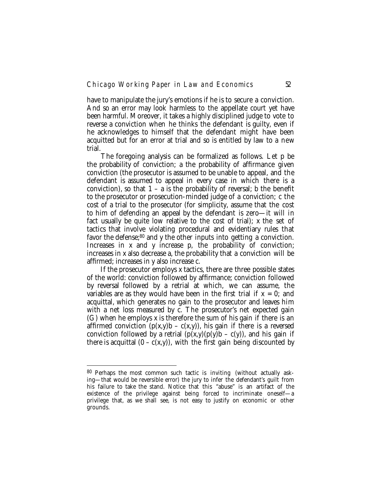have to manipulate the jury's emotions if he is to secure a conviction. And so an error may look harmless to the appellate court yet have been harmful. Moreover, it takes a highly disciplined judge to vote to reverse a conviction when he thinks the defendant is guilty, even if he acknowledges to himself that the defendant might have been acquitted but for an error at trial and so is entitled by law to a new trial.

The foregoing analysis can be formalized as follows. Let p be the probability of conviction; a the probability of affirmance given conviction (the prosecutor is assumed to be unable to appeal, and the defendant is assumed to appeal in every case in which there is a conviction), so that  $1 - a$  is the probability of reversal; b the benefit to the prosecutor or prosecution-minded judge of a conviction; c the cost of a trial to the prosecutor (for simplicity, assume that the cost to him of defending an appeal by the defendant is zero—it will in fact usually be quite low relative to the cost of trial); x the set of tactics that involve violating procedural and evidentiary rules that favor the defense;80 and y the other inputs into getting a conviction. Increases in x and y increase p, the probability of conviction; increases in x also decrease a, the probability that a conviction will be affirmed; increases in y also increase c.

If the prosecutor employs x tactics, there are three possible states of the world: conviction followed by affirmance; conviction followed by reversal followed by a retrial at which, we can assume, the variables are as they would have been in the first trial if  $x = 0$ ; and acquittal, which generates no gain to the prosecutor and leaves him with a net loss measured by c. The prosecutor's net expected gain (G) when he employs x is therefore the sum of his gain if there is an affirmed conviction  $(p(x,y)b - c(x,y))$ , his gain if there is a reversed conviction followed by a retrial  $(p(x,y)(p(y)b - c(y))$ , and his gain if there is acquittal  $(0 - c(x, y))$ , with the first gain being discounted by

<sup>80</sup> Perhaps the most common such tactic is inviting (without actually asking—that would be reversible error) the jury to infer the defendant's guilt from his failure to take the stand. Notice that this "abuse" is an artifact of the existence of the privilege against being forced to incriminate oneself—a privilege that, as we shall see, is not easy to justify on economic or other grounds.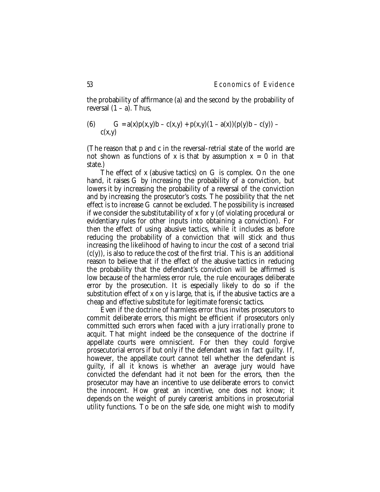the probability of affirmance (a) and the second by the probability of reversal  $(1 – a)$ . Thus,

(6) 
$$
G = a(x)p(x,y)b - c(x,y) + p(x,y)(1 - a(x))(p(y)b - c(y)) - c(x,y)
$$

(The reason that p and c in the reversal-retrial state of the world are not shown as functions of x is that by assumption  $x = 0$  in that state.)

The effect of x (abusive tactics) on G is complex. On the one hand, it raises G by increasing the probability of a conviction, but lowers it by increasing the probability of a reversal of the conviction and by increasing the prosecutor's costs. The possibility that the net effect is to increase G cannot be excluded. The possibility is increased if we consider the substitutability of x for y (of violating procedural or evidentiary rules for other inputs into obtaining a conviction). For then the effect of using abusive tactics, while it includes as before reducing the probability of a conviction that will stick and thus increasing the likelihood of having to incur the cost of a second trial  $(c(y))$ , is also to reduce the cost of the first trial. This is an additional reason to believe that if the effect of the abusive tactics in reducing the probability that the defendant's conviction will be affirmed is low because of the harmless error rule, the rule encourages deliberate error by the prosecution. It is especially likely to do so if the substitution effect of x on y is large, that is, if the abusive tactics are a cheap and effective substitute for legitimate forensic tactics.

Even if the doctrine of harmless error thus invites prosecutors to commit deliberate errors, this might be efficient if prosecutors only committed such errors when faced with a jury *irrationally* prone to acquit. That might indeed be the consequence of the doctrine if appellate courts were omniscient. For then they could forgive prosecutorial errors if but only if the defendant was in fact guilty. If, however, the appellate court cannot tell whether the defendant is guilty, if all it knows is whether an average jury would have convicted the defendant had it not been for the errors, then the prosecutor may have an incentive to use deliberate errors to convict the innocent. How great an incentive, one does not know; it depends on the weight of purely careerist ambitions in prosecutorial utility functions. To be on the safe side, one might wish to modify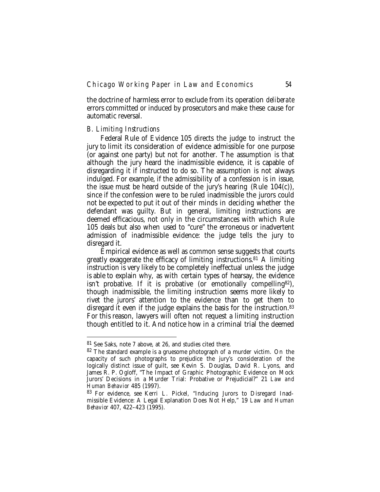the doctrine of harmless error to exclude from its operation *deliberate* errors committed or induced by prosecutors and make these cause for automatic reversal.

#### *B. Limiting Instructions*

Federal Rule of Evidence 105 directs the judge to instruct the jury to limit its consideration of evidence admissible for one purpose (or against one party) but not for another. The assumption is that although the jury heard the inadmissible evidence, it is capable of disregarding it if instructed to do so. The assumption is not always indulged. For example, if the admissibility of a confession is in issue, the issue must be heard outside of the jury's hearing (Rule 104(c)), since if the confession were to be ruled inadmissible the jurors could not be expected to put it out of their minds in deciding whether the defendant was guilty. But in general, limiting instructions are deemed efficacious, not only in the circumstances with which Rule 105 deals but also when used to "cure" the erroneous or inadvertent admission of inadmissible evidence: the judge tells the jury to disregard it.

Empirical evidence as well as common sense suggests that courts greatly exaggerate the efficacy of limiting instructions.81 A limiting instruction is very likely to be completely ineffectual unless the judge is able to explain why, as with certain types of hearsay, the evidence isn't probative. If it is probative (or emotionally compelling82), though inadmissible, the limiting instruction seems more likely to rivet the jurors' attention to the evidence than to get them to disregard it even if the judge explains the basis for the instruction.83 For this reason, lawyers will often not request a limiting instruction though entitled to it. And notice how in a criminal trial the deemed

<sup>81</sup> See Saks, note 7 above, at 26, and studies cited there.

<sup>82</sup> The standard example is a gruesome photograph of a murder victim. On the capacity of such photographs to prejudice the jury's consideration of the logically distinct issue of guilt, see Kevin S. Douglas, David R. Lyons, and James R. P. Ogloff, "The Impact of Graphic Photographic Evidence on Mock Jurors' Decisions in a Murder Trial: Probative or Prejudicial?" 21 *Law and Human Behavior* 485 (1997).

<sup>83</sup> For evidence, see Kerri L. Pickel, "Inducing Jurors to Disregard Inadmissible Evidence: A Legal Explanation Does Not Help," 19 *Law and Human Behavior* 407, 422–423 (1995).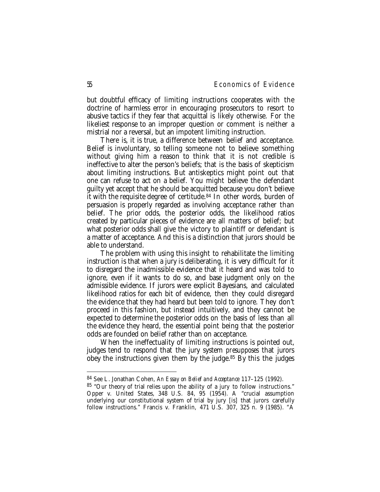but doubtful efficacy of limiting instructions cooperates with the doctrine of harmless error in encouraging prosecutors to resort to abusive tactics if they fear that acquittal is likely otherwise. For the likeliest response to an improper question or comment is neither a mistrial nor a reversal, but an impotent limiting instruction.

There is, it is true, a difference between belief and acceptance. Belief is involuntary, so telling someone not to believe something without giving him a reason to think that it is not credible is ineffective to alter the person's beliefs; that is the basis of skepticism about limiting instructions. But antiskeptics might point out that one can refuse to act on a belief. You might believe the defendant guilty yet accept that he should be acquitted because you don't believe it with the requisite degree of certitude.<sup>84</sup> In other words, burden of persuasion is properly regarded as involving acceptance rather than belief. The prior odds, the posterior odds, the likelihood ratios created by particular pieces of evidence are all matters of belief; but what posterior odds shall give the victory to plaintiff or defendant is a matter of acceptance. And this is a distinction that jurors should be able to understand.

The problem with using this insight to rehabilitate the limiting instruction is that when a jury is deliberating, it is very difficult for it to disregard the inadmissible evidence that it heard and was told to ignore, even if it wants to do so, and base judgment only on the admissible evidence. If jurors were explicit Bayesians, and calculated likelihood ratios for each bit of evidence, then they could disregard the evidence that they had heard but been told to ignore. They don't proceed in this fashion, but instead intuitively, and they cannot be expected to determine the posterior odds on the basis of less than all the evidence they heard, the essential point being that the posterior odds are founded on belief rather than on acceptance.

When the ineffectuality of limiting instructions is pointed out, judges tend to respond that the jury system *presupposes* that jurors obey the instructions given them by the judge.85 By this the judges

L,

<sup>84</sup> See L. Jonathan Cohen, *An Essay on Belief and Acceptance* 117–125 (1992).

<sup>85 &</sup>quot;Our theory of trial relies upon the ability of a jury to follow instructions." Opper v. United States, 348 U.S. 84, 95 (1954). A "crucial assumption underlying our constitutional system of trial by jury [is] that jurors carefully follow instructions." Francis v. Franklin, 471 U.S. 307, 325 n. 9 (1985). "A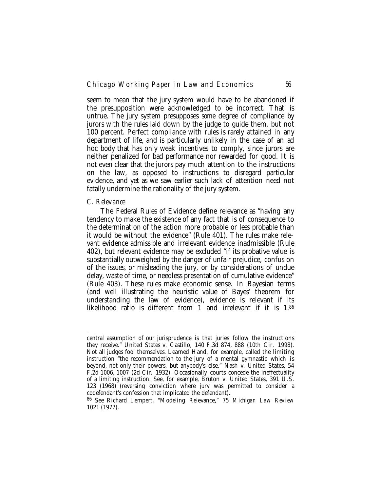seem to mean that the jury system would have to be abandoned if the presupposition were acknowledged to be incorrect. That is untrue. The jury system presupposes *some* degree of compliance by jurors with the rules laid down by the judge to guide them, but not 100 percent. Perfect compliance with rules is rarely attained in any department of life, and is particularly unlikely in the case of an ad hoc body that has only weak incentives to comply, since jurors are neither penalized for bad performance nor rewarded for good. It is not even clear that the jurors pay much attention to the instructions on the law, as opposed to instructions to disregard particular evidence, and yet as we saw earlier such lack of attention need not fatally undermine the rationality of the jury system.

#### *C. Relevance*

The Federal Rules of Evidence define relevance as "having any tendency to make the existence of any fact that is of consequence to the determination of the action more probable or less probable than it would be without the evidence" (Rule 401). The rules make relevant evidence admissible and irrelevant evidence inadmissible (Rule 402), but relevant evidence may be excluded "if its probative value is substantially outweighed by the danger of unfair prejudice, confusion of the issues, or misleading the jury, or by considerations of undue delay, waste of time, or needless presentation of cumulative evidence" (Rule 403). These rules make economic sense. In Bayesian terms (and well illustrating the heuristic value of Bayes' theorem for understanding the law of evidence), evidence is relevant if its likelihood ratio is different from 1 and irrelevant if it is 1.86

central assumption of our jurisprudence is that juries follow the instructions they receive." United States v. Castillo, 140 F.3d 874, 888 (10th Cir. 1998). Not all judges fool themselves. Learned Hand, for example, called the limiting instruction "the recommendation to the jury of a mental gymnastic which is beyond, not only their powers, but anybody's else." Nash v. United States, 54 F.2d 1006, 1007 (2d Cir. 1932). Occasionally courts concede the ineffectuality of a limiting instruction. See, for example, Bruton v. United States, 391 U.S. 123 (1968) (reversing conviction where jury was permitted to consider a codefendant's confession that implicated the defendant).

<sup>86</sup> See Richard Lempert, "Modeling Relevance," 75 *Michigan Law Review* 1021 (1977).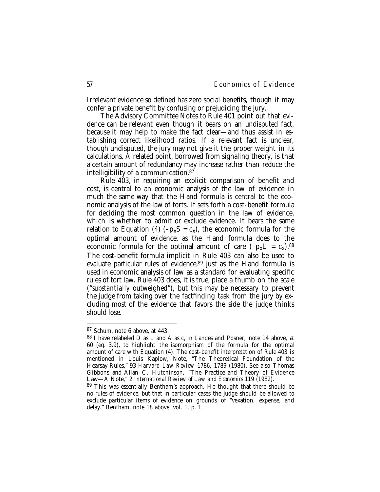Irrelevant evidence so defined has zero social benefits, though it may confer a private benefit by confusing or prejudicing the jury.

The Advisory Committee Notes to Rule 401 point out that evidence can be relevant even though it bears on an undisputed fact, because it may help to make the fact clear—and thus assist in establishing correct likelihood ratios. If a relevant fact is unclear, though undisputed, the jury may not give it the proper weight in its calculations. A related point, borrowed from signaling theory, is that a certain amount of redundancy may increase rather than reduce the intelligibility of a communication.87

Rule 403, in requiring an explicit comparison of benefit and cost, is central to an economic analysis of the law of evidence in much the same way that the Hand formula is central to the economic analysis of the law of torts. It sets forth a cost-benefit formula for deciding the most common question in the law of evidence, which is whether to admit or exclude evidence. It bears the same relation to Equation (4) ( $-p<sub>x</sub>S = c<sub>x</sub>$ ), the economic formula for the optimal amount of evidence, as the Hand formula does to the economic formula for the optimal amount of care  $(-p_xL = c_x)^{88}$ The cost-benefit formula implicit in Rule 403 can also be used to evaluate particular rules of evidence, 89 just as the Hand formula is used in economic analysis of law as a standard for evaluating specific rules of tort law. Rule 403 does, it is true, place a thumb on the scale ("*substantially* outweighed"), but this may be necessary to prevent the judge from taking over the factfinding task from the jury by excluding most of the evidence that favors the side the judge thinks should lose.

L,

<sup>87</sup> Schum, note 6 above, at 443.

<sup>88</sup> I have relabeled D as L and A as c, in Landes and Posner, note 14 above, at 60 (eq. 3.9), to highlight the isomorphism of the formula for the optimal amount of care with Equation (4). The cost-benefit interpretation of Rule 403 is mentioned in Louis Kaplow, Note, "The Theoretical Foundation of the Hearsay Rules," 93 *Harvard Law Review* 1786, 1789 (1980). See also Thomas Gibbons and Allan C. Hutchinson, "The Practice and Theory of Evidence Law—A Note," 2 *International Review of Law and Economics* 119 (1982).

<sup>89</sup> This was essentially Bentham's approach. He thought that there should be no rules of evidence, but that in particular cases the judge should be allowed to exclude particular items of evidence on grounds of "vexation, expense, and delay." Bentham, note 18 above, vol. 1, p. 1.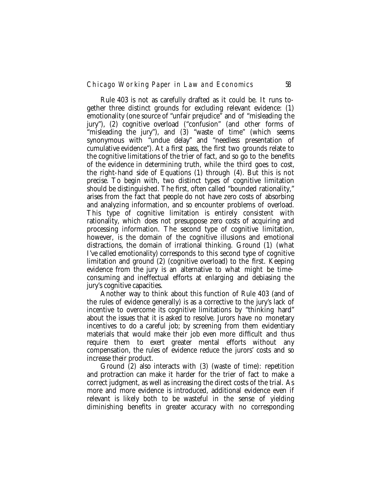Rule 403 is not as carefully drafted as it could be. It runs together three distinct grounds for excluding relevant evidence: (1) emotionality (one source of "unfair prejudice" and of "misleading the jury"), (2) cognitive overload ("confusion" (and other forms of "misleading the jury"), and (3) "waste of time" (which seems synonymous with "undue delay" and "needless presentation of cumulative evidence"). At a first pass, the first two grounds relate to the cognitive limitations of the trier of fact, and so go to the benefits of the evidence in determining truth, while the third goes to cost, the right-hand side of Equations (1) through (4). But this is not precise. To begin with, two distinct types of cognitive limitation should be distinguished. The first, often called "bounded rationality," arises from the fact that people do not have zero costs of absorbing and analyzing information, and so encounter problems of overload. This type of cognitive limitation is entirely consistent with rationality, which does not presuppose zero costs of acquiring and processing information. The second type of cognitive limitation, however, is the domain of the cognitive illusions and emotional distractions, the domain of irrational thinking. Ground (1) (what I've called emotionality) corresponds to this second type of cognitive limitation and ground (2) (cognitive overload) to the first. Keeping evidence from the jury is an alternative to what might be timeconsuming and ineffectual efforts at enlarging and debiasing the jury's cognitive capacities.

Another way to think about this function of Rule 403 (and of the rules of evidence generally) is as a corrective to the jury's lack of incentive to overcome its cognitive limitations by "thinking hard" about the issues that it is asked to resolve. Jurors have no monetary incentives to do a careful job; by screening from them evidentiary materials that would make their job even more difficult and thus require them to exert greater mental efforts without any compensation, the rules of evidence reduce the jurors' costs and so increase their product.

Ground (2) also interacts with (3) (waste of time): repetition and protraction can make it harder for the trier of fact to make a correct judgment, as well as increasing the direct costs of the trial. As more and more evidence is introduced, additional evidence even if relevant is likely both to be wasteful in the sense of yielding diminishing benefits in greater accuracy with no corresponding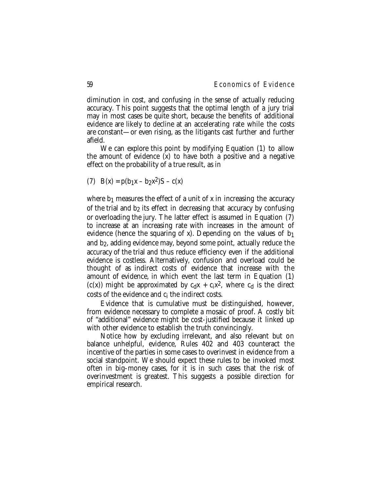diminution in cost, and confusing in the sense of actually reducing accuracy. This point suggests that the optimal length of a jury trial may in most cases be quite short, because the benefits of additional evidence are likely to decline at an accelerating rate while the costs are constant—or even rising, as the litigants cast further and further afield.

We can explore this point by modifying Equation (1) to allow the amount of evidence (x) to have both a positive and a negative effect on the probability of a true result, as in

(7)  $B(x) = p(b_1x - b_2x^2)S - c(x)$ 

where  $b_1$  measures the effect of a unit of x in increasing the accuracy of the trial and  $b_2$  its effect in decreasing that accuracy by confusing or overloading the jury. The latter effect is assumed in Equation (7) to increase at an increasing rate with increases in the amount of evidence (hence the squaring of x). Depending on the values of  $b_1$ and b<sub>2</sub>, adding evidence may, beyond some point, actually reduce the accuracy of the trial and thus reduce efficiency even if the additional evidence is costless. Alternatively, confusion and overload could be thought of as indirect costs of evidence that increase with the amount of evidence, in which event the last term in Equation (1) (c(x)) might be approximated by  $c<sub>d</sub>x + c<sub>i</sub>x<sup>2</sup>$ , where  $c<sub>d</sub>$  is the direct costs of the evidence and ci the indirect costs.

Evidence that is cumulative must be distinguished, however, from evidence necessary to complete a mosaic of proof. A costly bit of "additional" evidence might be cost-justified because it linked up with other evidence to establish the truth convincingly.

Notice how by excluding irrelevant, and also relevant but on balance unhelpful, evidence, Rules 402 and 403 counteract the incentive of the parties in some cases to overinvest in evidence from a social standpoint. We should expect these rules to be invoked most often in big-money cases, for it is in such cases that the risk of overinvestment is greatest. This suggests a possible direction for empirical research.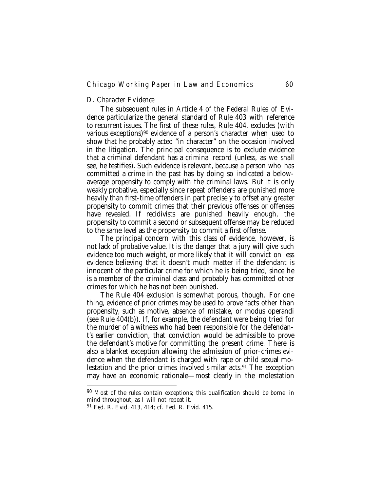## *D. Character Evidence*

The subsequent rules in Article 4 of the Federal Rules of Evidence particularize the general standard of Rule 403 with reference to recurrent issues. The first of these rules, Rule 404, excludes (with various exceptions)90 evidence of a person's character when used to show that he probably acted "in character" on the occasion involved in the litigation. The principal consequence is to exclude evidence that a criminal defendant has a criminal record (unless, as we shall see, he testifies). Such evidence is relevant, because a person who has committed a crime in the past has by doing so indicated a belowaverage propensity to comply with the criminal laws. But it is only weakly probative, especially since repeat offenders are punished more heavily than first-time offenders in part precisely to offset any greater propensity to commit crimes that their previous offenses or offenses have revealed. If recidivists are punished heavily enough, the propensity to commit a second or subsequent offense may be reduced to the same level as the propensity to commit a first offense.

The principal concern with this class of evidence, however, is not lack of probative value. It is the danger that a jury will give such evidence too much weight, or more likely that it will convict on less evidence believing that it doesn't much matter if the defendant is innocent of the particular crime for which he is being tried, since he is a member of the criminal class and probably has committed other crimes for which he has not been punished.

The Rule 404 exclusion is somewhat porous, though. For one thing, evidence of prior crimes may be used to prove facts other than propensity, such as motive, absence of mistake, or modus operandi (see Rule 404(b)). If, for example, the defendant were being tried for the murder of a witness who had been responsible for the defendant's earlier conviction, that conviction would be admissible to prove the defendant's motive for committing the present crime. There is also a blanket exception allowing the admission of prior-crimes evidence when the defendant is charged with rape or child sexual molestation and the prior crimes involved similar acts.<sup>91</sup> The exception may have an economic rationale—most clearly in the molestation

<sup>&</sup>lt;sup>90</sup> Most of the rules contain exceptions; this qualification should be borne in mind throughout, as I will not repeat it.

<sup>91</sup> Fed. R. Evid. 413, 414; cf. Fed. R. Evid. 415.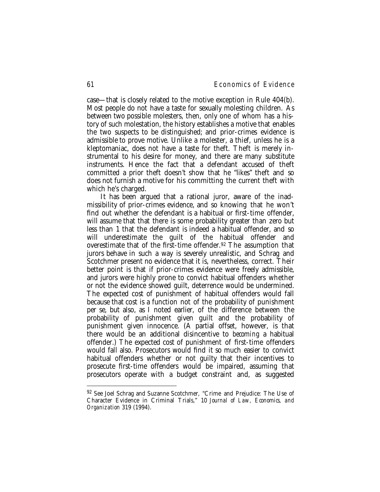case—that is closely related to the motive exception in Rule 404(b). Most people do not have a taste for sexually molesting children. As between two possible molesters, then, only one of whom has a history of such molestation, the history establishes a motive that enables the two suspects to be distinguished; and prior-crimes evidence is admissible to prove motive. Unlike a molester, a thief, unless he is a kleptomaniac, does not have a taste for theft. Theft is merely instrumental to his desire for money, and there are many substitute instruments. Hence the fact that a defendant accused of theft committed a prior theft doesn't show that he "likes" theft and so does not furnish a motive for his committing the current theft with which he's charged.

It has been argued that a rational juror, aware of the inadmissibility of prior-crimes evidence, and so knowing that he won't find out whether the defendant is a habitual or first-time offender, will assume that that there is some probability greater than zero but less than 1 that the defendant is indeed a habitual offender, and so will underestimate the guilt of the habitual offender and overestimate that of the first-time offender.92 The assumption that jurors behave in such a way is severely unrealistic, and Schrag and Scotchmer present no evidence that it is, nevertheless, correct. Their better point is that if prior-crimes evidence were freely admissible, and jurors were highly prone to convict habitual offenders whether or not the evidence showed guilt, deterrence would be undermined. The expected cost of punishment of habitual offenders would fall because that cost is a function not of the probability of punishment per se, but also, as I noted earlier, of the difference between the probability of punishment given guilt and the probability of punishment given innocence. (A partial offset, however, is that there would be an additional disincentive to *becoming* a habitual offender.) The expected cost of punishment of first-time offenders would fall also. Prosecutors would find it so much easier to convict habitual offenders whether or not guilty that their incentives to prosecute first-time offenders would be impaired, assuming that prosecutors operate with a budget constraint and, as suggested

<sup>92</sup> See Joel Schrag and Suzanne Scotchmer, "Crime and Prejudice: The Use of Character Evidence in Criminal Trials," 10 *Journal of Law, Economics, and Organization* 319 (1994).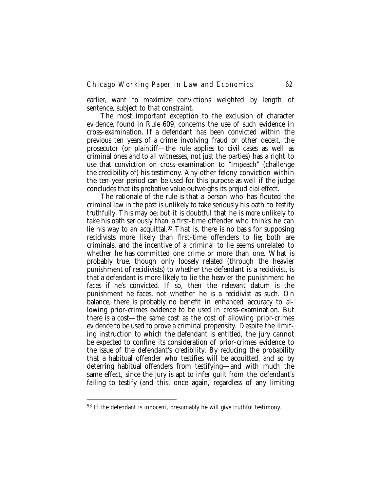earlier, want to maximize convictions weighted by length of sentence, subject to that constraint.

The most important exception to the exclusion of character evidence, found in Rule 609, concerns the use of such evidence in cross-examination. If a defendant has been convicted within the previous ten years of a crime involving fraud or other deceit, the prosecutor (or plaintiff—the rule applies to civil cases as well as criminal ones and to all witnesses, not just the parties) has a right to use that conviction on cross-examination to "impeach" (challenge the credibility of) his testimony. Any other felony conviction within the ten-year period can be used for this purpose as well if the judge concludes that its probative value outweighs its prejudicial effect.

The rationale of the rule is that a person who has flouted the criminal law in the past is unlikely to take seriously his oath to testify truthfully. This may be; but it is doubtful that he is *more* unlikely to take his oath seriously than a first-time offender who thinks he can lie his way to an acquittal.93 That is, there is no basis for supposing recidivists more likely than first-time offenders to lie; both are criminals, and the incentive of a criminal to lie seems unrelated to whether he has committed one crime or more than one. What is probably true, though only loosely related (through the heavier punishment of recidivists) to whether the defendant is a recidivist, is that a defendant is more likely to lie the heavier the punishment he faces if he's convicted. If so, then the relevant datum is the punishment he faces, not whether he is a recidivist as such. On balance, there is probably no benefit in enhanced accuracy to allowing prior-crimes evidence to be used in cross-examination. But there is a cost—the same cost as the cost of allowing prior-crimes evidence to be used to prove a criminal propensity. Despite the limiting instruction to which the defendant is entitled, the jury cannot be expected to confine its consideration of prior-crimes evidence to the issue of the defendant's credibility. By reducing the probability that a habitual offender who testifies will be acquitted, and so by deterring habitual offenders from testifying—and with much the same effect, since the jury is apt to infer guilt from the defendant's failing to testify (and this, once again, regardless of any limiting

L,

<sup>&</sup>lt;sup>93</sup> If the defendant is innocent, presumably he will give truthful testimony.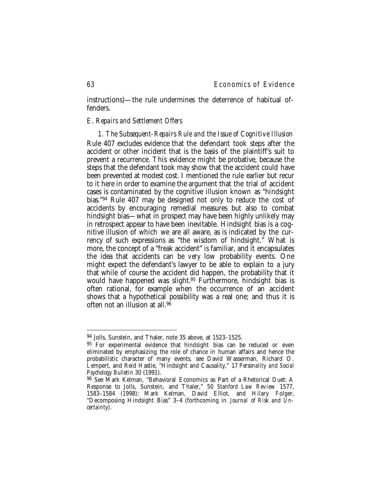instructions)—the rule undermines the deterrence of habitual offenders.

## *E. Repairs and Settlement Offers*

*1. The Subsequent-Repairs Rule and the Issue of Cognitive Illusion* Rule 407 excludes evidence that the defendant took steps after the accident or other incident that is the basis of the plaintiff's suit to prevent a recurrence. This evidence might be probative, because the steps that the defendant took may show that the accident could have been prevented at modest cost. I mentioned the rule earlier but recur to it here in order to examine the argument that the trial of accident cases is contaminated by the cognitive illusion known as "hindsight bias."94 Rule 407 may be designed not only to reduce the cost of accidents by encouraging remedial measures but also to combat hindsight bias—what in prospect may have been highly unlikely may in retrospect appear to have been inevitable. Hindsight bias is a cognitive illusion of which we are all aware, as is indicated by the currency of such expressions as "the wisdom of hindsight." What is more, the concept of a "freak accident" is familiar, and it encapsulates the idea that accidents can be *very* low probability events. One might expect the defendant's lawyer to be able to explain to a jury that while of course the accident did happen, the probability that it would have happened was slight.95 Furthermore, hindsight bias is often rational, for example when the occurrence of an accident shows that a hypothetical possibility was a real one; and thus it is often not an illusion at all.96

<sup>94</sup> Jolls, Sunstein, and Thaler, note 35 above, at 1523–1525.

<sup>95</sup> For experimental evidence that hindsight bias can be reduced or even eliminated by emphasizing the role of chance in human affairs and hence the probabilistic character of many events, see David Wasserman, Richard O. Lempert, and Reid Hastie, "Hindsight and Causality," 17 *Personality and Social Psychology Bulletin* 30 (1991).

<sup>96</sup> See Mark Kelman, "Behavioral Economics as Part of a Rhetorical Duet: A Response to Jolls, Sunstein, and Thaler," 50 *Stanford Law Review* 1577, 1583–1584 (1998); Mark Kelman, David Elliot, and Hilary Folger, "Decomposing Hindsight Bias" 3–4 (forthcoming in *Journal of Risk and Uncertainty*).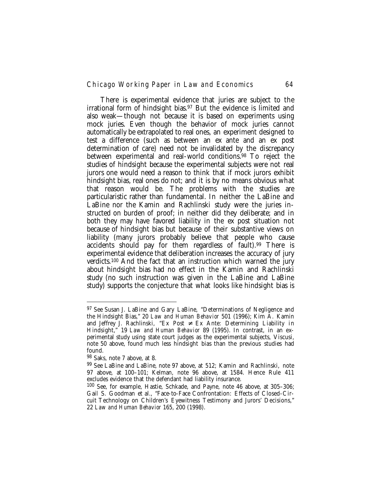There is experimental evidence that juries are subject to the irrational form of hindsight bias.97 But the evidence is limited and also weak—though not because it is based on experiments using mock juries. Even though the behavior of mock juries cannot automatically be extrapolated to real ones, an experiment designed to test a difference (such as between an ex ante and an ex post determination of care) need not be invalidated by the discrepancy between experimental and real-world conditions.98 To reject the studies of hindsight because the experimental subjects were not real jurors one would need a reason to think that if mock jurors exhibit hindsight bias, real ones do not; and it is by no means obvious what that reason would be. The problems with the studies are particularistic rather than fundamental. In neither the LaBine and LaBine nor the Kamin and Rachlinski study were the juries instructed on burden of proof; in neither did they deliberate; and in both they may have favored liability in the ex post situation not because of hindsight bias but because of their substantive views on liability (many jurors probably believe that people who cause accidents should pay for them regardless of fault).99 There is experimental evidence that deliberation increases the accuracy of jury verdicts.100 And the fact that an instruction which warned the jury about hindsight bias had no effect in the Kamin and Rachlinski study (no such instruction was given in the LaBine and LaBine study) supports the conjecture that what looks like hindsight bias is

<sup>97</sup> See Susan J. LaBine and Gary LaBine, "Determinations of Negligence and the Hindsight Bias," 20 *Law and Human Behavior* 501 (1996); Kim A. Kamin and Jeffrey J. Rachlinski, "Ex Post  $\neq$  Ex Ante: Determining Liability in Hindsight," 19 *Law and Human Behavior* 89 (1995). In contrast, in an experimental study using state court judges as the experimental subjects, Viscusi, note 50 above, found much less hindsight bias than the previous studies had found.

<sup>98</sup> Saks, note 7 above, at 8.

<sup>99</sup> See LaBine and LaBine, note 97 above, at 512; Kamin and Rachlinski, note 97 above, at 100–101; Kelman, note 96 above, at 1584. Hence Rule 411 excludes evidence that the defendant had liability insurance.

<sup>100</sup> See, for example, Hastie, Schkade, and Payne, note 46 above, at 305–306; Gail S. Goodman et al., "Face-to-Face Confrontation: Effects of Closed-Circuit Technology on Children's Eyewitness Testimony and Jurors' Decisions," 22 *Law and Human Behavior* 165, 200 (1998).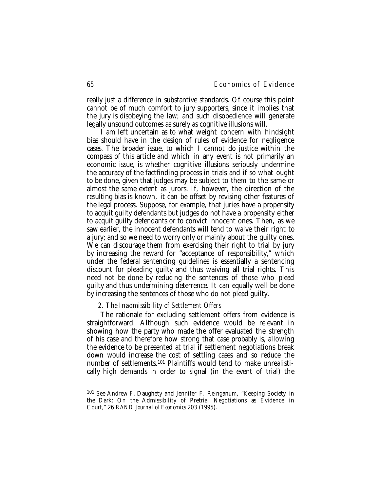really just a difference in substantive standards. Of course this point cannot be of much comfort to jury supporters, since it implies that the jury is disobeying the law; and such disobedience will generate legally unsound outcomes as surely as cognitive illusions will.

I am left uncertain as to what weight concern with hindsight bias should have in the design of rules of evidence for negligence cases. The broader issue, to which I cannot do justice within the compass of this article and which in any event is not primarily an economic issue, is whether cognitive illusions seriously undermine the accuracy of the factfinding process in trials and if so what ought to be done, given that judges may be subject to them to the same or almost the same extent as jurors. If, however, the direction of the resulting bias is known, it can be offset by revising other features of the legal process. Suppose, for example, that juries have a propensity to acquit guilty defendants but judges do not have a propensity either to acquit guilty defendants or to convict innocent ones. Then, as we saw earlier, the innocent defendants will tend to waive their right to a jury; and so we need to worry only or mainly about the guilty ones. We can discourage them from exercising their right to trial by jury by increasing the reward for "acceptance of responsibility," which under the federal sentencing guidelines is essentially a sentencing discount for pleading guilty and thus waiving all trial rights. This need not be done by reducing the sentences of those who plead guilty and thus undermining deterrence. It can equally well be done by increasing the sentences of those who do not plead guilty.

## *2. The Inadmissibility of Settlement Offers*

The rationale for excluding settlement offers from evidence is straightforward. Although such evidence would be relevant in showing how the party who made the offer evaluated the strength of his case and therefore how strong that case probably is, allowing the evidence to be presented at trial if settlement negotiations break down would increase the cost of settling cases and so reduce the number of settlements.101 Plaintiffs would tend to make unrealistically high demands in order to signal (in the event of trial) the

<sup>101</sup> See Andrew F. Daughety and Jennifer F. Reinganum, "Keeping Society in the Dark: On the Admissibility of Pretrial Negotiations as Evidence in Court," 26 *RAND Journal of Economics* 203 (1995).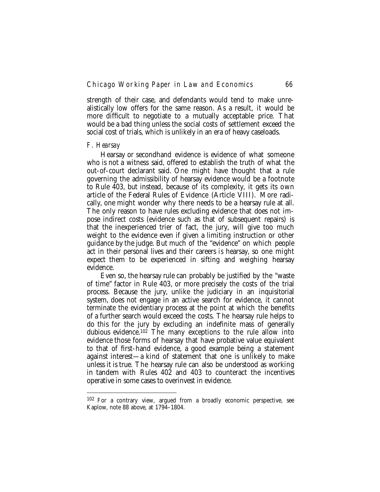strength of their case, and defendants would tend to make unrealistically low offers for the same reason. As a result, it would be more difficult to negotiate to a mutually acceptable price. That would be a bad thing unless the social costs of settlement exceed the social cost of trials, which is unlikely in an era of heavy caseloads.

#### *F. Hearsay*

-

Hearsay or secondhand evidence is evidence of what someone who is not a witness said, offered to establish the truth of what the out-of-court declarant said. One might have thought that a rule governing the admissibility of hearsay evidence would be a footnote to Rule 403, but instead, because of its complexity, it gets its own article of the Federal Rules of Evidence (Article VIII). More radically, one might wonder why there needs to be a hearsay rule at all. The only reason to have rules excluding evidence that does not impose indirect costs (evidence such as that of subsequent repairs) is that the inexperienced trier of fact, the jury, will give too much weight to the evidence even if given a limiting instruction or other guidance by the judge. But much of the "evidence" on which people act in their personal lives and their careers *is* hearsay, so one might expect them to be experienced in sifting and weighing hearsay evidence.

Even so, the hearsay rule can probably be justified by the "waste of time" factor in Rule 403, or more precisely the costs of the trial process. Because the jury, unlike the judiciary in an inquisitorial system, does not engage in an active search for evidence, it cannot terminate the evidentiary process at the point at which the benefits of a further search would exceed the costs. The hearsay rule helps to do this for the jury by excluding an indefinite mass of generally dubious evidence.102 The many exceptions to the rule allow into evidence those forms of hearsay that have probative value equivalent to that of first-hand evidence, a good example being a statement against interest—a kind of statement that one is unlikely to make unless it is true. The hearsay rule can also be understood as working in tandem with Rules 402 and 403 to counteract the incentives operative in some cases to overinvest in evidence.

<sup>102</sup> For a contrary view, argued from a broadly economic perspective, see Kaplow, note 88 above, at 1794–1804.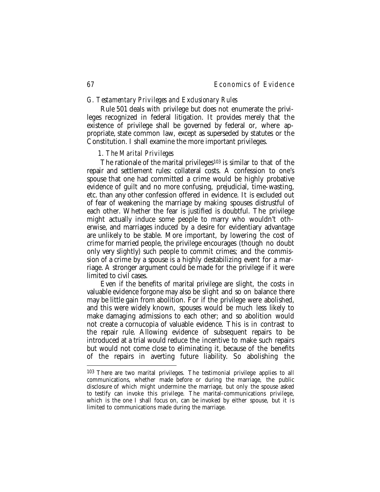## *G. Testamentary Privileges and Exclusionary Rules*

Rule 501 deals with privilege but does not enumerate the privileges recognized in federal litigation. It provides merely that the existence of privilege shall be governed by federal or, where appropriate, state common law, except as superseded by statutes or the Constitution. I shall examine the more important privileges.

## *1. The Marital Privileges*

The rationale of the marital privileges<sup>103</sup> is similar to that of the repair and settlement rules: collateral costs. A confession to one's spouse that one had committed a crime would be highly probative evidence of guilt and no more confusing, prejudicial, time-wasting, etc. than any other confession offered in evidence. It is excluded out of fear of weakening the marriage by making spouses distrustful of each other. Whether the fear is justified is doubtful. The privilege might actually induce some people to marry who wouldn't otherwise, and marriages induced by a desire for evidentiary advantage are unlikely to be stable. More important, by lowering the cost of crime for married people, the privilege encourages (though no doubt only very slightly) such people to commit crimes; and the commission of a crime by a spouse is a highly destabilizing event for a marriage. A stronger argument could be made for the privilege if it were limited to civil cases.

Even if the benefits of marital privilege are slight, the costs in valuable evidence forgone may also be slight and so on balance there may be little gain from abolition. For if the privilege were abolished, and this were widely known, spouses would be much less likely to make damaging admissions to each other; and so abolition would not create a cornucopia of valuable evidence. This is in contrast to the repair rule. Allowing evidence of subsequent repairs to be introduced at a trial would reduce the incentive to make such repairs but would not come close to eliminating it, because of the benefits of the repairs in averting future liability. So abolishing the

<sup>103</sup> There are two marital privileges. The testimonial privilege applies to all communications, whether made before or during the marriage, the public disclosure of which might undermine the marriage, but only the spouse asked to testify can invoke this privilege. The marital-communications privilege, which is the one I shall focus on, can be invoked by either spouse, but it is limited to communications made during the marriage.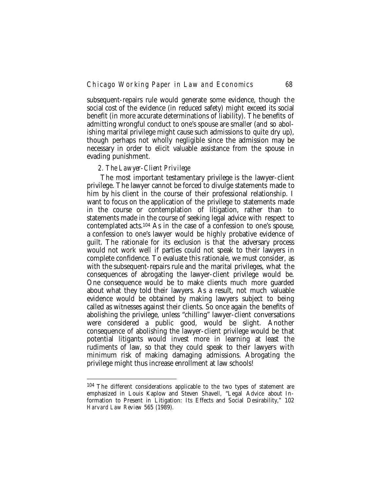subsequent-repairs rule would generate some evidence, though the social cost of the evidence (in reduced safety) might exceed its social benefit (in more accurate determinations of liability). The benefits of admitting wrongful conduct to one's spouse are smaller (and so abolishing marital privilege might cause such admissions to quite dry up), though perhaps not wholly negligible since the admission may be necessary in order to elicit valuable assistance from the spouse in evading punishment.

## *2. The Lawyer-Client Privilege*

L,

The most important testamentary privilege is the lawyer-client privilege. The lawyer cannot be forced to divulge statements made to him by his client in the course of their professional relationship. I want to focus on the application of the privilege to statements made in the course or contemplation of litigation, rather than to statements made in the course of seeking legal advice with respect to contemplated acts.104 As in the case of a confession to one's spouse, a confession to one's lawyer would be highly probative evidence of guilt. The rationale for its exclusion is that the adversary process would not work well if parties could not speak to their lawyers in complete confidence. To evaluate this rationale, we must consider, as with the subsequent-repairs rule and the marital privileges, what the consequences of abrogating the lawyer-client privilege would be. One consequence would be to make clients much more guarded about what they told their lawyers. As a result, not much valuable evidence would be obtained by making lawyers subject to being called as witnesses against their clients. So once again the benefits of abolishing the privilege, unless "chilling" lawyer-client conversations were considered a public good, would be slight. Another consequence of abolishing the lawyer-client privilege would be that potential litigants would invest more in learning at least the rudiments of law, so that they could speak to their lawyers with minimum risk of making damaging admissions. Abrogating the privilege might thus increase enrollment at law schools!

<sup>&</sup>lt;sup>104</sup> The different considerations applicable to the two types of statement are emphasized in Louis Kaplow and Steven Shavell, "Legal Advice about Information to Present in Litigation: Its Effects and Social Desirability," 102 *Harvard Law Review* 565 (1989).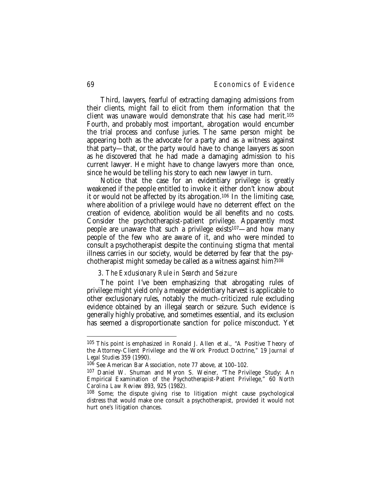Third, lawyers, fearful of extracting damaging admissions from their clients, might fail to elicit from them information that the client was unaware would demonstrate that his case had merit.105 Fourth, and probably most important, abrogation would encumber the trial process and confuse juries. The same person might be appearing both as the advocate for a party and as a witness against that party—that, or the party would have to change lawyers as soon as he discovered that he had made a damaging admission to his current lawyer. He might have to change lawyers more than once, since he would be telling his story to each new lawyer in turn.

Notice that the case for an evidentiary privilege is greatly weakened if the people entitled to invoke it either don't know about it or would not be affected by its abrogation.106 In the limiting case, where abolition of a privilege would have no deterrent effect on the creation of evidence, abolition would be all benefits and no costs. Consider the psychotherapist-patient privilege. Apparently most people are unaware that such a privilege exists<sup>107</sup>—and how many people of the few who are aware of it, and who were minded to consult a psychotherapist despite the continuing stigma that mental illness carries in our society, would be deterred by fear that the psychotherapist might someday be called as a witness against him?108

# *3. The Exclusionary Rule in Search and Seizure*

The point I've been emphasizing that abrogating rules of privilege might yield only a meager evidentiary harvest is applicable to other exclusionary rules, notably the much-criticized rule excluding evidence obtained by an illegal search or seizure. Such evidence is generally highly probative, and sometimes essential, and its exclusion has seemed a disproportionate sanction for police misconduct. Yet

L,

<sup>105</sup> This point is emphasized in Ronald J. Allen et al., "A Positive Theory of the Attorney-Client Privilege and the Work Product Doctrine," 19 *Journal of Legal Studies* 359 (1990).

<sup>106</sup> See American Bar Association, note 77 above, at 100–102.

<sup>107</sup> Daniel W. Shuman and Myron S. Weiner, "The Privilege Study: An Empirical Examination of the Psychotherapist-Patient Privilege," 60 *North Carolina Law Review* 893, 925 (1982).

<sup>108</sup> Some; the dispute giving rise to litigation might cause psychological distress that would make one consult a psychotherapist, provided it would not hurt one's litigation chances.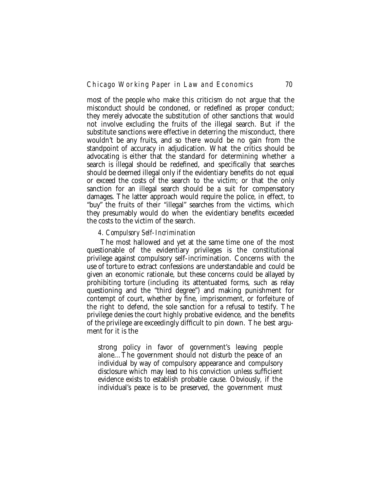most of the people who make this criticism do not argue that the misconduct should be condoned, or redefined as proper conduct; they merely advocate the substitution of other sanctions that would not involve excluding the fruits of the illegal search. But if the substitute sanctions were effective in deterring the misconduct, there wouldn't be any fruits, and so there would be no gain from the standpoint of accuracy in adjudication. What the critics should be advocating is either that the standard for determining whether a search is illegal should be redefined, and specifically that searches should be deemed illegal only if the evidentiary benefits do not equal or exceed the costs of the search to the victim; or that the only sanction for an illegal search should be a suit for compensatory damages. The latter approach would require the police, in effect, to "buy" the fruits of their "illegal" searches from the victims, which they presumably would do when the evidentiary benefits exceeded the costs to the victim of the search.

### *4. Compulsory Self-Incrimination*

The most hallowed and yet at the same time one of the most questionable of the evidentiary privileges is the constitutional privilege against compulsory self-incrimination. Concerns with the use of torture to extract confessions are understandable and could be given an economic rationale, but these concerns could be allayed by prohibiting torture (including its attentuated forms, such as relay questioning and the "third degree") and making punishment for contempt of court, whether by fine, imprisonment, or forfeiture of the right to defend, the sole sanction for a refusal to testify. The privilege denies the court highly probative evidence, and the benefits of the privilege are exceedingly difficult to pin down. The best argument for it is the

strong policy in favor of government's leaving people alone…The government should not disturb the peace of an individual by way of compulsory appearance and compulsory disclosure which may lead to his conviction unless sufficient evidence exists to establish probable cause. Obviously, if the individual's peace is to be preserved, the government must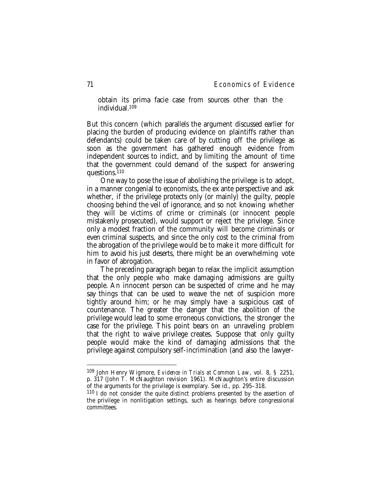obtain its prima facie case from sources other than the individual.109

But this concern (which parallels the argument discussed earlier for placing the burden of producing evidence on plaintiffs rather than defendants) could be taken care of by cutting off the privilege as soon as the government has gathered enough evidence from independent sources to indict, and by limiting the amount of time that the government could demand of the suspect for answering questions.110

One way to pose the issue of abolishing the privilege is to adopt, in a manner congenial to economists, the ex ante perspective and ask whether, if the privilege protects only (or mainly) the guilty, people choosing behind the veil of ignorance, and so not knowing whether they will be victims of crime or criminals (or innocent people mistakenly prosecuted), would support or reject the privilege. Since only a modest fraction of the community will become criminals or even criminal suspects, and since the only cost to the criminal from the abrogation of the privilege would be to make it more difficult for him to avoid his just deserts, there might be an overwhelming vote in favor of abrogation.

The preceding paragraph began to relax the implicit assumption that the only people who make damaging admissions are guilty people. An innocent person can be suspected of crime and he may say things that can be used to weave the net of suspicion more tightly around him; or he may simply have a suspicious cast of countenance. The greater the danger that the abolition of the privilege would lead to some erroneous convictions, the stronger the case for the privilege. This point bears on an unraveling problem that the right to waive privilege creates. Suppose that only guilty people would make the kind of damaging admissions that the privilege against compulsory self-incrimination (and also the lawyer-

-

<sup>109</sup> John Henry Wigmore, *Evidence in Trials at Common Law*, vol. 8, § 2251, p. 317 (John T. McNaughton revision 1961). McNaughton's entire discussion of the arguments for the privilege is exemplary. See id., pp. 295–318.

<sup>&</sup>lt;sup>110</sup> I do not consider the quite distinct problems presented by the assertion of the privilege in nonlitigation settings, such as hearings before congressional committees.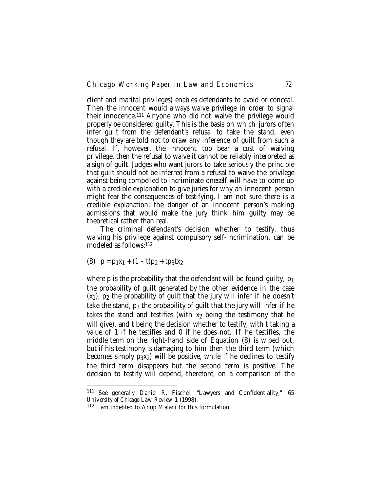client and marital privileges) enables defendants to avoid or conceal. Then the innocent would always waive privilege in order to signal their innocence.111 Anyone who did not waive the privilege would properly be considered guilty. This is the basis on which jurors often infer guilt from the defendant's refusal to take the stand, even though they are told not to draw any inference of guilt from such a refusal. If, however, the innocent too bear a cost of waiving privilege, then the refusal to waive it cannot be reliably interpreted as a sign of guilt. Judges who want jurors to take seriously the principle that guilt should not be inferred from a refusal to waive the privilege against being compelled to incriminate oneself will have to come up with a credible explanation to give juries for why an innocent person might fear the consequences of testifying. I am not sure there *is* a credible explanation; the danger of an innocent person's making admissions that would make the jury think him guilty may be theoretical rather than real.

The criminal defendant's decision whether to testify, thus waiving his privilege against compulsory self-incrimination, can be modeled as follows:112

(8)  $p = p_1x_1 + (1 - t)p_2 + tp_3tx_2$ 

-

where p is the probability that the defendant will be found guilty,  $p_1$ the probability of guilt generated by the other evidence in the case  $(x_1)$ ,  $p_2$  the probability of guilt that the jury will infer if he doesn't take the stand,  $p_3$  the probability of guilt that the jury will infer if he takes the stand and testifies (with x<sub>2</sub> being the testimony that he will give), and t being the decision whether to testify, with t taking a value of 1 if he testifies and 0 if he does not. If he testifies, the middle term on the right-hand side of Equation (8) is wiped out, but if his testimony is damaging to him then the third term (which becomes simply  $p_3x_2$ ) will be positive, while if he declines to testify the third term disappears but the second term is positive. The decision to testify will depend, therefore, on a comparison of the

<sup>111</sup> See generally Daniel R. Fischel, "Lawyers and Confidentiality," 65 *University of Chicago Law Review* 1 (1998).

<sup>112</sup> I am indebted to Anup Malani for this formulation.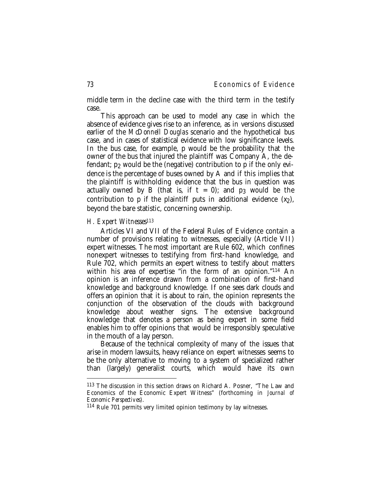middle term in the decline case with the third term in the testify case.

This approach can be used to model any case in which the absence of evidence gives rise to an inference, as in versions discussed earlier of the *McDonnell Douglas* scenario and the hypothetical bus case, and in cases of statistical evidence with low significance levels. In the bus case, for example, p would be the probability that the owner of the bus that injured the plaintiff was Company A, the defendant;  $p_2$  would be the (negative) contribution to p if the only evidence is the percentage of buses owned by A and if this implies that the plaintiff is withholding evidence that the bus in question was actually owned by B (that is, if  $t = 0$ ); and  $p_3$  would be the contribution to p if the plaintiff puts in additional evidence  $(x_2)$ , beyond the bare statistic, concerning ownership.

## *H. Expert Witnesses113*

Articles VI and VII of the Federal Rules of Evidence contain a number of provisions relating to witnesses, especially (Article VII) expert witnesses. The most important are Rule 602, which confines nonexpert witnesses to testifying from first-hand knowledge, and Rule 702, which permits an expert witness to testify about matters within his area of expertise "in the form of an opinion."114 An opinion is an inference drawn from a combination of first-hand knowledge and background knowledge. If one sees dark clouds and offers an opinion that it is about to rain, the opinion represents the conjunction of the observation of the clouds with background knowledge about weather signs. The extensive background knowledge that denotes a person as being expert in some field enables him to offer opinions that would be irresponsibly speculative in the mouth of a lay person.

Because of the technical complexity of many of the issues that arise in modern lawsuits, heavy reliance on expert witnesses seems to be the only alternative to moving to a system of specialized rather than (largely) generalist courts, which would have its own

<sup>113</sup> The discussion in this section draws on Richard A. Posner, "The Law and Economics of the Economic Expert Witness" (forthcoming in *Journal of Economic Perspectives*).

<sup>114</sup> Rule 701 permits very limited opinion testimony by lay witnesses.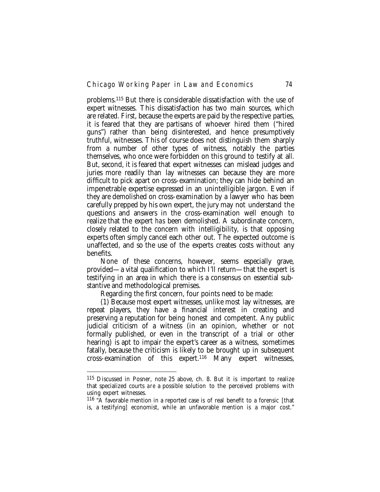problems.115 But there is considerable dissatisfaction with the use of expert witnesses. This dissatisfaction has two main sources, which are related. First, because the experts are paid by the respective parties, it is feared that they are partisans of whoever hired them ("hired guns") rather than being disinterested, and hence presumptively truthful, witnesses. This of course does not distinguish them sharply from a number of other types of witness, notably the parties themselves, who once were forbidden on this ground to testify at all. But, second, it is feared that expert witnesses can mislead judges and juries more readily than lay witnesses can because they are more difficult to pick apart on cross-examination; they can hide behind an impenetrable expertise expressed in an unintelligible jargon. Even if they are demolished on cross-examination by a lawyer who has been carefully prepped by his own expert, the jury may not understand the questions and answers in the cross-examination well enough to realize that the expert *has* been demolished. A subordinate concern, closely related to the concern with intelligibility, is that opposing experts often simply cancel each other out. The expected outcome is unaffected, and so the use of the experts creates costs without any benefits.

None of these concerns, however, seems especially grave, provided—a vital qualification to which I'll return—that the expert is testifying in an area in which there is a consensus on essential substantive and methodological premises.

Regarding the first concern, four points need to be made:

(1) Because most expert witnesses, unlike most lay witnesses, are repeat players, they have a financial interest in creating and preserving a reputation for being honest and competent. Any public judicial criticism of a witness (in an opinion, whether or not formally published, or even in the transcript of a trial or other hearing) is apt to impair the expert's career as a witness, sometimes fatally, because the criticism is likely to be brought up in subsequent cross-examination of this expert.116 Many expert witnesses,

L,

<sup>115</sup> Discussed in Posner, note 25 above, ch. 8. But it is important to realize that specialized courts *are* a possible solution to the perceived problems with using expert witnesses.

<sup>116 &</sup>quot;A favorable mention in a reported case is of real benefit to a forensic [that is, a testifying] economist, while an unfavorable mention is a major cost."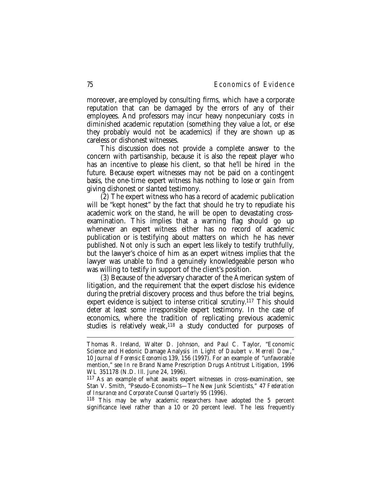moreover, are employed by consulting firms, which have a corporate reputation that can be damaged by the errors of any of their employees. And professors may incur heavy nonpecuniary costs in diminished academic reputation (something they value a lot, or else they probably would not be academics) if they are shown up as careless or dishonest witnesses.

This discussion does not provide a complete answer to the concern with partisanship, because it is also the repeat player who has an incentive to please his client, so that he'll be hired in the future. Because expert witnesses may not be paid on a contingent basis, the one-time expert witness has nothing to lose *or gain* from giving dishonest or slanted testimony.

(2) The expert witness who has a record of academic publication will be "kept honest" by the fact that should he try to repudiate his academic work on the stand, he will be open to devastating crossexamination. This implies that a warning flag should go up whenever an expert witness either has no record of academic publication or is testifying about matters on which he has never published. Not only is such an expert less likely to testify truthfully, but the lawyer's choice of him as an expert witness implies that the lawyer was unable to find a genuinely knowledgeable person who was willing to testify in support of the client's position.

(3) Because of the adversary character of the American system of litigation, and the requirement that the expert disclose his evidence during the pretrial discovery process and thus before the trial begins, expert evidence is subject to intense critical scrutiny.<sup>117</sup> This should deter at least some irresponsible expert testimony. In the case of economics, where the tradition of replicating previous academic studies is relatively weak,118 a study conducted for purposes of

118 This may be why academic researchers have adopted the 5 percent significance level rather than a 10 or 20 percent level. The less frequently

Thomas R. Ireland, Walter D. Johnson, and Paul C. Taylor, "Economic Science and Hedonic Damage Analysis in Light of *Daubert v. Merrell Dow*," 10 *Journal of Forensic Economics* 139, 156 (1997). For an example of "unfavorable mention," see In re Brand Name Prescription Drugs Antitrust Litigation, 1996 WL 351178 (N.D. Ill. June 24, 1996).

<sup>117</sup> As an example of what awaits expert witnesses in cross-examination, see Stan V. Smith, "Pseudo-Economists—The New Junk Scientists," 47 *Federation of Insurance and Corporate Counsel Quarterly* 95 (1996).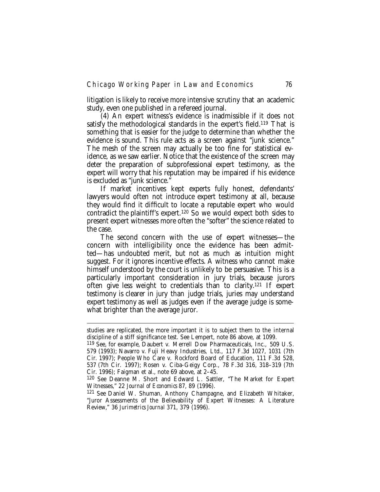litigation is likely to receive more intensive scrutiny that an academic study, even one published in a refereed journal.

(4) An expert witness's evidence is inadmissible if it does not satisfy the methodological standards in the expert's field.119 That is something that is easier for the judge to determine than whether the evidence is sound. This rule acts as a screen against "junk science." The mesh of the screen may actually be too fine for statistical evidence, as we saw earlier. Notice that the existence of the screen may deter the preparation of subprofessional expert testimony, as the expert will worry that his reputation may be impaired if his evidence is excluded as "junk science."

If market incentives kept experts fully honest, defendants' lawyers would often not introduce expert testimony at all, because they would find it difficult to locate a reputable expert who would contradict the plaintiff's expert.120 So we would expect both sides to present expert witnesses more often the "softer" the science related to the case.

The second concern with the use of expert witnesses—the concern with intelligibility once the evidence has been admitted—has undoubted merit, but not as much as intuition might suggest. For it ignores incentive effects. A witness who cannot make himself understood by the court is unlikely to be persuasive. This is a particularly important consideration in jury trials, because jurors often give less weight to credentials than to clarity.121 If expert testimony is clearer in jury than judge trials, juries may understand expert testimony as well as judges even if the average judge is somewhat brighter than the average juror.

L,

studies are replicated, the more important it is to subject them to the internal discipline of a stiff significance test. See Lempert, note 86 above, at 1099.

<sup>119</sup> See, for example, Daubert v. Merrell Dow Pharmaceuticals, Inc., 509 U.S. 579 (1993); Navarro v. Fuji Heavy Industries, Ltd., 117 F.3d 1027, 1031 (7th Cir. 1997); People Who Care v. Rockford Board of Education, 111 F.3d 528, 537 (7th Cir. 1997); Rosen v. Ciba-Geigy Corp., 78 F.3d 316, 318–319 (7th Cir. 1996); Faigman et al., note 69 above, at 2–45.

<sup>120</sup> See Deanne M. Short and Edward L. Sattler, "The Market for Expert Witnesses," 22 *Journal of Economics* 87, 89 (1996).

<sup>121</sup> See Daniel W. Shuman, Anthony Champagne, and Elizabeth Whitaker, "Juror Assessments of the Believability of Expert Witnesses: A Literature Review," 36 *Jurimetrics Journal* 371, 379 (1996).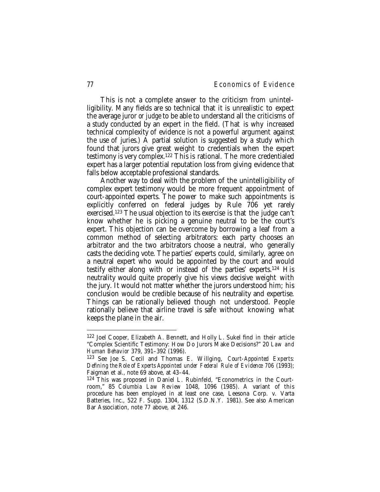This is not a complete answer to the criticism from unintelligibility. Many fields are so technical that it is unrealistic to expect the average juror *or judge* to be able to understand all the criticisms of a study conducted by an expert in the field. (That is why increased technical complexity of evidence is not a powerful argument against the use of juries.) A partial solution is suggested by a study which found that jurors give great weight to credentials when the expert testimony is very complex.122 This is rational. The more credentialed expert has a larger potential reputation loss from giving evidence that falls below acceptable professional standards.

Another way to deal with the problem of the unintelligibility of complex expert testimony would be more frequent appointment of court-appointed experts. The power to make such appointments is explicitly conferred on federal judges by Rule 706 yet rarely exercised.123 The usual objection to its exercise is that the judge can't know whether he is picking a genuine neutral to be the court's expert. This objection can be overcome by borrowing a leaf from a common method of selecting arbitrators: each party chooses an arbitrator and the two arbitrators choose a neutral, who generally casts the deciding vote. The parties' experts could, similarly, agree on a neutral expert who would be appointed by the court and would testify either along with or instead of the parties' experts.124 His neutrality would quite properly give his views decisive weight with the jury. It would not matter whether the jurors understood him; his conclusion would be credible because of his neutrality and expertise. Things can be rationally believed though not understood. People rationally believe that airline travel is safe without knowing what keeps the plane in the air.

<sup>122</sup> Joel Cooper, Elizabeth A. Bennett, and Holly L. Sukel find in their article "Complex Scientific Testimony: How Do Jurors Make Decisions?" 20 *Law and Human Behavior* 379, 391–392 (1996).

<sup>123</sup> See Joe S. Cecil and Thomas E. Willging, *Court-Appointed Experts: Defining the Role of Experts Appointed under Federal Rule of Evidence 706* (1993); Faigman et al., note 69 above, at 43-44.

<sup>124</sup> This was proposed in Daniel L. Rubinfeld, "Econometrics in the Courtroom," 85 *Columbia Law Review* 1048, 1096 (1985). A variant of this procedure has been employed in at least one case, Leesona Corp. v. Varta Batteries, Inc., 522 F. Supp. 1304, 1312 (S.D.N.Y. 1981). See also American Bar Association, note 77 above, at 246.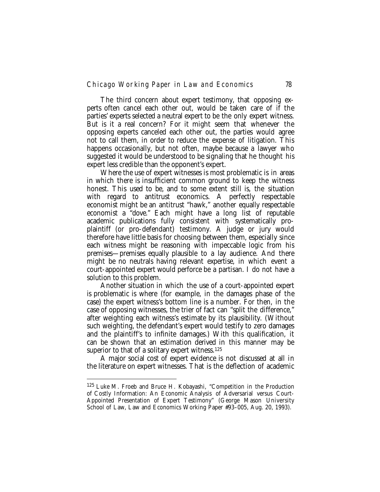The third concern about expert testimony, that opposing experts often cancel each other out, would be taken care of if the parties' experts selected a neutral expert to be the only expert witness. But is it a real concern? For it might seem that whenever the opposing experts canceled each other out, the parties would agree not to call them, in order to reduce the expense of litigation. This happens occasionally, but not often, maybe because a lawyer who suggested it would be understood to be signaling that he thought his expert less credible than the opponent's expert.

Where the use of expert witnesses is most problematic is in areas in which there is insufficient common ground to keep the witness honest. This used to be, and to some extent still is, the situation with regard to antitrust economics. A perfectly respectable economist might be an antitrust "hawk," another equally respectable economist a "dove." Each might have a long list of reputable academic publications fully consistent with systematically proplaintiff (or pro-defendant) testimony. A judge or jury would therefore have little basis for choosing between them, especially since each witness might be reasoning with impeccable logic from his premises—premises equally plausible to a lay audience. And there might be no neutrals having relevant expertise, in which event a court-appointed expert would perforce be a partisan. I do not have a solution to this problem.

Another situation in which the use of a court-appointed expert is problematic is where (for example, in the damages phase of the case) the expert witness's bottom line is a number. For then, in the case of opposing witnesses, the trier of fact can "split the difference," after weighting each witness's estimate by its plausibility. (Without such weighting, the defendant's expert would testify to zero damages and the plaintiff's to infinite damages.) With this qualification, it can be shown that an estimation derived in this manner may be superior to that of a solitary expert witness.<sup>125</sup>

A major social cost of expert evidence is not discussed at all in the literature on expert witnesses. That is the deflection of academic

L,

<sup>125</sup> Luke M. Froeb and Bruce H. Kobayashi, "Competition in the Production of Costly Information: An Economic Analysis of Adversarial versus Court-Appointed Presentation of Expert Testimony" (George Mason University School of Law, Law and Economics Working Paper #93–005, Aug. 20, 1993).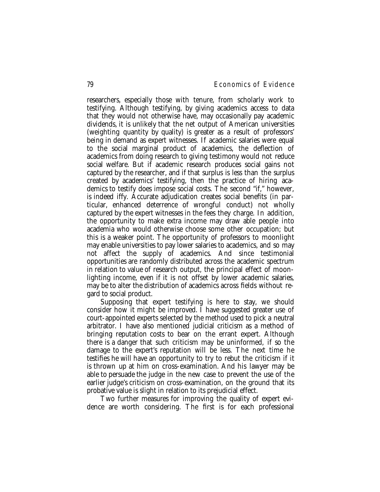researchers, especially those with tenure, from scholarly work to testifying. Although testifying, by giving academics access to data that they would not otherwise have, may occasionally pay academic dividends, it is unlikely that the net output of American universities (weighting quantity by quality) is greater as a result of professors' being in demand as expert witnesses. If academic salaries were equal to the social marginal product of academics, the deflection of academics from doing research to giving testimony would not reduce social welfare. But if academic research produces social gains not captured by the researcher, and if that surplus is less than the surplus created by academics' testifying, then the practice of hiring academics to testify does impose social costs. The second "if," however, is indeed iffy. Accurate adjudication creates social benefits (in particular, enhanced deterrence of wrongful conduct) not wholly captured by the expert witnesses in the fees they charge. In addition, the opportunity to make extra income may draw able people into academia who would otherwise choose some other occupation; but this is a weaker point. The opportunity of professors to moonlight may enable universities to pay lower salaries to academics, and so may not affect the supply of academics. And since testimonial opportunities are randomly distributed across the academic spectrum in relation to value of research output, the principal effect of moonlighting income, even if it is not offset by lower academic salaries, may be to alter the distribution of academics across fields without regard to social product.

Supposing that expert testifying is here to stay, we should consider how it might be improved. I have suggested greater use of court-appointed experts selected by the method used to pick a neutral arbitrator. I have also mentioned judicial criticism as a method of bringing reputation costs to bear on the errant expert. Although there is a danger that such criticism may be uninformed, if so the damage to the expert's reputation will be less. The next time he testifies he will have an opportunity to try to rebut the criticism if it is thrown up at him on cross-examination. And his lawyer may be able to persuade the judge in the new case to prevent the use of the earlier judge's criticism on cross-examination, on the ground that its probative value is slight in relation to its prejudicial effect.

Two further measures for improving the quality of expert evidence are worth considering. The first is for each professional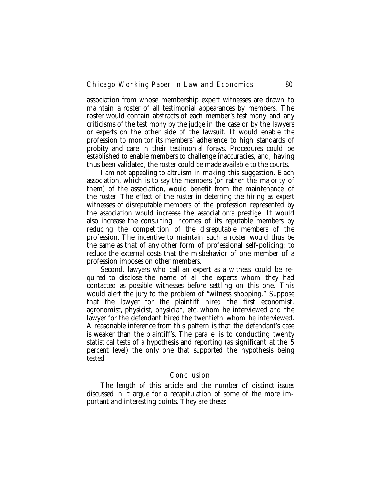association from whose membership expert witnesses are drawn to maintain a roster of all testimonial appearances by members. The roster would contain abstracts of each member's testimony and any criticisms of the testimony by the judge in the case or by the lawyers or experts on the other side of the lawsuit. It would enable the profession to monitor its members' adherence to high standards of probity and care in their testimonial forays. Procedures could be established to enable members to challenge inaccuracies, and, having thus been validated, the roster could be made available to the courts.

I am not appealing to altruism in making this suggestion. Each association, which is to say the members (or rather the majority of them) of the association, would benefit from the maintenance of the roster. The effect of the roster in deterring the hiring as expert witnesses of disreputable members of the profession represented by the association would increase the association's prestige. It would also increase the consulting incomes of its reputable members by reducing the competition of the disreputable members of the profession. The incentive to maintain such a roster would thus be the same as that of any other form of professional self-policing: to reduce the external costs that the misbehavior of one member of a profession imposes on other members.

Second, lawyers who call an expert as a witness could be required to disclose the name of all the experts whom they had contacted as possible witnesses before settling on this one. This would alert the jury to the problem of "witness shopping." Suppose that the lawyer for the plaintiff hired the first economist, agronomist, physicist, physician, etc. whom he interviewed and the lawyer for the defendant hired the twentieth whom *he* interviewed. A reasonable inference from this pattern is that the defendant's case is weaker than the plaintiff's. The parallel is to conducting twenty statistical tests of a hypothesis and reporting (as significant at the 5 percent level) the only one that supported the hypothesis being tested.

## Conclusion

The length of this article and the number of distinct issues discussed in it argue for a recapitulation of some of the more important and interesting points. They are these: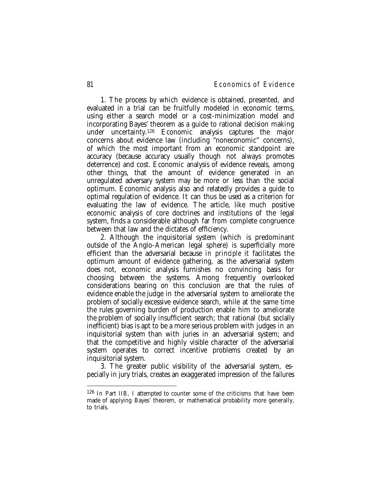1. The process by which evidence is obtained, presented, and evaluated in a trial can be fruitfully modeled in economic terms, using either a search model or a cost-minimization model and incorporating Bayes' theorem as a guide to rational decision making under uncertainty.126 Economic analysis captures the major concerns about evidence law (including "noneconomic" concerns), of which the most important from an economic standpoint are accuracy (because accuracy usually though not always promotes deterrence) and cost. Economic analysis of evidence reveals, among other things, that the amount of evidence generated in an unregulated adversary system may be more or less than the social optimum. Economic analysis also and relatedly provides a guide to optimal regulation of evidence. It can thus be used as a criterion for evaluating the law of evidence. The article, like much positive economic analysis of core doctrines and institutions of the legal system, finds a considerable although far from complete congruence between that law and the dictates of efficiency.

2. Although the inquisitorial system (which is predominant outside of the Anglo-American legal sphere) is superficially more efficient than the adversarial because *in principle* it facilitates the optimum amount of evidence gathering, as the adversarial system does not, economic analysis furnishes no convincing basis for choosing between the systems. Among frequently overlooked considerations bearing on this conclusion are that the rules of evidence enable the judge in the adversarial system to ameliorate the problem of socially excessive evidence search, while at the same time the rules governing burden of production enable him to ameliorate the problem of socially insufficient search; that rational (but socially inefficient) bias is apt to be a more serious problem with judges in an inquisitorial system than with juries in an adversarial system; and that the competitive and highly visible character of the adversarial system operates to correct incentive problems created by an inquisitorial system.

3. The greater public visibility of the adversarial system, especially in jury trials, creates an exaggerated impression of the failures

<sup>126</sup> In Part IIB, I attempted to counter some of the criticisms that have been made of applying Bayes' theorem, or mathematical probability more generally, to trials.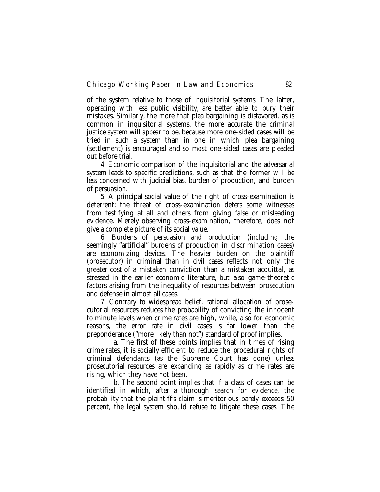of the system relative to those of inquisitorial systems. The latter, operating with less public visibility, are better able to bury their mistakes. Similarly, the more that plea bargaining is disfavored, as is common in inquisitorial systems, the more accurate the criminal justice system will *appear* to be, because more one-sided cases will be tried in such a system than in one in which plea bargaining (settlement) is encouraged and so most one-sided cases are pleaded out before trial.

4. Economic comparison of the inquisitorial and the adversarial system leads to specific predictions, such as that the former will be less concerned with judicial bias, burden of production, and burden of persuasion.

5. A principal social value of the right of cross-examination is deterrent: the threat of cross-examination deters some witnesses from testifying at all and others from giving false or misleading evidence. Merely observing cross-examination, therefore, does not give a complete picture of its social value.

6. Burdens of persuasion and production (including the seemingly "artificial" burdens of production in discrimination cases) are economizing devices. The heavier burden on the plaintiff (prosecutor) in criminal than in civil cases reflects not only the greater cost of a mistaken conviction than a mistaken acquittal, as stressed in the earlier economic literature, but also game-theoretic factors arising from the inequality of resources between prosecution and defense in almost all cases.

7. Contrary to widespread belief, rational allocation of prosecutorial resources reduces the probability of convicting the innocent to minute levels when crime rates are high, while, also for economic reasons, the error rate in civil cases is far lower than the preponderance ("more likely than not") standard of proof implies.

a. The first of these points implies that in times of rising crime rates, it is socially efficient to reduce the procedural rights of criminal defendants (as the Supreme Court has done) unless prosecutorial resources are expanding as rapidly as crime rates are rising, which they have not been.

b. The second point implies that if a class of cases can be identified in which, after a thorough search for evidence, the probability that the plaintiff's claim is meritorious barely exceeds 50 percent, the legal system should refuse to litigate these cases. The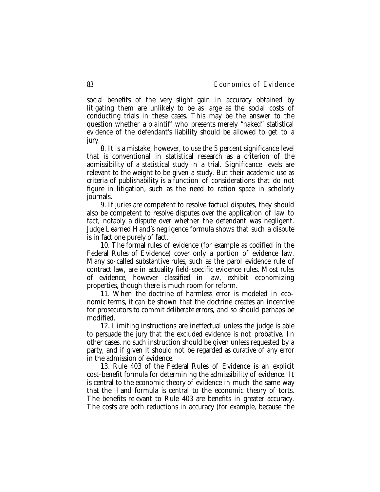social benefits of the very slight gain in accuracy obtained by litigating them are unlikely to be as large as the social costs of conducting trials in these cases. This may be the answer to the question whether a plaintiff who presents merely "naked" statistical evidence of the defendant's liability should be allowed to get to a jury.

8. It is a mistake, however, to use the 5 percent significance level that is conventional in statistical research as a criterion of the admissibility of a statistical study in a trial. Significance levels are relevant to the weight to be given a study. But their academic use as criteria of publishability is a function of considerations that do not figure in litigation, such as the need to ration space in scholarly journals.

9. If juries are competent to resolve factual disputes, they should also be competent to resolve disputes over the application of law to fact, notably a dispute over whether the defendant was negligent. Judge Learned Hand's negligence formula shows that such a dispute is in fact one purely of fact.

10. The formal rules of evidence (for example as codified in the Federal Rules of Evidence) cover only a portion of evidence law. Many so-called substantive rules, such as the parol evidence rule of contract law, are in actuality field-specific evidence rules. Most rules of evidence, however classified in law, exhibit economizing properties, though there is much room for reform.

11. When the doctrine of harmless error is modeled in economic terms, it can be shown that the doctrine creates an incentive for prosecutors to commit *deliberate* errors, and so should perhaps be modified.

12. Limiting instructions are ineffectual unless the judge is able to persuade the jury that the excluded evidence is not probative. In other cases, no such instruction should be given unless requested by a party, and if given it should not be regarded as curative of any error in the admission of evidence.

13. Rule 403 of the Federal Rules of Evidence is an explicit cost-benefit formula for determining the admissibility of evidence. It is central to the economic theory of evidence in much the same way that the Hand formula is central to the economic theory of torts. The benefits relevant to Rule 403 are benefits in greater accuracy. The costs are both reductions in accuracy (for example, because the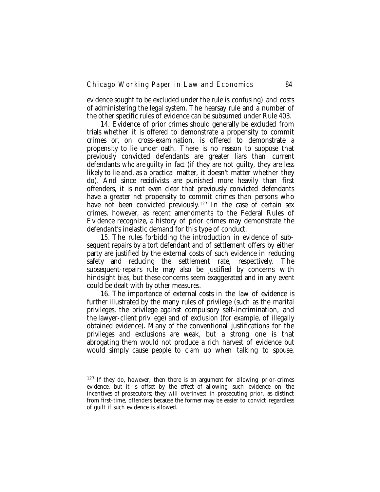evidence sought to be excluded under the rule is confusing) and costs of administering the legal system. The hearsay rule and a number of the other specific rules of evidence can be subsumed under Rule 403.

14. Evidence of prior crimes should generally be excluded from trials whether it is offered to demonstrate a propensity to commit crimes or, on cross-examination, is offered to demonstrate a propensity to lie under oath. There is no reason to suppose that previously convicted defendants are greater liars than current defendants *who are guilty in fact* (if they are not guilty, they are less likely to lie and, as a practical matter, it doesn't matter whether they do). And since recidivists are punished more heavily than first offenders, it is not even clear that previously convicted defendants have a greater *net* propensity to commit crimes than persons who have not been convicted previously.<sup>127</sup> In the case of certain sex crimes, however, as recent amendments to the Federal Rules of Evidence recognize, a history of prior crimes may demonstrate the defendant's inelastic demand for this type of conduct.

15. The rules forbidding the introduction in evidence of subsequent repairs by a tort defendant and of settlement offers by either party are justified by the external costs of such evidence in reducing safety and reducing the settlement rate, respectively. The subsequent-repairs rule may also be justified by concerns with hindsight bias, but these concerns seem exaggerated and in any event could be dealt with by other measures.

16. The importance of external costs in the law of evidence is further illustrated by the many rules of privilege (such as the marital privileges, the privilege against compulsory self-incrimination, and the lawyer-client privilege) and of exclusion (for example, of illegally obtained evidence). Many of the conventional justifications for the privileges and exclusions are weak, but a strong one is that abrogating them would not produce a rich harvest of evidence but would simply cause people to clam up when talking to spouse,

-

<sup>&</sup>lt;sup>127</sup> If they do, however, then there is an argument for allowing prior-crimes evidence, but it is offset by the effect of allowing such evidence on the incentives of prosecutors; they will overinvest in prosecuting prior, as distinct from first-time, offenders because the former may be easier to convict regardless of guilt if such evidence is allowed.